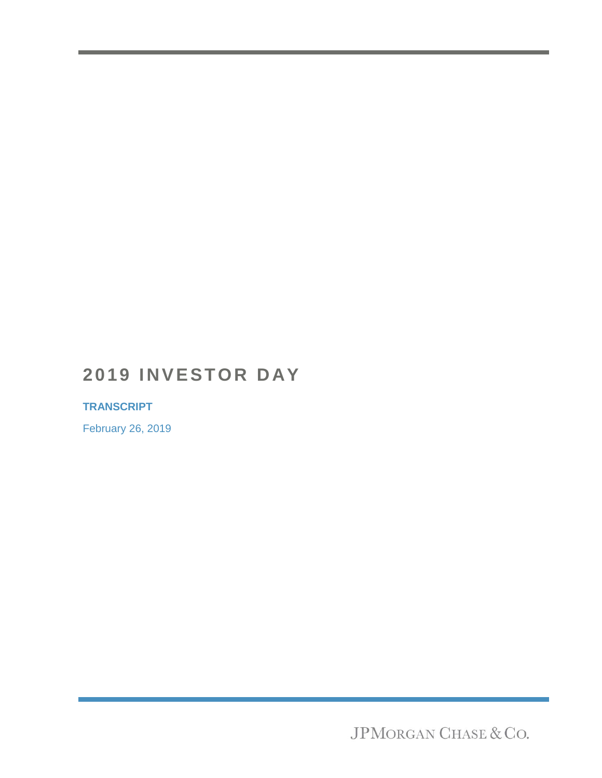## **2019 INVESTOR DAY**

#### **TRANSCRIPT**

February 26, 2019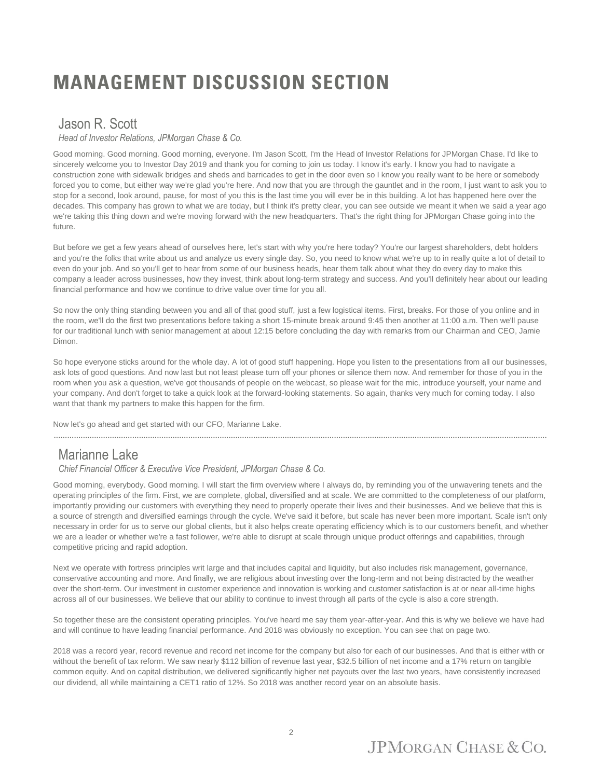# **MANAGEMENT DISCUSSION SECTION**

#### Jason R. Scott

*Head of Investor Relations, JPMorgan Chase & Co.*

Good morning. Good morning. Good morning, everyone. I'm Jason Scott, I'm the Head of Investor Relations for JPMorgan Chase. I'd like to sincerely welcome you to Investor Day 2019 and thank you for coming to join us today. I know it's early. I know you had to navigate a construction zone with sidewalk bridges and sheds and barricades to get in the door even so I know you really want to be here or somebody forced you to come, but either way we're glad you're here. And now that you are through the gauntlet and in the room, I just want to ask you to stop for a second, look around, pause, for most of you this is the last time you will ever be in this building. A lot has happened here over the decades. This company has grown to what we are today, but I think it's pretty clear, you can see outside we meant it when we said a year ago we're taking this thing down and we're moving forward with the new headquarters. That's the right thing for JPMorgan Chase going into the future.

But before we get a few years ahead of ourselves here, let's start with why you're here today? You're our largest shareholders, debt holders and you're the folks that write about us and analyze us every single day. So, you need to know what we're up to in really quite a lot of detail to even do your job. And so you'll get to hear from some of our business heads, hear them talk about what they do every day to make this company a leader across businesses, how they invest, think about long-term strategy and success. And you'll definitely hear about our leading financial performance and how we continue to drive value over time for you all.

So now the only thing standing between you and all of that good stuff, just a few logistical items. First, breaks. For those of you online and in the room, we'll do the first two presentations before taking a short 15-minute break around 9:45 then another at 11:00 a.m. Then we'll pause for our traditional lunch with senior management at about 12:15 before concluding the day with remarks from our Chairman and CEO, Jamie Dimon.

So hope everyone sticks around for the whole day. A lot of good stuff happening. Hope you listen to the presentations from all our businesses, ask lots of good questions. And now last but not least please turn off your phones or silence them now. And remember for those of you in the room when you ask a question, we've got thousands of people on the webcast, so please wait for the mic, introduce yourself, your name and your company. And don't forget to take a quick look at the forward-looking statements. So again, thanks very much for coming today. I also want that thank my partners to make this happen for the firm.

Now let's go ahead and get started with our CFO, Marianne Lake.

#### Marianne Lake

#### *Chief Financial Officer & Executive Vice President, JPMorgan Chase & Co.*

Good morning, everybody. Good morning. I will start the firm overview where I always do, by reminding you of the unwavering tenets and the operating principles of the firm. First, we are complete, global, diversified and at scale. We are committed to the completeness of our platform, importantly providing our customers with everything they need to properly operate their lives and their businesses. And we believe that this is a source of strength and diversified earnings through the cycle. We've said it before, but scale has never been more important. Scale isn't only necessary in order for us to serve our global clients, but it also helps create operating efficiency which is to our customers benefit, and whether we are a leader or whether we're a fast follower, we're able to disrupt at scale through unique product offerings and capabilities, through competitive pricing and rapid adoption.

Next we operate with fortress principles writ large and that includes capital and liquidity, but also includes risk management, governance, conservative accounting and more. And finally, we are religious about investing over the long-term and not being distracted by the weather over the short-term. Our investment in customer experience and innovation is working and customer satisfaction is at or near all-time highs across all of our businesses. We believe that our ability to continue to invest through all parts of the cycle is also a core strength.

So together these are the consistent operating principles. You've heard me say them year-after-year. And this is why we believe we have had and will continue to have leading financial performance. And 2018 was obviously no exception. You can see that on page two.

2018 was a record year, record revenue and record net income for the company but also for each of our businesses. And that is either with or without the benefit of tax reform. We saw nearly \$112 billion of revenue last year, \$32.5 billion of net income and a 17% return on tangible common equity. And on capital distribution, we delivered significantly higher net payouts over the last two years, have consistently increased our dividend, all while maintaining a CET1 ratio of 12%. So 2018 was another record year on an absolute basis.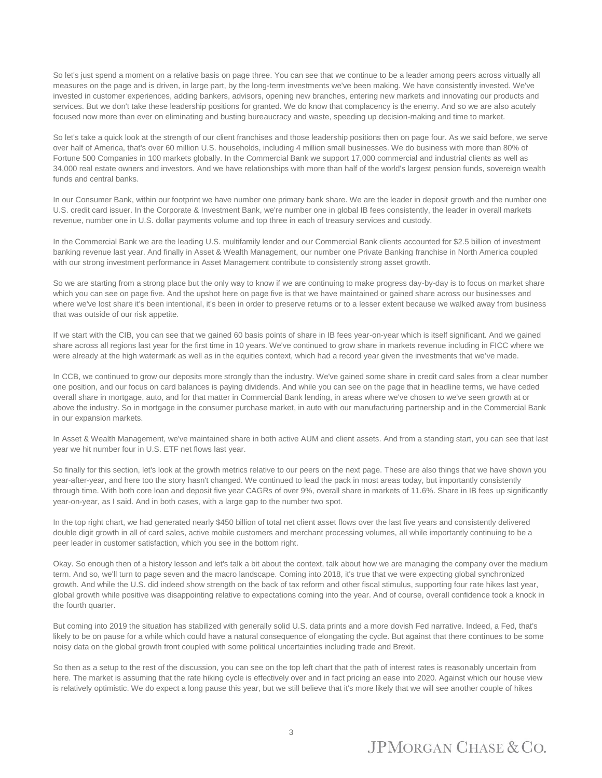So let's just spend a moment on a relative basis on page three. You can see that we continue to be a leader among peers across virtually all measures on the page and is driven, in large part, by the long-term investments we've been making. We have consistently invested. We've invested in customer experiences, adding bankers, advisors, opening new branches, entering new markets and innovating our products and services. But we don't take these leadership positions for granted. We do know that complacency is the enemy. And so we are also acutely focused now more than ever on eliminating and busting bureaucracy and waste, speeding up decision-making and time to market.

So let's take a quick look at the strength of our client franchises and those leadership positions then on page four. As we said before, we serve over half of America, that's over 60 million U.S. households, including 4 million small businesses. We do business with more than 80% of Fortune 500 Companies in 100 markets globally. In the Commercial Bank we support 17,000 commercial and industrial clients as well as 34,000 real estate owners and investors. And we have relationships with more than half of the world's largest pension funds, sovereign wealth funds and central banks.

In our Consumer Bank, within our footprint we have number one primary bank share. We are the leader in deposit growth and the number one U.S. credit card issuer. In the Corporate & Investment Bank, we're number one in global IB fees consistently, the leader in overall markets revenue, number one in U.S. dollar payments volume and top three in each of treasury services and custody.

In the Commercial Bank we are the leading U.S. multifamily lender and our Commercial Bank clients accounted for \$2.5 billion of investment banking revenue last year. And finally in Asset & Wealth Management, our number one Private Banking franchise in North America coupled with our strong investment performance in Asset Management contribute to consistently strong asset growth.

So we are starting from a strong place but the only way to know if we are continuing to make progress day-by-day is to focus on market share which you can see on page five. And the upshot here on page five is that we have maintained or gained share across our businesses and where we've lost share it's been intentional, it's been in order to preserve returns or to a lesser extent because we walked away from business that was outside of our risk appetite.

If we start with the CIB, you can see that we gained 60 basis points of share in IB fees year-on-year which is itself significant. And we gained share across all regions last year for the first time in 10 years. We've continued to grow share in markets revenue including in FICC where we were already at the high watermark as well as in the equities context, which had a record year given the investments that we've made.

In CCB, we continued to grow our deposits more strongly than the industry. We've gained some share in credit card sales from a clear number one position, and our focus on card balances is paying dividends. And while you can see on the page that in headline terms, we have ceded overall share in mortgage, auto, and for that matter in Commercial Bank lending, in areas where we've chosen to we've seen growth at or above the industry. So in mortgage in the consumer purchase market, in auto with our manufacturing partnership and in the Commercial Bank in our expansion markets.

In Asset & Wealth Management, we've maintained share in both active AUM and client assets. And from a standing start, you can see that last year we hit number four in U.S. ETF net flows last year.

So finally for this section, let's look at the growth metrics relative to our peers on the next page. These are also things that we have shown you year-after-year, and here too the story hasn't changed. We continued to lead the pack in most areas today, but importantly consistently through time. With both core loan and deposit five year CAGRs of over 9%, overall share in markets of 11.6%. Share in IB fees up significantly year-on-year, as I said. And in both cases, with a large gap to the number two spot.

In the top right chart, we had generated nearly \$450 billion of total net client asset flows over the last five years and consistently delivered double digit growth in all of card sales, active mobile customers and merchant processing volumes, all while importantly continuing to be a peer leader in customer satisfaction, which you see in the bottom right.

Okay. So enough then of a history lesson and let's talk a bit about the context, talk about how we are managing the company over the medium term. And so, we'll turn to page seven and the macro landscape. Coming into 2018, it's true that we were expecting global synchronized growth. And while the U.S. did indeed show strength on the back of tax reform and other fiscal stimulus, supporting four rate hikes last year, global growth while positive was disappointing relative to expectations coming into the year. And of course, overall confidence took a knock in the fourth quarter.

But coming into 2019 the situation has stabilized with generally solid U.S. data prints and a more dovish Fed narrative. Indeed, a Fed, that's likely to be on pause for a while which could have a natural consequence of elongating the cycle. But against that there continues to be some noisy data on the global growth front coupled with some political uncertainties including trade and Brexit.

So then as a setup to the rest of the discussion, you can see on the top left chart that the path of interest rates is reasonably uncertain from here. The market is assuming that the rate hiking cycle is effectively over and in fact pricing an ease into 2020. Against which our house view is relatively optimistic. We do expect a long pause this year, but we still believe that it's more likely that we will see another couple of hikes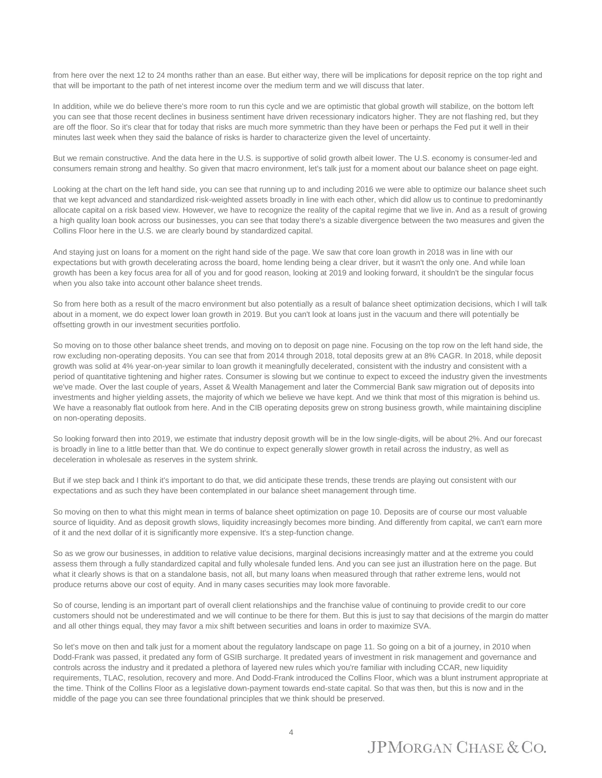from here over the next 12 to 24 months rather than an ease. But either way, there will be implications for deposit reprice on the top right and that will be important to the path of net interest income over the medium term and we will discuss that later.

In addition, while we do believe there's more room to run this cycle and we are optimistic that global growth will stabilize, on the bottom left you can see that those recent declines in business sentiment have driven recessionary indicators higher. They are not flashing red, but they are off the floor. So it's clear that for today that risks are much more symmetric than they have been or perhaps the Fed put it well in their minutes last week when they said the balance of risks is harder to characterize given the level of uncertainty.

But we remain constructive. And the data here in the U.S. is supportive of solid growth albeit lower. The U.S. economy is consumer-led and consumers remain strong and healthy. So given that macro environment, let's talk just for a moment about our balance sheet on page eight.

Looking at the chart on the left hand side, you can see that running up to and including 2016 we were able to optimize our balance sheet such that we kept advanced and standardized risk-weighted assets broadly in line with each other, which did allow us to continue to predominantly allocate capital on a risk based view. However, we have to recognize the reality of the capital regime that we live in. And as a result of growing a high quality loan book across our businesses, you can see that today there's a sizable divergence between the two measures and given the Collins Floor here in the U.S. we are clearly bound by standardized capital.

And staying just on loans for a moment on the right hand side of the page. We saw that core loan growth in 2018 was in line with our expectations but with growth decelerating across the board, home lending being a clear driver, but it wasn't the only one. And while loan growth has been a key focus area for all of you and for good reason, looking at 2019 and looking forward, it shouldn't be the singular focus when you also take into account other balance sheet trends.

So from here both as a result of the macro environment but also potentially as a result of balance sheet optimization decisions, which I will talk about in a moment, we do expect lower loan growth in 2019. But you can't look at loans just in the vacuum and there will potentially be offsetting growth in our investment securities portfolio.

So moving on to those other balance sheet trends, and moving on to deposit on page nine. Focusing on the top row on the left hand side, the row excluding non-operating deposits. You can see that from 2014 through 2018, total deposits grew at an 8% CAGR. In 2018, while deposit growth was solid at 4% year-on-year similar to loan growth it meaningfully decelerated, consistent with the industry and consistent with a period of quantitative tightening and higher rates. Consumer is slowing but we continue to expect to exceed the industry given the investments we've made. Over the last couple of years, Asset & Wealth Management and later the Commercial Bank saw migration out of deposits into investments and higher yielding assets, the majority of which we believe we have kept. And we think that most of this migration is behind us. We have a reasonably flat outlook from here. And in the CIB operating deposits grew on strong business growth, while maintaining discipline on non-operating deposits.

So looking forward then into 2019, we estimate that industry deposit growth will be in the low single-digits, will be about 2%. And our forecast is broadly in line to a little better than that. We do continue to expect generally slower growth in retail across the industry, as well as deceleration in wholesale as reserves in the system shrink.

But if we step back and I think it's important to do that, we did anticipate these trends, these trends are playing out consistent with our expectations and as such they have been contemplated in our balance sheet management through time.

So moving on then to what this might mean in terms of balance sheet optimization on page 10. Deposits are of course our most valuable source of liquidity. And as deposit growth slows, liquidity increasingly becomes more binding. And differently from capital, we can't earn more of it and the next dollar of it is significantly more expensive. It's a step-function change.

So as we grow our businesses, in addition to relative value decisions, marginal decisions increasingly matter and at the extreme you could assess them through a fully standardized capital and fully wholesale funded lens. And you can see just an illustration here on the page. But what it clearly shows is that on a standalone basis, not all, but many loans when measured through that rather extreme lens, would not produce returns above our cost of equity. And in many cases securities may look more favorable.

So of course, lending is an important part of overall client relationships and the franchise value of continuing to provide credit to our core customers should not be underestimated and we will continue to be there for them. But this is just to say that decisions of the margin do matter and all other things equal, they may favor a mix shift between securities and loans in order to maximize SVA.

So let's move on then and talk just for a moment about the regulatory landscape on page 11. So going on a bit of a journey, in 2010 when Dodd-Frank was passed, it predated any form of GSIB surcharge. It predated years of investment in risk management and governance and controls across the industry and it predated a plethora of layered new rules which you're familiar with including CCAR, new liquidity requirements, TLAC, resolution, recovery and more. And Dodd-Frank introduced the Collins Floor, which was a blunt instrument appropriate at the time. Think of the Collins Floor as a legislative down-payment towards end-state capital. So that was then, but this is now and in the middle of the page you can see three foundational principles that we think should be preserved.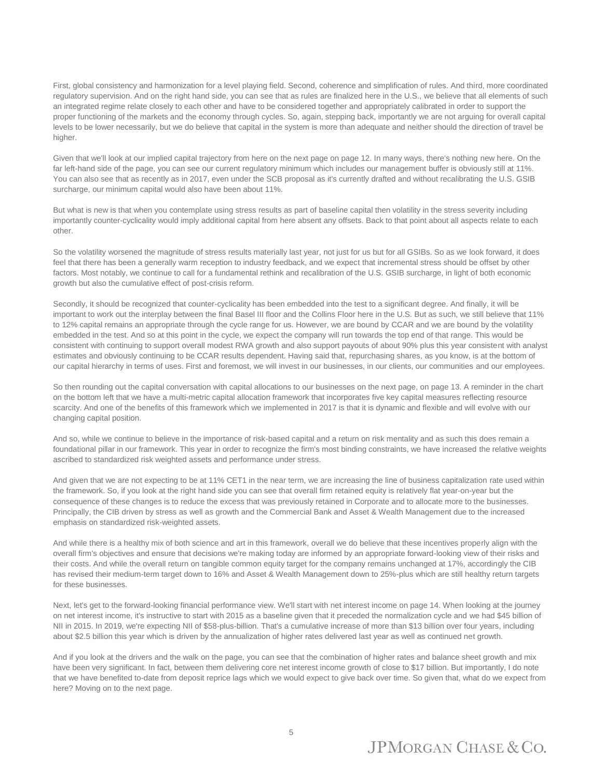First, global consistency and harmonization for a level playing field. Second, coherence and simplification of rules. And third, more coordinated regulatory supervision. And on the right hand side, you can see that as rules are finalized here in the U.S., we believe that all elements of such an integrated regime relate closely to each other and have to be considered together and appropriately calibrated in order to support the proper functioning of the markets and the economy through cycles. So, again, stepping back, importantly we are not arguing for overall capital levels to be lower necessarily, but we do believe that capital in the system is more than adequate and neither should the direction of travel be higher.

Given that we'll look at our implied capital trajectory from here on the next page on page 12. In many ways, there's nothing new here. On the far left-hand side of the page, you can see our current regulatory minimum which includes our management buffer is obviously still at 11%. You can also see that as recently as in 2017, even under the SCB proposal as it's currently drafted and without recalibrating the U.S. GSIB surcharge, our minimum capital would also have been about 11%.

But what is new is that when you contemplate using stress results as part of baseline capital then volatility in the stress severity including importantly counter-cyclicality would imply additional capital from here absent any offsets. Back to that point about all aspects relate to each other.

So the volatility worsened the magnitude of stress results materially last year, not just for us but for all GSIBs. So as we look forward, it does feel that there has been a generally warm reception to industry feedback, and we expect that incremental stress should be offset by other factors. Most notably, we continue to call for a fundamental rethink and recalibration of the U.S. GSIB surcharge, in light of both economic growth but also the cumulative effect of post-crisis reform.

Secondly, it should be recognized that counter-cyclicality has been embedded into the test to a significant degree. And finally, it will be important to work out the interplay between the final Basel III floor and the Collins Floor here in the U.S. But as such, we still believe that 11% to 12% capital remains an appropriate through the cycle range for us. However, we are bound by CCAR and we are bound by the volatility embedded in the test. And so at this point in the cycle, we expect the company will run towards the top end of that range. This would be consistent with continuing to support overall modest RWA growth and also support payouts of about 90% plus this year consistent with analyst estimates and obviously continuing to be CCAR results dependent. Having said that, repurchasing shares, as you know, is at the bottom of our capital hierarchy in terms of uses. First and foremost, we will invest in our businesses, in our clients, our communities and our employees.

So then rounding out the capital conversation with capital allocations to our businesses on the next page, on page 13. A reminder in the chart on the bottom left that we have a multi-metric capital allocation framework that incorporates five key capital measures reflecting resource scarcity. And one of the benefits of this framework which we implemented in 2017 is that it is dynamic and flexible and will evolve with our changing capital position.

And so, while we continue to believe in the importance of risk-based capital and a return on risk mentality and as such this does remain a foundational pillar in our framework. This year in order to recognize the firm's most binding constraints, we have increased the relative weights ascribed to standardized risk weighted assets and performance under stress.

And given that we are not expecting to be at 11% CET1 in the near term, we are increasing the line of business capitalization rate used within the framework. So, if you look at the right hand side you can see that overall firm retained equity is relatively flat year-on-year but the consequence of these changes is to reduce the excess that was previously retained in Corporate and to allocate more to the businesses. Principally, the CIB driven by stress as well as growth and the Commercial Bank and Asset & Wealth Management due to the increased emphasis on standardized risk-weighted assets.

And while there is a healthy mix of both science and art in this framework, overall we do believe that these incentives properly align with the overall firm's objectives and ensure that decisions we're making today are informed by an appropriate forward-looking view of their risks and their costs. And while the overall return on tangible common equity target for the company remains unchanged at 17%, accordingly the CIB has revised their medium-term target down to 16% and Asset & Wealth Management down to 25%-plus which are still healthy return targets for these businesses.

Next, let's get to the forward-looking financial performance view. We'll start with net interest income on page 14. When looking at the journey on net interest income, it's instructive to start with 2015 as a baseline given that it preceded the normalization cycle and we had \$45 billion of NII in 2015. In 2019, we're expecting NII of \$58-plus-billion. That's a cumulative increase of more than \$13 billion over four years, including about \$2.5 billion this year which is driven by the annualization of higher rates delivered last year as well as continued net growth.

And if you look at the drivers and the walk on the page, you can see that the combination of higher rates and balance sheet growth and mix have been very significant. In fact, between them delivering core net interest income growth of close to \$17 billion. But importantly, I do note that we have benefited to-date from deposit reprice lags which we would expect to give back over time. So given that, what do we expect from here? Moving on to the next page.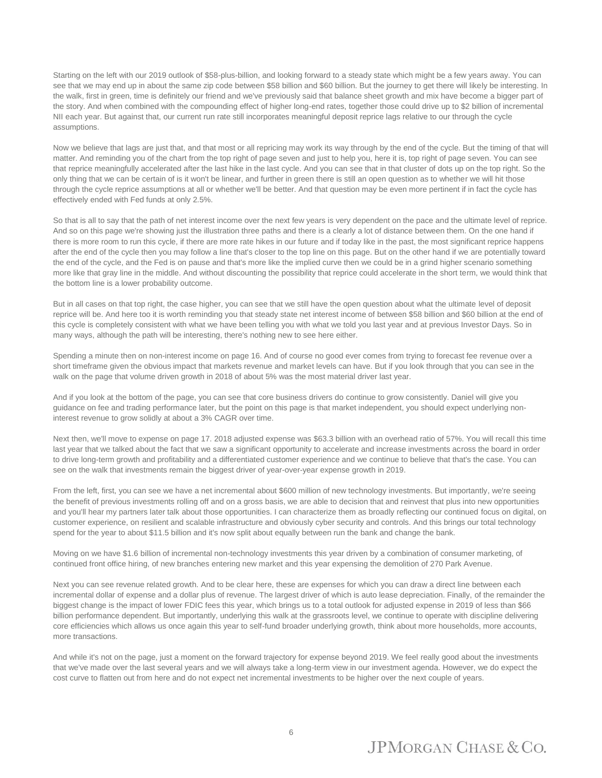Starting on the left with our 2019 outlook of \$58-plus-billion, and looking forward to a steady state which might be a few years away. You can see that we may end up in about the same zip code between \$58 billion and \$60 billion. But the journey to get there will likely be interesting. In the walk, first in green, time is definitely our friend and we've previously said that balance sheet growth and mix have become a bigger part of the story. And when combined with the compounding effect of higher long-end rates, together those could drive up to \$2 billion of incremental NII each year. But against that, our current run rate still incorporates meaningful deposit reprice lags relative to our through the cycle assumptions.

Now we believe that lags are just that, and that most or all repricing may work its way through by the end of the cycle. But the timing of that will matter. And reminding you of the chart from the top right of page seven and just to help you, here it is, top right of page seven. You can see that reprice meaningfully accelerated after the last hike in the last cycle. And you can see that in that cluster of dots up on the top right. So the only thing that we can be certain of is it won't be linear, and further in green there is still an open question as to whether we will hit those through the cycle reprice assumptions at all or whether we'll be better. And that question may be even more pertinent if in fact the cycle has effectively ended with Fed funds at only 2.5%.

So that is all to say that the path of net interest income over the next few years is very dependent on the pace and the ultimate level of reprice. And so on this page we're showing just the illustration three paths and there is a clearly a lot of distance between them. On the one hand if there is more room to run this cycle, if there are more rate hikes in our future and if today like in the past, the most significant reprice happens after the end of the cycle then you may follow a line that's closer to the top line on this page. But on the other hand if we are potentially toward the end of the cycle, and the Fed is on pause and that's more like the implied curve then we could be in a grind higher scenario something more like that gray line in the middle. And without discounting the possibility that reprice could accelerate in the short term, we would think that the bottom line is a lower probability outcome.

But in all cases on that top right, the case higher, you can see that we still have the open question about what the ultimate level of deposit reprice will be. And here too it is worth reminding you that steady state net interest income of between \$58 billion and \$60 billion at the end of this cycle is completely consistent with what we have been telling you with what we told you last year and at previous Investor Days. So in many ways, although the path will be interesting, there's nothing new to see here either.

Spending a minute then on non-interest income on page 16. And of course no good ever comes from trying to forecast fee revenue over a short timeframe given the obvious impact that markets revenue and market levels can have. But if you look through that you can see in the walk on the page that volume driven growth in 2018 of about 5% was the most material driver last year.

And if you look at the bottom of the page, you can see that core business drivers do continue to grow consistently. Daniel will give you guidance on fee and trading performance later, but the point on this page is that market independent, you should expect underlying noninterest revenue to grow solidly at about a 3% CAGR over time.

Next then, we'll move to expense on page 17. 2018 adjusted expense was \$63.3 billion with an overhead ratio of 57%. You will recall this time last year that we talked about the fact that we saw a significant opportunity to accelerate and increase investments across the board in order to drive long-term growth and profitability and a differentiated customer experience and we continue to believe that that's the case. You can see on the walk that investments remain the biggest driver of year-over-year expense growth in 2019.

From the left, first, you can see we have a net incremental about \$600 million of new technology investments. But importantly, we're seeing the benefit of previous investments rolling off and on a gross basis, we are able to decision that and reinvest that plus into new opportunities and you'll hear my partners later talk about those opportunities. I can characterize them as broadly reflecting our continued focus on digital, on customer experience, on resilient and scalable infrastructure and obviously cyber security and controls. And this brings our total technology spend for the year to about \$11.5 billion and it's now split about equally between run the bank and change the bank.

Moving on we have \$1.6 billion of incremental non-technology investments this year driven by a combination of consumer marketing, of continued front office hiring, of new branches entering new market and this year expensing the demolition of 270 Park Avenue.

Next you can see revenue related growth. And to be clear here, these are expenses for which you can draw a direct line between each incremental dollar of expense and a dollar plus of revenue. The largest driver of which is auto lease depreciation. Finally, of the remainder the biggest change is the impact of lower FDIC fees this year, which brings us to a total outlook for adjusted expense in 2019 of less than \$66 billion performance dependent. But importantly, underlying this walk at the grassroots level, we continue to operate with discipline delivering core efficiencies which allows us once again this year to self-fund broader underlying growth, think about more households, more accounts, more transactions.

And while it's not on the page, just a moment on the forward trajectory for expense beyond 2019. We feel really good about the investments that we've made over the last several years and we will always take a long-term view in our investment agenda. However, we do expect the cost curve to flatten out from here and do not expect net incremental investments to be higher over the next couple of years.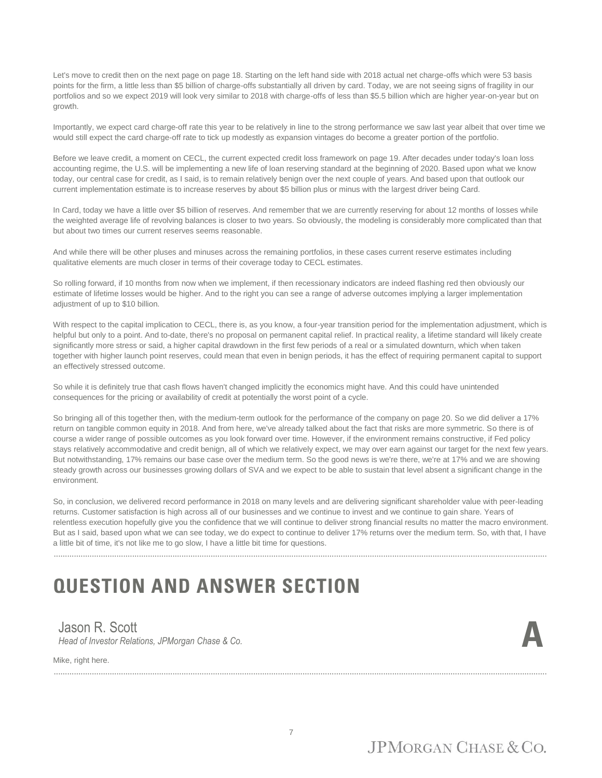Let's move to credit then on the next page on page 18. Starting on the left hand side with 2018 actual net charge-offs which were 53 basis points for the firm, a little less than \$5 billion of charge-offs substantially all driven by card. Today, we are not seeing signs of fragility in our portfolios and so we expect 2019 will look very similar to 2018 with charge-offs of less than \$5.5 billion which are higher year-on-year but on growth.

Importantly, we expect card charge-off rate this year to be relatively in line to the strong performance we saw last year albeit that over time we would still expect the card charge-off rate to tick up modestly as expansion vintages do become a greater portion of the portfolio.

Before we leave credit, a moment on CECL, the current expected credit loss framework on page 19. After decades under today's loan loss accounting regime, the U.S. will be implementing a new life of loan reserving standard at the beginning of 2020. Based upon what we know today, our central case for credit, as I said, is to remain relatively benign over the next couple of years. And based upon that outlook our current implementation estimate is to increase reserves by about \$5 billion plus or minus with the largest driver being Card.

In Card, today we have a little over \$5 billion of reserves. And remember that we are currently reserving for about 12 months of losses while the weighted average life of revolving balances is closer to two years. So obviously, the modeling is considerably more complicated than that but about two times our current reserves seems reasonable.

And while there will be other pluses and minuses across the remaining portfolios, in these cases current reserve estimates including qualitative elements are much closer in terms of their coverage today to CECL estimates.

So rolling forward, if 10 months from now when we implement, if then recessionary indicators are indeed flashing red then obviously our estimate of lifetime losses would be higher. And to the right you can see a range of adverse outcomes implying a larger implementation adjustment of up to \$10 billion.

With respect to the capital implication to CECL, there is, as you know, a four-year transition period for the implementation adjustment, which is helpful but only to a point. And to-date, there's no proposal on permanent capital relief. In practical reality, a lifetime standard will likely create significantly more stress or said, a higher capital drawdown in the first few periods of a real or a simulated downturn, which when taken together with higher launch point reserves, could mean that even in benign periods, it has the effect of requiring permanent capital to support an effectively stressed outcome.

So while it is definitely true that cash flows haven't changed implicitly the economics might have. And this could have unintended consequences for the pricing or availability of credit at potentially the worst point of a cycle.

So bringing all of this together then, with the medium-term outlook for the performance of the company on page 20. So we did deliver a 17% return on tangible common equity in 2018. And from here, we've already talked about the fact that risks are more symmetric. So there is of course a wider range of possible outcomes as you look forward over time. However, if the environment remains constructive, if Fed policy stays relatively accommodative and credit benign, all of which we relatively expect, we may over earn against our target for the next few years. But notwithstanding, 17% remains our base case over the medium term. So the good news is we're there, we're at 17% and we are showing steady growth across our businesses growing dollars of SVA and we expect to be able to sustain that level absent a significant change in the environment.

So, in conclusion, we delivered record performance in 2018 on many levels and are delivering significant shareholder value with peer-leading returns. Customer satisfaction is high across all of our businesses and we continue to invest and we continue to gain share. Years of relentless execution hopefully give you the confidence that we will continue to deliver strong financial results no matter the macro environment. But as I said, based upon what we can see today, we do expect to continue to deliver 17% returns over the medium term. So, with that, I have a little bit of time, it's not like me to go slow, I have a little bit time for questions.

............................................................................................................................................................................................................................

# **QUESTION AND ANSWER SECTION**

#### Jason R. Scott

*Head of Investor Relations, JPMorgan Chase & Co.* 

............................................................................................................................................................................................................................

Mike, right here.

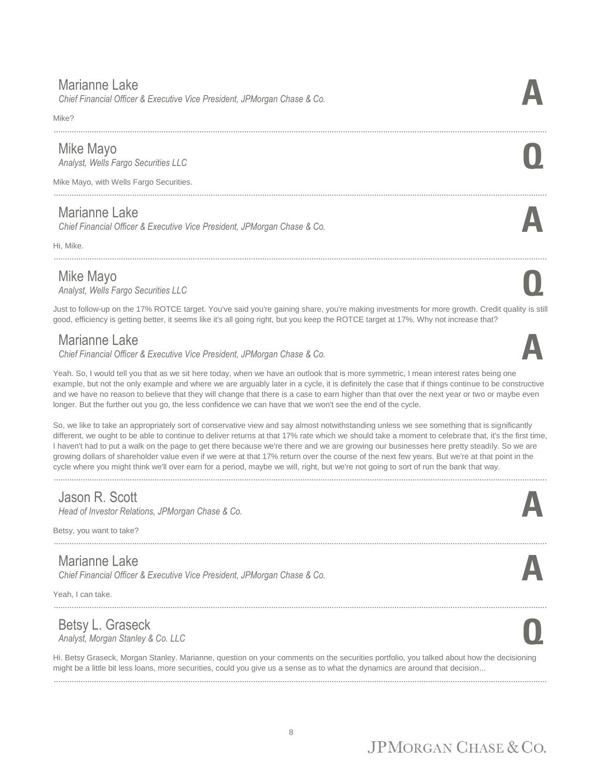#### Marianne Lake

*Chief Financial Officer & Executive Vice President, JPMorgan Chase & Co.* **A**

Mike?

#### Mike Mayo

*Analyst, Wells Fargo Securities LLC* **Q**

Mike Mayo, with Wells Fargo Securities.

#### Marianne Lake

*Chief Financial Officer & Executive Vice President, JPMorgan Chase & Co.* **A**

Hi, Mike.

Mike Mayo<br>Analyst, Wells Fargo Securities LLC *Analyst, Wells Fargo Securities LLC* **Q**

Just to follow-up on the 17% ROTCE target. You've said you're gaining share, you're making investments for more growth. Credit quality is still good, efficiency is getting better, it seems like it's all going right, but you keep the ROTCE target at 17%. Why not increase that?

............................................................................................................................................................................................................................

............................................................................................................................................................................................................................

#### Marianne Lake

*Chief Financial Officer & Executive Vice President, JPMorgan Chase & Co.* **A**

Yeah. So, I would tell you that as we sit here today, when we have an outlook that is more symmetric, I mean interest rates being one example, but not the only example and where we are arguably later in a cycle, it is definitely the case that if things continue to be constructive and we have no reason to believe that they will change that there is a case to earn higher than that over the next year or two or maybe even longer. But the further out you go, the less confidence we can have that we won't see the end of the cycle.

So, we like to take an appropriately sort of conservative view and say almost notwithstanding unless we see something that is significantly different, we ought to be able to continue to deliver returns at that 17% rate which we should take a moment to celebrate that, it's the first time, I haven't had to put a walk on the page to get there because we're there and we are growing our businesses here pretty steadily. So we are growing dollars of shareholder value even if we were at that 17% return over the course of the next few years. But we're at that point in the cycle where you might think we'll over earn for a period, maybe we will, right, but we're not going to sort of run the bank that way.

............................................................................................................................................................................................................................

#### Jason R. Scott

*Head of Investor Relations, JPMorgan Chase & Co.* 

Betsy, you want to take?

#### Marianne Lake

*Chief Financial Officer & Executive Vice President, JPMorgan Chase & Co.* **A**

Yeah, I can take.

#### Betsy L. Graseck *Analyst, Morgan Stanley & Co. LLC* **Q**

Hi. Betsy Graseck, Morgan Stanley. Marianne, question on your comments on the securities portfolio, you talked about how the decisioning might be a little bit less loans, more securities, could you give us a sense as to what the dynamics are around that decision... ............................................................................................................................................................................................................................

............................................................................................................................................................................................................................







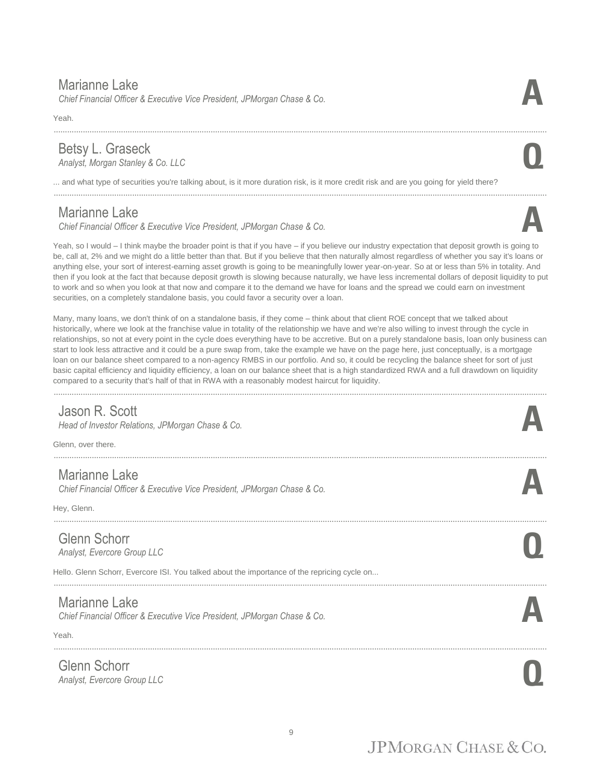#### Marianne Lake

*Chief Financial Officer & Executive Vice President, JPMorgan Chase & Co.* **A**

Yeah.

#### Betsy L. Graseck *Analyst, Morgan Stanley & Co. LLC* **Q**

... and what type of securities you're talking about, is it more duration risk, is it more credit risk and are you going for yield there?

............................................................................................................................................................................................................................

#### Marianne Lake

*Chief Financial Officer & Executive Vice President, JPMorgan Chase & Co.* **A**

Yeah, so I would – I think maybe the broader point is that if you have – if you believe our industry expectation that deposit growth is going to be, call at, 2% and we might do a little better than that. But if you believe that then naturally almost regardless of whether you say it's loans or anything else, your sort of interest-earning asset growth is going to be meaningfully lower year-on-year. So at or less than 5% in totality. And then if you look at the fact that because deposit growth is slowing because naturally, we have less incremental dollars of deposit liquidity to put to work and so when you look at that now and compare it to the demand we have for loans and the spread we could earn on investment securities, on a completely standalone basis, you could favor a security over a loan.

............................................................................................................................................................................................................................

Many, many loans, we don't think of on a standalone basis, if they come – think about that client ROE concept that we talked about historically, where we look at the franchise value in totality of the relationship we have and we're also willing to invest through the cycle in relationships, so not at every point in the cycle does everything have to be accretive. But on a purely standalone basis, loan only business can start to look less attractive and it could be a pure swap from, take the example we have on the page here, just conceptually, is a mortgage loan on our balance sheet compared to a non-agency RMBS in our portfolio. And so, it could be recycling the balance sheet for sort of just basic capital efficiency and liquidity efficiency, a loan on our balance sheet that is a high standardized RWA and a full drawdown on liquidity compared to a security that's half of that in RWA with a reasonably modest haircut for liquidity.

............................................................................................................................................................................................................................

#### Jason R. Scott

*Head of Investor Relations, JPMorgan Chase & Co.* 

Glenn, over there.

#### Marianne Lake

*Chief Financial Officer & Executive Vice President, JPMorgan Chase & Co.* **A**

Hey, Glenn.

#### Glenn Schorr

*Analyst, Evercore Group LLC* **Q**

Hello. Glenn Schorr, Evercore ISI. You talked about the importance of the repricing cycle on...

#### Marianne Lake

*Chief Financial Officer & Executive Vice President, JPMorgan Chase & Co.* **A**

Yeah.

Glenn Schorr *Analyst, Evercore Group LLC* **Q**

............................................................................................................................................................................................................................



- 
- 
- ............................................................................................................................................................................................................................
- ............................................................................................................................................................................................................................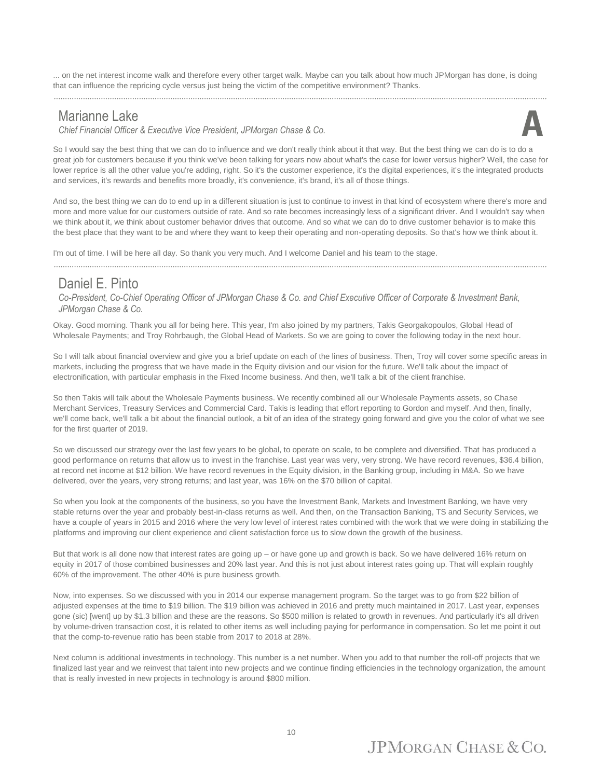... on the net interest income walk and therefore every other target walk. Maybe can you talk about how much JPMorgan has done, is doing that can influence the repricing cycle versus just being the victim of the competitive environment? Thanks.

#### Marianne Lake

*Chief Financial Officer & Executive Vice President, JPMorgan Chase & Co.* **A**



So I would say the best thing that we can do to influence and we don't really think about it that way. But the best thing we can do is to do a great job for customers because if you think we've been talking for years now about what's the case for lower versus higher? Well, the case for lower reprice is all the other value you're adding, right. So it's the customer experience, it's the digital experiences, it's the integrated products and services, it's rewards and benefits more broadly, it's convenience, it's brand, it's all of those things.

And so, the best thing we can do to end up in a different situation is just to continue to invest in that kind of ecosystem where there's more and more and more value for our customers outside of rate. And so rate becomes increasingly less of a significant driver. And I wouldn't say when we think about it, we think about customer behavior drives that outcome. And so what we can do to drive customer behavior is to make this the best place that they want to be and where they want to keep their operating and non-operating deposits. So that's how we think about it.

............................................................................................................................................................................................................................

I'm out of time. I will be here all day. So thank you very much. And I welcome Daniel and his team to the stage.

#### Daniel E. Pinto

*Co-President, Co-Chief Operating Officer of JPMorgan Chase & Co. and Chief Executive Officer of Corporate & Investment Bank, JPMorgan Chase & Co.*

Okay. Good morning. Thank you all for being here. This year, I'm also joined by my partners, Takis Georgakopoulos, Global Head of Wholesale Payments; and Troy Rohrbaugh, the Global Head of Markets. So we are going to cover the following today in the next hour.

So I will talk about financial overview and give you a brief update on each of the lines of business. Then, Troy will cover some specific areas in markets, including the progress that we have made in the Equity division and our vision for the future. We'll talk about the impact of electronification, with particular emphasis in the Fixed Income business. And then, we'll talk a bit of the client franchise.

So then Takis will talk about the Wholesale Payments business. We recently combined all our Wholesale Payments assets, so Chase Merchant Services, Treasury Services and Commercial Card. Takis is leading that effort reporting to Gordon and myself. And then, finally, we'll come back, we'll talk a bit about the financial outlook, a bit of an idea of the strategy going forward and give you the color of what we see for the first quarter of 2019.

So we discussed our strategy over the last few years to be global, to operate on scale, to be complete and diversified. That has produced a good performance on returns that allow us to invest in the franchise. Last year was very, very strong. We have record revenues, \$36.4 billion, at record net income at \$12 billion. We have record revenues in the Equity division, in the Banking group, including in M&A. So we have delivered, over the years, very strong returns; and last year, was 16% on the \$70 billion of capital.

So when you look at the components of the business, so you have the Investment Bank, Markets and Investment Banking, we have very stable returns over the year and probably best-in-class returns as well. And then, on the Transaction Banking, TS and Security Services, we have a couple of years in 2015 and 2016 where the very low level of interest rates combined with the work that we were doing in stabilizing the platforms and improving our client experience and client satisfaction force us to slow down the growth of the business.

But that work is all done now that interest rates are going up – or have gone up and growth is back. So we have delivered 16% return on equity in 2017 of those combined businesses and 20% last year. And this is not just about interest rates going up. That will explain roughly 60% of the improvement. The other 40% is pure business growth.

Now, into expenses. So we discussed with you in 2014 our expense management program. So the target was to go from \$22 billion of adjusted expenses at the time to \$19 billion. The \$19 billion was achieved in 2016 and pretty much maintained in 2017. Last year, expenses gone (sic) [went] up by \$1.3 billion and these are the reasons. So \$500 million is related to growth in revenues. And particularly it's all driven by volume-driven transaction cost, it is related to other items as well including paying for performance in compensation. So let me point it out that the comp-to-revenue ratio has been stable from 2017 to 2018 at 28%.

Next column is additional investments in technology. This number is a net number. When you add to that number the roll-off projects that we finalized last year and we reinvest that talent into new projects and we continue finding efficiencies in the technology organization, the amount that is really invested in new projects in technology is around \$800 million.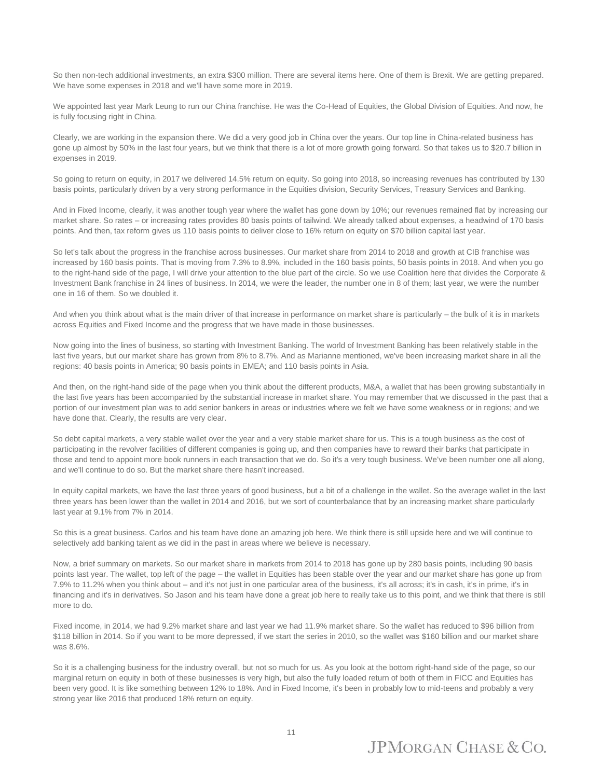So then non-tech additional investments, an extra \$300 million. There are several items here. One of them is Brexit. We are getting prepared. We have some expenses in 2018 and we'll have some more in 2019.

We appointed last year Mark Leung to run our China franchise. He was the Co-Head of Equities, the Global Division of Equities. And now, he is fully focusing right in China.

Clearly, we are working in the expansion there. We did a very good job in China over the years. Our top line in China-related business has gone up almost by 50% in the last four years, but we think that there is a lot of more growth going forward. So that takes us to \$20.7 billion in expenses in 2019.

So going to return on equity, in 2017 we delivered 14.5% return on equity. So going into 2018, so increasing revenues has contributed by 130 basis points, particularly driven by a very strong performance in the Equities division, Security Services, Treasury Services and Banking.

And in Fixed Income, clearly, it was another tough year where the wallet has gone down by 10%; our revenues remained flat by increasing our market share. So rates – or increasing rates provides 80 basis points of tailwind. We already talked about expenses, a headwind of 170 basis points. And then, tax reform gives us 110 basis points to deliver close to 16% return on equity on \$70 billion capital last year.

So let's talk about the progress in the franchise across businesses. Our market share from 2014 to 2018 and growth at CIB franchise was increased by 160 basis points. That is moving from 7.3% to 8.9%, included in the 160 basis points, 50 basis points in 2018. And when you go to the right-hand side of the page, I will drive your attention to the blue part of the circle. So we use Coalition here that divides the Corporate & Investment Bank franchise in 24 lines of business. In 2014, we were the leader, the number one in 8 of them; last year, we were the number one in 16 of them. So we doubled it.

And when you think about what is the main driver of that increase in performance on market share is particularly – the bulk of it is in markets across Equities and Fixed Income and the progress that we have made in those businesses.

Now going into the lines of business, so starting with Investment Banking. The world of Investment Banking has been relatively stable in the last five years, but our market share has grown from 8% to 8.7%. And as Marianne mentioned, we've been increasing market share in all the regions: 40 basis points in America; 90 basis points in EMEA; and 110 basis points in Asia.

And then, on the right-hand side of the page when you think about the different products, M&A, a wallet that has been growing substantially in the last five years has been accompanied by the substantial increase in market share. You may remember that we discussed in the past that a portion of our investment plan was to add senior bankers in areas or industries where we felt we have some weakness or in regions; and we have done that. Clearly, the results are very clear.

So debt capital markets, a very stable wallet over the year and a very stable market share for us. This is a tough business as the cost of participating in the revolver facilities of different companies is going up, and then companies have to reward their banks that participate in those and tend to appoint more book runners in each transaction that we do. So it's a very tough business. We've been number one all along, and we'll continue to do so. But the market share there hasn't increased.

In equity capital markets, we have the last three years of good business, but a bit of a challenge in the wallet. So the average wallet in the last three years has been lower than the wallet in 2014 and 2016, but we sort of counterbalance that by an increasing market share particularly last year at 9.1% from 7% in 2014.

So this is a great business. Carlos and his team have done an amazing job here. We think there is still upside here and we will continue to selectively add banking talent as we did in the past in areas where we believe is necessary.

Now, a brief summary on markets. So our market share in markets from 2014 to 2018 has gone up by 280 basis points, including 90 basis points last year. The wallet, top left of the page – the wallet in Equities has been stable over the year and our market share has gone up from 7.9% to 11.2% when you think about – and it's not just in one particular area of the business, it's all across; it's in cash, it's in prime, it's in financing and it's in derivatives. So Jason and his team have done a great job here to really take us to this point, and we think that there is still more to do.

Fixed income, in 2014, we had 9.2% market share and last year we had 11.9% market share. So the wallet has reduced to \$96 billion from \$118 billion in 2014. So if you want to be more depressed, if we start the series in 2010, so the wallet was \$160 billion and our market share was 8.6%.

So it is a challenging business for the industry overall, but not so much for us. As you look at the bottom right-hand side of the page, so our marginal return on equity in both of these businesses is very high, but also the fully loaded return of both of them in FICC and Equities has been very good. It is like something between 12% to 18%. And in Fixed Income, it's been in probably low to mid-teens and probably a very strong year like 2016 that produced 18% return on equity.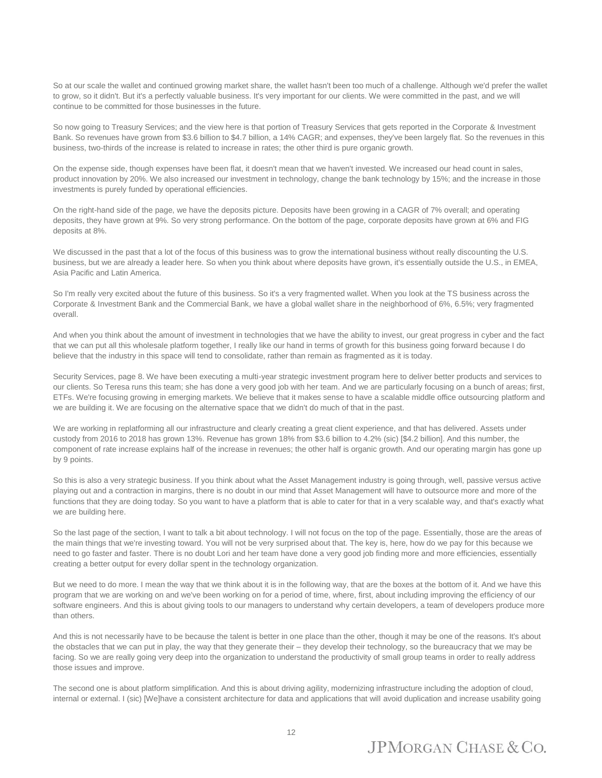So at our scale the wallet and continued growing market share, the wallet hasn't been too much of a challenge. Although we'd prefer the wallet to grow, so it didn't. But it's a perfectly valuable business. It's very important for our clients. We were committed in the past, and we will continue to be committed for those businesses in the future.

So now going to Treasury Services; and the view here is that portion of Treasury Services that gets reported in the Corporate & Investment Bank. So revenues have grown from \$3.6 billion to \$4.7 billion, a 14% CAGR; and expenses, they've been largely flat. So the revenues in this business, two-thirds of the increase is related to increase in rates; the other third is pure organic growth.

On the expense side, though expenses have been flat, it doesn't mean that we haven't invested. We increased our head count in sales, product innovation by 20%. We also increased our investment in technology, change the bank technology by 15%; and the increase in those investments is purely funded by operational efficiencies.

On the right-hand side of the page, we have the deposits picture. Deposits have been growing in a CAGR of 7% overall; and operating deposits, they have grown at 9%. So very strong performance. On the bottom of the page, corporate deposits have grown at 6% and FIG deposits at 8%.

We discussed in the past that a lot of the focus of this business was to grow the international business without really discounting the U.S. business, but we are already a leader here. So when you think about where deposits have grown, it's essentially outside the U.S., in EMEA, Asia Pacific and Latin America.

So I'm really very excited about the future of this business. So it's a very fragmented wallet. When you look at the TS business across the Corporate & Investment Bank and the Commercial Bank, we have a global wallet share in the neighborhood of 6%, 6.5%; very fragmented overall.

And when you think about the amount of investment in technologies that we have the ability to invest, our great progress in cyber and the fact that we can put all this wholesale platform together, I really like our hand in terms of growth for this business going forward because I do believe that the industry in this space will tend to consolidate, rather than remain as fragmented as it is today.

Security Services, page 8. We have been executing a multi-year strategic investment program here to deliver better products and services to our clients. So Teresa runs this team; she has done a very good job with her team. And we are particularly focusing on a bunch of areas; first, ETFs. We're focusing growing in emerging markets. We believe that it makes sense to have a scalable middle office outsourcing platform and we are building it. We are focusing on the alternative space that we didn't do much of that in the past.

We are working in replatforming all our infrastructure and clearly creating a great client experience, and that has delivered. Assets under custody from 2016 to 2018 has grown 13%. Revenue has grown 18% from \$3.6 billion to 4.2% (sic) [\$4.2 billion]. And this number, the component of rate increase explains half of the increase in revenues; the other half is organic growth. And our operating margin has gone up by 9 points.

So this is also a very strategic business. If you think about what the Asset Management industry is going through, well, passive versus active playing out and a contraction in margins, there is no doubt in our mind that Asset Management will have to outsource more and more of the functions that they are doing today. So you want to have a platform that is able to cater for that in a very scalable way, and that's exactly what we are building here.

So the last page of the section, I want to talk a bit about technology. I will not focus on the top of the page. Essentially, those are the areas of the main things that we're investing toward. You will not be very surprised about that. The key is, here, how do we pay for this because we need to go faster and faster. There is no doubt Lori and her team have done a very good job finding more and more efficiencies, essentially creating a better output for every dollar spent in the technology organization.

But we need to do more. I mean the way that we think about it is in the following way, that are the boxes at the bottom of it. And we have this program that we are working on and we've been working on for a period of time, where, first, about including improving the efficiency of our software engineers. And this is about giving tools to our managers to understand why certain developers, a team of developers produce more than others.

And this is not necessarily have to be because the talent is better in one place than the other, though it may be one of the reasons. It's about the obstacles that we can put in play, the way that they generate their – they develop their technology, so the bureaucracy that we may be facing. So we are really going very deep into the organization to understand the productivity of small group teams in order to really address those issues and improve.

The second one is about platform simplification. And this is about driving agility, modernizing infrastructure including the adoption of cloud, internal or external. I (sic) [We]have a consistent architecture for data and applications that will avoid duplication and increase usability going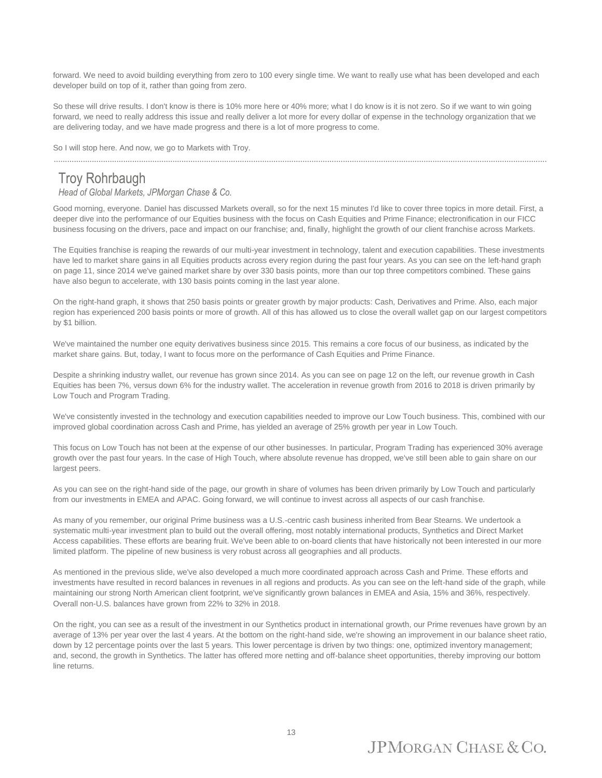forward. We need to avoid building everything from zero to 100 every single time. We want to really use what has been developed and each developer build on top of it, rather than going from zero.

So these will drive results. I don't know is there is 10% more here or 40% more; what I do know is it is not zero. So if we want to win going forward, we need to really address this issue and really deliver a lot more for every dollar of expense in the technology organization that we are delivering today, and we have made progress and there is a lot of more progress to come.

............................................................................................................................................................................................................................

So I will stop here. And now, we go to Markets with Troy.

#### Troy Rohrbaugh

#### *Head of Global Markets, JPMorgan Chase & Co.*

Good morning, everyone. Daniel has discussed Markets overall, so for the next 15 minutes I'd like to cover three topics in more detail. First, a deeper dive into the performance of our Equities business with the focus on Cash Equities and Prime Finance; electronification in our FICC business focusing on the drivers, pace and impact on our franchise; and, finally, highlight the growth of our client franchise across Markets.

The Equities franchise is reaping the rewards of our multi-year investment in technology, talent and execution capabilities. These investments have led to market share gains in all Equities products across every region during the past four years. As you can see on the left-hand graph on page 11, since 2014 we've gained market share by over 330 basis points, more than our top three competitors combined. These gains have also begun to accelerate, with 130 basis points coming in the last year alone.

On the right-hand graph, it shows that 250 basis points or greater growth by major products: Cash, Derivatives and Prime. Also, each major region has experienced 200 basis points or more of growth. All of this has allowed us to close the overall wallet gap on our largest competitors by \$1 billion.

We've maintained the number one equity derivatives business since 2015. This remains a core focus of our business, as indicated by the market share gains. But, today, I want to focus more on the performance of Cash Equities and Prime Finance.

Despite a shrinking industry wallet, our revenue has grown since 2014. As you can see on page 12 on the left, our revenue growth in Cash Equities has been 7%, versus down 6% for the industry wallet. The acceleration in revenue growth from 2016 to 2018 is driven primarily by Low Touch and Program Trading.

We've consistently invested in the technology and execution capabilities needed to improve our Low Touch business. This, combined with our improved global coordination across Cash and Prime, has yielded an average of 25% growth per year in Low Touch.

This focus on Low Touch has not been at the expense of our other businesses. In particular, Program Trading has experienced 30% average growth over the past four years. In the case of High Touch, where absolute revenue has dropped, we've still been able to gain share on our largest peers.

As you can see on the right-hand side of the page, our growth in share of volumes has been driven primarily by Low Touch and particularly from our investments in EMEA and APAC. Going forward, we will continue to invest across all aspects of our cash franchise.

As many of you remember, our original Prime business was a U.S.-centric cash business inherited from Bear Stearns. We undertook a systematic multi-year investment plan to build out the overall offering, most notably international products, Synthetics and Direct Market Access capabilities. These efforts are bearing fruit. We've been able to on-board clients that have historically not been interested in our more limited platform. The pipeline of new business is very robust across all geographies and all products.

As mentioned in the previous slide, we've also developed a much more coordinated approach across Cash and Prime. These efforts and investments have resulted in record balances in revenues in all regions and products. As you can see on the left-hand side of the graph, while maintaining our strong North American client footprint, we've significantly grown balances in EMEA and Asia, 15% and 36%, respectively. Overall non-U.S. balances have grown from 22% to 32% in 2018.

On the right, you can see as a result of the investment in our Synthetics product in international growth, our Prime revenues have grown by an average of 13% per year over the last 4 years. At the bottom on the right-hand side, we're showing an improvement in our balance sheet ratio, down by 12 percentage points over the last 5 years. This lower percentage is driven by two things: one, optimized inventory management; and, second, the growth in Synthetics. The latter has offered more netting and off-balance sheet opportunities, thereby improving our bottom line returns.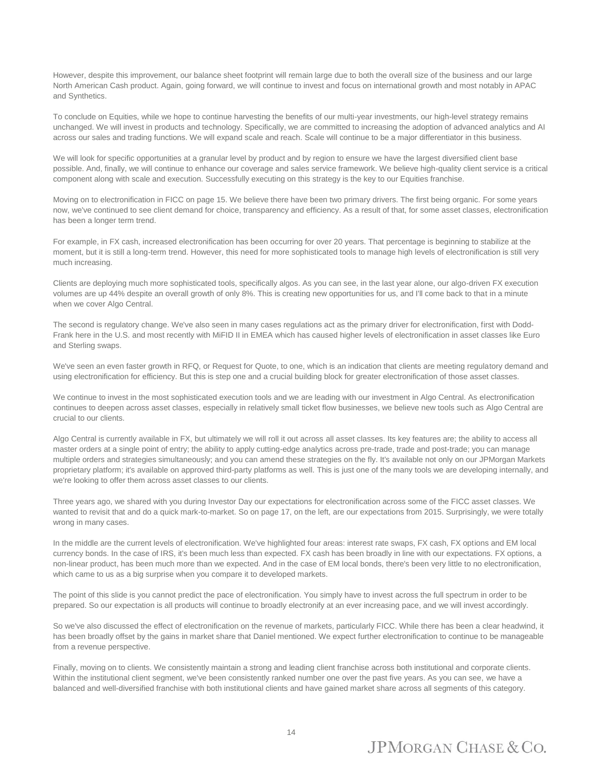However, despite this improvement, our balance sheet footprint will remain large due to both the overall size of the business and our large North American Cash product. Again, going forward, we will continue to invest and focus on international growth and most notably in APAC and Synthetics.

To conclude on Equities, while we hope to continue harvesting the benefits of our multi-year investments, our high-level strategy remains unchanged. We will invest in products and technology. Specifically, we are committed to increasing the adoption of advanced analytics and AI across our sales and trading functions. We will expand scale and reach. Scale will continue to be a major differentiator in this business.

We will look for specific opportunities at a granular level by product and by region to ensure we have the largest diversified client base possible. And, finally, we will continue to enhance our coverage and sales service framework. We believe high-quality client service is a critical component along with scale and execution. Successfully executing on this strategy is the key to our Equities franchise.

Moving on to electronification in FICC on page 15. We believe there have been two primary drivers. The first being organic. For some years now, we've continued to see client demand for choice, transparency and efficiency. As a result of that, for some asset classes, electronification has been a longer term trend.

For example, in FX cash, increased electronification has been occurring for over 20 years. That percentage is beginning to stabilize at the moment, but it is still a long-term trend. However, this need for more sophisticated tools to manage high levels of electronification is still very much increasing.

Clients are deploying much more sophisticated tools, specifically algos. As you can see, in the last year alone, our algo-driven FX execution volumes are up 44% despite an overall growth of only 8%. This is creating new opportunities for us, and I'll come back to that in a minute when we cover Algo Central.

The second is regulatory change. We've also seen in many cases regulations act as the primary driver for electronification, first with Dodd-Frank here in the U.S. and most recently with MiFID II in EMEA which has caused higher levels of electronification in asset classes like Euro and Sterling swaps.

We've seen an even faster growth in RFQ, or Request for Quote, to one, which is an indication that clients are meeting regulatory demand and using electronification for efficiency. But this is step one and a crucial building block for greater electronification of those asset classes.

We continue to invest in the most sophisticated execution tools and we are leading with our investment in Algo Central. As electronification continues to deepen across asset classes, especially in relatively small ticket flow businesses, we believe new tools such as Algo Central are crucial to our clients.

Algo Central is currently available in FX, but ultimately we will roll it out across all asset classes. Its key features are; the ability to access all master orders at a single point of entry; the ability to apply cutting-edge analytics across pre-trade, trade and post-trade; you can manage multiple orders and strategies simultaneously; and you can amend these strategies on the fly. It's available not only on our JPMorgan Markets proprietary platform; it's available on approved third-party platforms as well. This is just one of the many tools we are developing internally, and we're looking to offer them across asset classes to our clients.

Three years ago, we shared with you during Investor Day our expectations for electronification across some of the FICC asset classes. We wanted to revisit that and do a quick mark-to-market. So on page 17, on the left, are our expectations from 2015. Surprisingly, we were totally wrong in many cases.

In the middle are the current levels of electronification. We've highlighted four areas: interest rate swaps, FX cash, FX options and EM local currency bonds. In the case of IRS, it's been much less than expected. FX cash has been broadly in line with our expectations. FX options, a non-linear product, has been much more than we expected. And in the case of EM local bonds, there's been very little to no electronification, which came to us as a big surprise when you compare it to developed markets.

The point of this slide is you cannot predict the pace of electronification. You simply have to invest across the full spectrum in order to be prepared. So our expectation is all products will continue to broadly electronify at an ever increasing pace, and we will invest accordingly.

So we've also discussed the effect of electronification on the revenue of markets, particularly FICC. While there has been a clear headwind, it has been broadly offset by the gains in market share that Daniel mentioned. We expect further electronification to continue to be manageable from a revenue perspective.

Finally, moving on to clients. We consistently maintain a strong and leading client franchise across both institutional and corporate clients. Within the institutional client segment, we've been consistently ranked number one over the past five years. As you can see, we have a balanced and well-diversified franchise with both institutional clients and have gained market share across all segments of this category.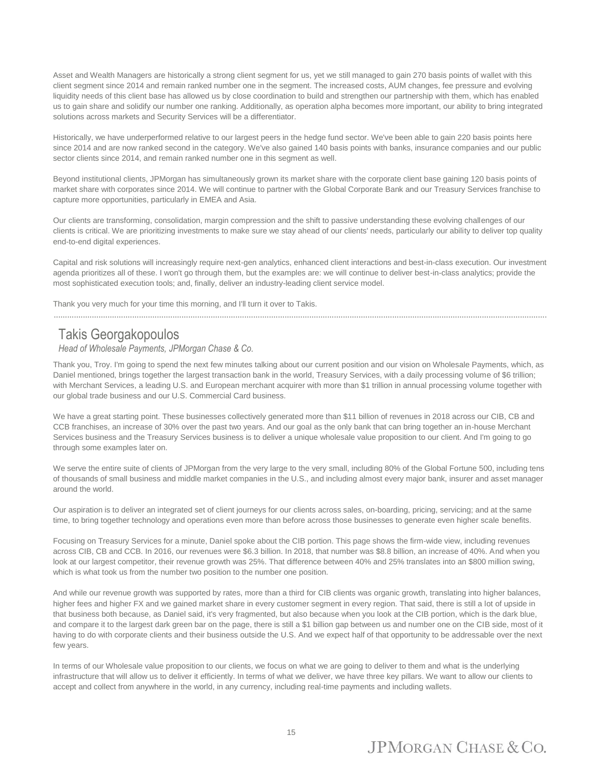Asset and Wealth Managers are historically a strong client segment for us, yet we still managed to gain 270 basis points of wallet with this client segment since 2014 and remain ranked number one in the segment. The increased costs, AUM changes, fee pressure and evolving liquidity needs of this client base has allowed us by close coordination to build and strengthen our partnership with them, which has enabled us to gain share and solidify our number one ranking. Additionally, as operation alpha becomes more important, our ability to bring integrated solutions across markets and Security Services will be a differentiator.

Historically, we have underperformed relative to our largest peers in the hedge fund sector. We've been able to gain 220 basis points here since 2014 and are now ranked second in the category. We've also gained 140 basis points with banks, insurance companies and our public sector clients since 2014, and remain ranked number one in this segment as well.

Beyond institutional clients, JPMorgan has simultaneously grown its market share with the corporate client base gaining 120 basis points of market share with corporates since 2014. We will continue to partner with the Global Corporate Bank and our Treasury Services franchise to capture more opportunities, particularly in EMEA and Asia.

Our clients are transforming, consolidation, margin compression and the shift to passive understanding these evolving challenges of our clients is critical. We are prioritizing investments to make sure we stay ahead of our clients' needs, particularly our ability to deliver top quality end-to-end digital experiences.

Capital and risk solutions will increasingly require next-gen analytics, enhanced client interactions and best-in-class execution. Our investment agenda prioritizes all of these. I won't go through them, but the examples are: we will continue to deliver best-in-class analytics; provide the most sophisticated execution tools; and, finally, deliver an industry-leading client service model.

Thank you very much for your time this morning, and I'll turn it over to Takis.

............................................................................................................................................................................................................................

#### Takis Georgakopoulos

#### *Head of Wholesale Payments, JPMorgan Chase & Co.*

Thank you, Troy. I'm going to spend the next few minutes talking about our current position and our vision on Wholesale Payments, which, as Daniel mentioned, brings together the largest transaction bank in the world, Treasury Services, with a daily processing volume of \$6 trillion; with Merchant Services, a leading U.S. and European merchant acquirer with more than \$1 trillion in annual processing volume together with our global trade business and our U.S. Commercial Card business.

We have a great starting point. These businesses collectively generated more than \$11 billion of revenues in 2018 across our CIB, CB and CCB franchises, an increase of 30% over the past two years. And our goal as the only bank that can bring together an in-house Merchant Services business and the Treasury Services business is to deliver a unique wholesale value proposition to our client. And I'm going to go through some examples later on.

We serve the entire suite of clients of JPMorgan from the very large to the very small, including 80% of the Global Fortune 500, including tens of thousands of small business and middle market companies in the U.S., and including almost every major bank, insurer and asset manager around the world.

Our aspiration is to deliver an integrated set of client journeys for our clients across sales, on-boarding, pricing, servicing; and at the same time, to bring together technology and operations even more than before across those businesses to generate even higher scale benefits.

Focusing on Treasury Services for a minute, Daniel spoke about the CIB portion. This page shows the firm-wide view, including revenues across CIB, CB and CCB. In 2016, our revenues were \$6.3 billion. In 2018, that number was \$8.8 billion, an increase of 40%. And when you look at our largest competitor, their revenue growth was 25%. That difference between 40% and 25% translates into an \$800 million swing, which is what took us from the number two position to the number one position.

And while our revenue growth was supported by rates, more than a third for CIB clients was organic growth, translating into higher balances, higher fees and higher FX and we gained market share in every customer segment in every region. That said, there is still a lot of upside in that business both because, as Daniel said, it's very fragmented, but also because when you look at the CIB portion, which is the dark blue, and compare it to the largest dark green bar on the page, there is still a \$1 billion gap between us and number one on the CIB side, most of it having to do with corporate clients and their business outside the U.S. And we expect half of that opportunity to be addressable over the next few years.

In terms of our Wholesale value proposition to our clients, we focus on what we are going to deliver to them and what is the underlying infrastructure that will allow us to deliver it efficiently. In terms of what we deliver, we have three key pillars. We want to allow our clients to accept and collect from anywhere in the world, in any currency, including real-time payments and including wallets.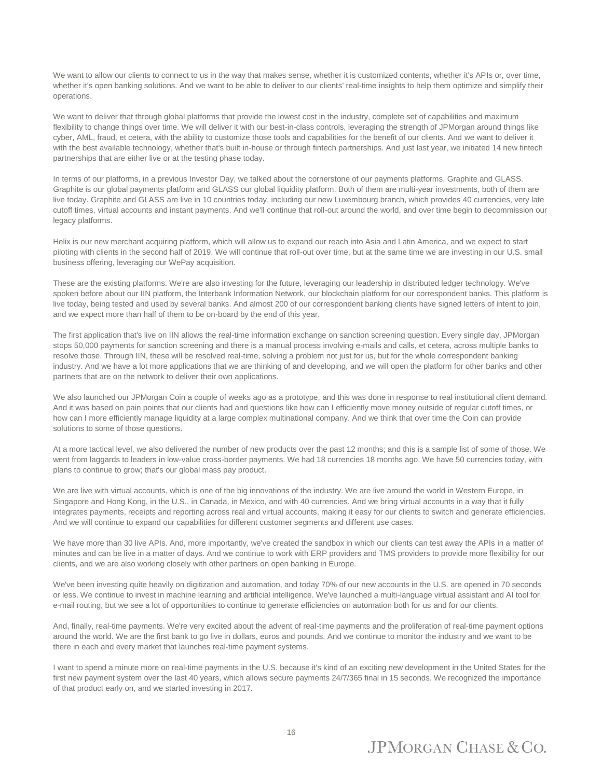We want to allow our clients to connect to us in the way that makes sense, whether it is customized contents, whether it's APIs or, over time, whether it's open banking solutions. And we want to be able to deliver to our clients' real-time insights to help them optimize and simplify their operations.

We want to deliver that through global platforms that provide the lowest cost in the industry, complete set of capabilities and maximum flexibility to change things over time. We will deliver it with our best-in-class controls, leveraging the strength of JPMorgan around things like cyber, AML, fraud, et cetera, with the ability to customize those tools and capabilities for the benefit of our clients. And we want to deliver it with the best available technology, whether that's built in-house or through fintech partnerships. And just last year, we initiated 14 new fintech partnerships that are either live or at the testing phase today.

In terms of our platforms, in a previous Investor Day, we talked about the cornerstone of our payments platforms, Graphite and GLASS. Graphite is our global payments platform and GLASS our global liquidity platform. Both of them are multi-year investments, both of them are live today. Graphite and GLASS are live in 10 countries today, including our new Luxembourg branch, which provides 40 currencies, very late cutoff times, virtual accounts and instant payments. And we'll continue that roll-out around the world, and over time begin to decommission our legacy platforms.

Helix is our new merchant acquiring platform, which will allow us to expand our reach into Asia and Latin America, and we expect to start piloting with clients in the second half of 2019. We will continue that roll-out over time, but at the same time we are investing in our U.S. small business offering, leveraging our WePay acquisition.

These are the existing platforms. We're are also investing for the future, leveraging our leadership in distributed ledger technology. We've spoken before about our IIN platform, the Interbank Information Network, our blockchain platform for our correspondent banks. This platform is live today, being tested and used by several banks. And almost 200 of our correspondent banking clients have signed letters of intent to join, and we expect more than half of them to be on-board by the end of this year.

The first application that's live on IIN allows the real-time information exchange on sanction screening question. Every single day, JPMorgan stops 50,000 payments for sanction screening and there is a manual process involving e-mails and calls, et cetera, across multiple banks to resolve those. Through IIN, these will be resolved real-time, solving a problem not just for us, but for the whole correspondent banking industry. And we have a lot more applications that we are thinking of and developing, and we will open the platform for other banks and other partners that are on the network to deliver their own applications.

We also launched our JPMorgan Coin a couple of weeks ago as a prototype, and this was done in response to real institutional client demand. And it was based on pain points that our clients had and questions like how can I efficiently move money outside of regular cutoff times, or how can I more efficiently manage liquidity at a large complex multinational company. And we think that over time the Coin can provide solutions to some of those questions.

At a more tactical level, we also delivered the number of new products over the past 12 months; and this is a sample list of some of those. We went from laggards to leaders in low-value cross-border payments. We had 18 currencies 18 months ago. We have 50 currencies today, with plans to continue to grow; that's our global mass pay product.

We are live with virtual accounts, which is one of the big innovations of the industry. We are live around the world in Western Europe, in Singapore and Hong Kong, in the U.S., in Canada, in Mexico, and with 40 currencies. And we bring virtual accounts in a way that it fully integrates payments, receipts and reporting across real and virtual accounts, making it easy for our clients to switch and generate efficiencies. And we will continue to expand our capabilities for different customer segments and different use cases.

We have more than 30 live APIs. And, more importantly, we've created the sandbox in which our clients can test away the APIs in a matter of minutes and can be live in a matter of days. And we continue to work with ERP providers and TMS providers to provide more flexibility for our clients, and we are also working closely with other partners on open banking in Europe.

We've been investing quite heavily on digitization and automation, and today 70% of our new accounts in the U.S. are opened in 70 seconds or less. We continue to invest in machine learning and artificial intelligence. We've launched a multi-language virtual assistant and AI tool for e-mail routing, but we see a lot of opportunities to continue to generate efficiencies on automation both for us and for our clients.

And, finally, real-time payments. We're very excited about the advent of real-time payments and the proliferation of real-time payment options around the world. We are the first bank to go live in dollars, euros and pounds. And we continue to monitor the industry and we want to be there in each and every market that launches real-time payment systems.

I want to spend a minute more on real-time payments in the U.S. because it's kind of an exciting new development in the United States for the first new payment system over the last 40 years, which allows secure payments 24/7/365 final in 15 seconds. We recognized the importance of that product early on, and we started investing in 2017.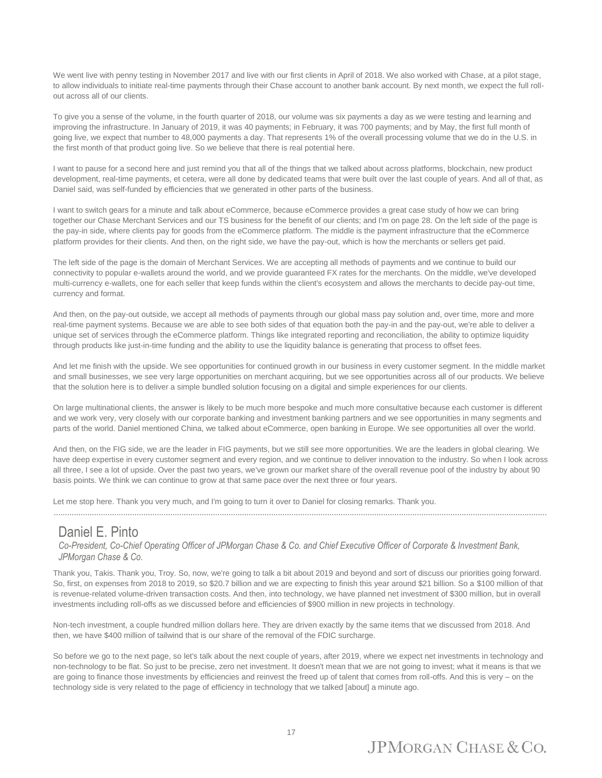We went live with penny testing in November 2017 and live with our first clients in April of 2018. We also worked with Chase, at a pilot stage, to allow individuals to initiate real-time payments through their Chase account to another bank account. By next month, we expect the full rollout across all of our clients.

To give you a sense of the volume, in the fourth quarter of 2018, our volume was six payments a day as we were testing and learning and improving the infrastructure. In January of 2019, it was 40 payments; in February, it was 700 payments; and by May, the first full month of going live, we expect that number to 48,000 payments a day. That represents 1% of the overall processing volume that we do in the U.S. in the first month of that product going live. So we believe that there is real potential here.

I want to pause for a second here and just remind you that all of the things that we talked about across platforms, blockchain, new product development, real-time payments, et cetera, were all done by dedicated teams that were built over the last couple of years. And all of that, as Daniel said, was self-funded by efficiencies that we generated in other parts of the business.

I want to switch gears for a minute and talk about eCommerce, because eCommerce provides a great case study of how we can bring together our Chase Merchant Services and our TS business for the benefit of our clients; and I'm on page 28. On the left side of the page is the pay-in side, where clients pay for goods from the eCommerce platform. The middle is the payment infrastructure that the eCommerce platform provides for their clients. And then, on the right side, we have the pay-out, which is how the merchants or sellers get paid.

The left side of the page is the domain of Merchant Services. We are accepting all methods of payments and we continue to build our connectivity to popular e-wallets around the world, and we provide guaranteed FX rates for the merchants. On the middle, we've developed multi-currency e-wallets, one for each seller that keep funds within the client's ecosystem and allows the merchants to decide pay-out time, currency and format.

And then, on the pay-out outside, we accept all methods of payments through our global mass pay solution and, over time, more and more real-time payment systems. Because we are able to see both sides of that equation both the pay-in and the pay-out, we're able to deliver a unique set of services through the eCommerce platform. Things like integrated reporting and reconciliation, the ability to optimize liquidity through products like just-in-time funding and the ability to use the liquidity balance is generating that process to offset fees.

And let me finish with the upside. We see opportunities for continued growth in our business in every customer segment. In the middle market and small businesses, we see very large opportunities on merchant acquiring, but we see opportunities across all of our products. We believe that the solution here is to deliver a simple bundled solution focusing on a digital and simple experiences for our clients.

On large multinational clients, the answer is likely to be much more bespoke and much more consultative because each customer is different and we work very, very closely with our corporate banking and investment banking partners and we see opportunities in many segments and parts of the world. Daniel mentioned China, we talked about eCommerce, open banking in Europe. We see opportunities all over the world.

And then, on the FIG side, we are the leader in FIG payments, but we still see more opportunities. We are the leaders in global clearing. We have deep expertise in every customer segment and every region, and we continue to deliver innovation to the industry. So when I look across all three, I see a lot of upside. Over the past two years, we've grown our market share of the overall revenue pool of the industry by about 90 basis points. We think we can continue to grow at that same pace over the next three or four years.

Let me stop here. Thank you very much, and I'm going to turn it over to Daniel for closing remarks. Thank you.

............................................................................................................................................................................................................................

#### Daniel E. Pinto

*Co-President, Co-Chief Operating Officer of JPMorgan Chase & Co. and Chief Executive Officer of Corporate & Investment Bank, JPMorgan Chase & Co.*

Thank you, Takis. Thank you, Troy. So, now, we're going to talk a bit about 2019 and beyond and sort of discuss our priorities going forward. So, first, on expenses from 2018 to 2019, so \$20.7 billion and we are expecting to finish this year around \$21 billion. So a \$100 million of that is revenue-related volume-driven transaction costs. And then, into technology, we have planned net investment of \$300 million, but in overall investments including roll-offs as we discussed before and efficiencies of \$900 million in new projects in technology.

Non-tech investment, a couple hundred million dollars here. They are driven exactly by the same items that we discussed from 2018. And then, we have \$400 million of tailwind that is our share of the removal of the FDIC surcharge.

So before we go to the next page, so let's talk about the next couple of years, after 2019, where we expect net investments in technology and non-technology to be flat. So just to be precise, zero net investment. It doesn't mean that we are not going to invest; what it means is that we are going to finance those investments by efficiencies and reinvest the freed up of talent that comes from roll-offs. And this is very – on the technology side is very related to the page of efficiency in technology that we talked [about] a minute ago.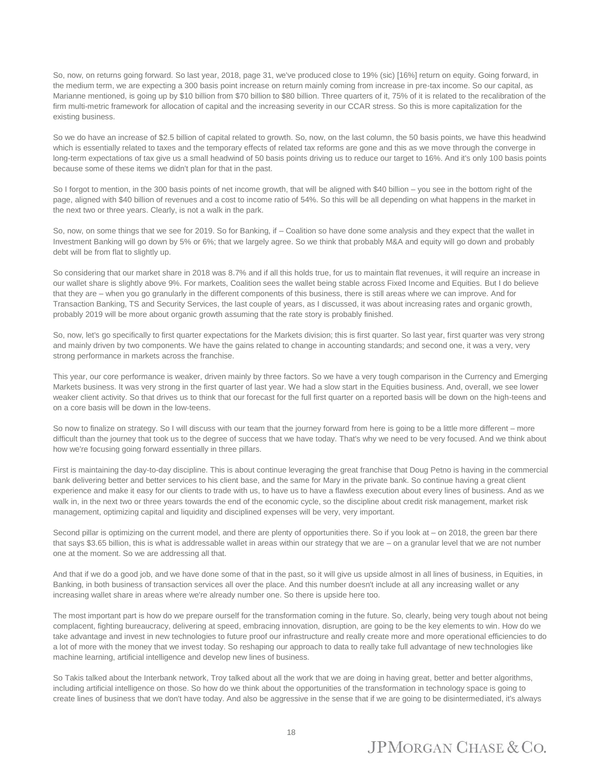So, now, on returns going forward. So last year, 2018, page 31, we've produced close to 19% (sic) [16%] return on equity. Going forward, in the medium term, we are expecting a 300 basis point increase on return mainly coming from increase in pre-tax income. So our capital, as Marianne mentioned, is going up by \$10 billion from \$70 billion to \$80 billion. Three quarters of it, 75% of it is related to the recalibration of the firm multi-metric framework for allocation of capital and the increasing severity in our CCAR stress. So this is more capitalization for the existing business.

So we do have an increase of \$2.5 billion of capital related to growth. So, now, on the last column, the 50 basis points, we have this headwind which is essentially related to taxes and the temporary effects of related tax reforms are gone and this as we move through the converge in long-term expectations of tax give us a small headwind of 50 basis points driving us to reduce our target to 16%. And it's only 100 basis points because some of these items we didn't plan for that in the past.

So I forgot to mention, in the 300 basis points of net income growth, that will be aligned with \$40 billion – you see in the bottom right of the page, aligned with \$40 billion of revenues and a cost to income ratio of 54%. So this will be all depending on what happens in the market in the next two or three years. Clearly, is not a walk in the park.

So, now, on some things that we see for 2019. So for Banking, if – Coalition so have done some analysis and they expect that the wallet in Investment Banking will go down by 5% or 6%; that we largely agree. So we think that probably M&A and equity will go down and probably debt will be from flat to slightly up.

So considering that our market share in 2018 was 8.7% and if all this holds true, for us to maintain flat revenues, it will require an increase in our wallet share is slightly above 9%. For markets, Coalition sees the wallet being stable across Fixed Income and Equities. But I do believe that they are – when you go granularly in the different components of this business, there is still areas where we can improve. And for Transaction Banking, TS and Security Services, the last couple of years, as I discussed, it was about increasing rates and organic growth, probably 2019 will be more about organic growth assuming that the rate story is probably finished.

So, now, let's go specifically to first quarter expectations for the Markets division; this is first quarter. So last year, first quarter was very strong and mainly driven by two components. We have the gains related to change in accounting standards; and second one, it was a very, very strong performance in markets across the franchise.

This year, our core performance is weaker, driven mainly by three factors. So we have a very tough comparison in the Currency and Emerging Markets business. It was very strong in the first quarter of last year. We had a slow start in the Equities business. And, overall, we see lower weaker client activity. So that drives us to think that our forecast for the full first quarter on a reported basis will be down on the high-teens and on a core basis will be down in the low-teens.

So now to finalize on strategy. So I will discuss with our team that the journey forward from here is going to be a little more different – more difficult than the journey that took us to the degree of success that we have today. That's why we need to be very focused. And we think about how we're focusing going forward essentially in three pillars.

First is maintaining the day-to-day discipline. This is about continue leveraging the great franchise that Doug Petno is having in the commercial bank delivering better and better services to his client base, and the same for Mary in the private bank. So continue having a great client experience and make it easy for our clients to trade with us, to have us to have a flawless execution about every lines of business. And as we walk in, in the next two or three years towards the end of the economic cycle, so the discipline about credit risk management, market risk management, optimizing capital and liquidity and disciplined expenses will be very, very important.

Second pillar is optimizing on the current model, and there are plenty of opportunities there. So if you look at – on 2018, the green bar there that says \$3.65 billion, this is what is addressable wallet in areas within our strategy that we are – on a granular level that we are not number one at the moment. So we are addressing all that.

And that if we do a good job, and we have done some of that in the past, so it will give us upside almost in all lines of business, in Equities, in Banking, in both business of transaction services all over the place. And this number doesn't include at all any increasing wallet or any increasing wallet share in areas where we're already number one. So there is upside here too.

The most important part is how do we prepare ourself for the transformation coming in the future. So, clearly, being very tough about not being complacent, fighting bureaucracy, delivering at speed, embracing innovation, disruption, are going to be the key elements to win. How do we take advantage and invest in new technologies to future proof our infrastructure and really create more and more operational efficiencies to do a lot of more with the money that we invest today. So reshaping our approach to data to really take full advantage of new technologies like machine learning, artificial intelligence and develop new lines of business.

So Takis talked about the Interbank network, Troy talked about all the work that we are doing in having great, better and better algorithms, including artificial intelligence on those. So how do we think about the opportunities of the transformation in technology space is going to create lines of business that we don't have today. And also be aggressive in the sense that if we are going to be disintermediated, it's always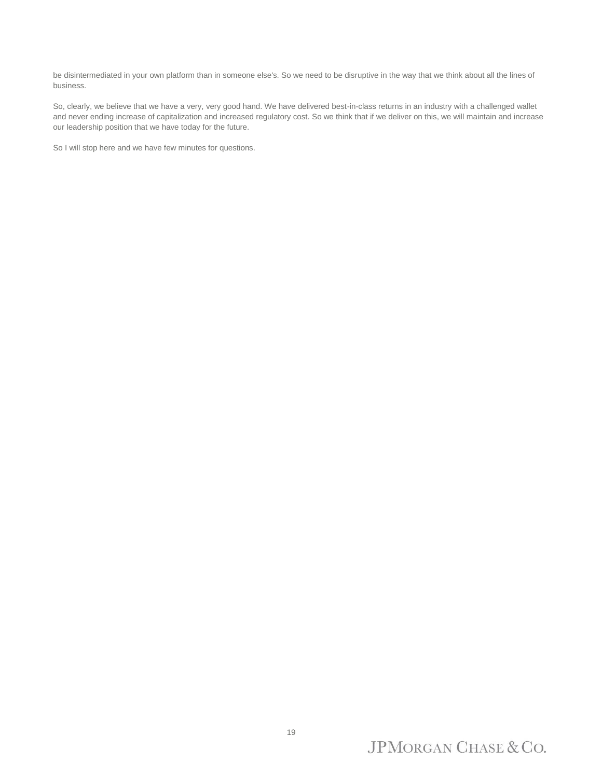be disintermediated in your own platform than in someone else's. So we need to be disruptive in the way that we think about all the lines of business.

So, clearly, we believe that we have a very, very good hand. We have delivered best-in-class returns in an industry with a challenged wallet and never ending increase of capitalization and increased regulatory cost. So we think that if we deliver on this, we will maintain and increase our leadership position that we have today for the future.

So I will stop here and we have few minutes for questions.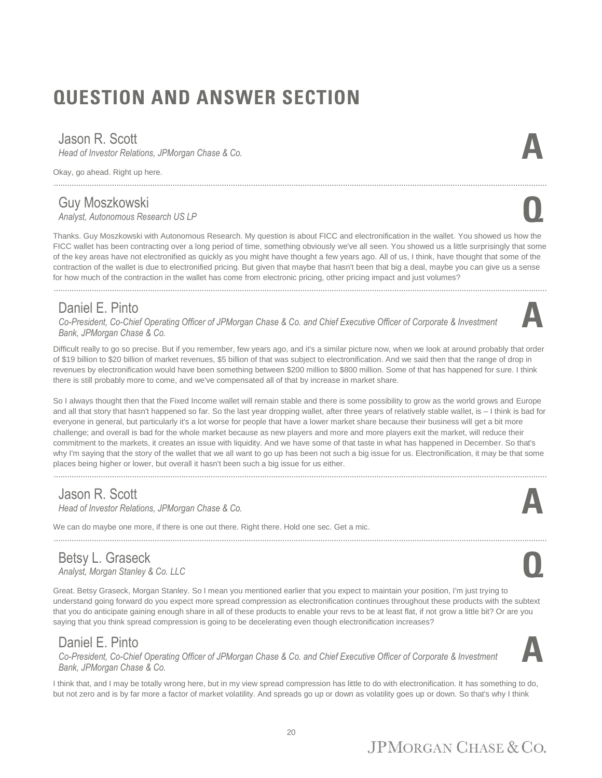# **QUESTION AND ANSWER SECTION**

#### Jason R. Scott

*Head of Investor Relations, JPMorgan Chase & Co.* 

Okay, go ahead. Right up here.

#### Guy Moszkowski *Analyst, Autonomous Research US LP* **Q**

Thanks. Guy Moszkowski with Autonomous Research. My question is about FICC and electronification in the wallet. You showed us how the FICC wallet has been contracting over a long period of time, something obviously we've all seen. You showed us a little surprisingly that some of the key areas have not electronified as quickly as you might have thought a few years ago. All of us, I think, have thought that some of the contraction of the wallet is due to electronified pricing. But given that maybe that hasn't been that big a deal, maybe you can give us a sense for how much of the contraction in the wallet has come from electronic pricing, other pricing impact and just volumes?

............................................................................................................................................................................................................................

............................................................................................................................................................................................................................

#### Daniel E. Pinto

*Co-President, Co-Chief Operating Officer of JPMorgan Chase & Co. and Chief Executive Officer of Corporate & Investment Bank, JPMorgan Chase & Co.*

Difficult really to go so precise. But if you remember, few years ago, and it's a similar picture now, when we look at around probably that order of \$19 billion to \$20 billion of market revenues, \$5 billion of that was subject to electronification. And we said then that the range of drop in revenues by electronification would have been something between \$200 million to \$800 million. Some of that has happened for sure. I think there is still probably more to come, and we've compensated all of that by increase in market share.

So I always thought then that the Fixed Income wallet will remain stable and there is some possibility to grow as the world grows and Europe and all that story that hasn't happened so far. So the last year dropping wallet, after three years of relatively stable wallet, is – I think is bad for everyone in general, but particularly it's a lot worse for people that have a lower market share because their business will get a bit more challenge; and overall is bad for the whole market because as new players and more and more players exit the market, will reduce their commitment to the markets, it creates an issue with liquidity. And we have some of that taste in what has happened in December. So that's why I'm saying that the story of the wallet that we all want to go up has been not such a big issue for us. Electronification, it may be that some places being higher or lower, but overall it hasn't been such a big issue for us either.

#### Jason R. Scott

*Head of Investor Relations, JPMorgan Chase & Co.* 

We can do maybe one more, if there is one out there. Right there. Hold one sec. Get a mic.

#### Betsy L. Graseck *Analyst, Morgan Stanley & Co. LLC* **Q**

Great. Betsy Graseck, Morgan Stanley. So I mean you mentioned earlier that you expect to maintain your position, I'm just trying to understand going forward do you expect more spread compression as electronification continues throughout these products with the subtext that you do anticipate gaining enough share in all of these products to enable your revs to be at least flat, if not grow a little bit? Or are you saying that you think spread compression is going to be decelerating even though electronification increases?

............................................................................................................................................................................................................................

#### Daniel E. Pinto

*Co-President, Co-Chief Operating Officer of JPMorgan Chase & Co. and Chief Executive Officer of Corporate & Investment Bank, JPMorgan Chase & Co.*

I think that, and I may be totally wrong here, but in my view spread compression has little to do with electronification. It has something to do, but not zero and is by far more a factor of market volatility. And spreads go up or down as volatility goes up or down. So that's why I think











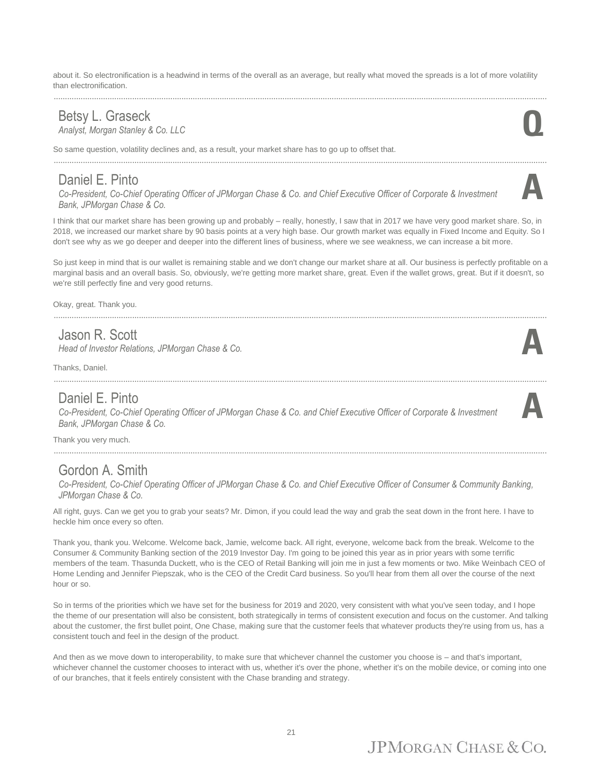about it. So electronification is a headwind in terms of the overall as an average, but really what moved the spreads is a lot of more volatility than electronification.

#### Betsy L. Graseck<br>Analyst, Morgan Stanley & Co. LLC *Analyst, Morgan Stanley & Co. LLC* **Q**

So same question, volatility declines and, as a result, your market share has to go up to offset that.

............................................................................................................................................................................................................................

#### Daniel E. Pinto

*Co-President, Co-Chief Operating Officer of JPMorgan Chase & Co. and Chief Executive Officer of Corporate & Investment Bank, JPMorgan Chase & Co.*

I think that our market share has been growing up and probably – really, honestly, I saw that in 2017 we have very good market share. So, in 2018, we increased our market share by 90 basis points at a very high base. Our growth market was equally in Fixed Income and Equity. So I don't see why as we go deeper and deeper into the different lines of business, where we see weakness, we can increase a bit more.

So just keep in mind that is our wallet is remaining stable and we don't change our market share at all. Our business is perfectly profitable on a marginal basis and an overall basis. So, obviously, we're getting more market share, great. Even if the wallet grows, great. But if it doesn't, so we're still perfectly fine and very good returns.

............................................................................................................................................................................................................................

Okay, great. Thank you.

#### Jason R. Scott

*Head of Investor Relations, JPMorgan Chase & Co.* 

Thanks, Daniel.

#### Daniel E. Pinto

*Co-President, Co-Chief Operating Officer of JPMorgan Chase & Co. and Chief Executive Officer of Corporate & Investment Bank, JPMorgan Chase & Co.*

............................................................................................................................................................................................................................

Thank you very much.

#### Gordon A. Smith

*Co-President, Co-Chief Operating Officer of JPMorgan Chase & Co. and Chief Executive Officer of Consumer & Community Banking, JPMorgan Chase & Co.*

All right, guys. Can we get you to grab your seats? Mr. Dimon, if you could lead the way and grab the seat down in the front here. I have to heckle him once every so often.

Thank you, thank you. Welcome. Welcome back, Jamie, welcome back. All right, everyone, welcome back from the break. Welcome to the Consumer & Community Banking section of the 2019 Investor Day. I'm going to be joined this year as in prior years with some terrific members of the team. Thasunda Duckett, who is the CEO of Retail Banking will join me in just a few moments or two. Mike Weinbach CEO of Home Lending and Jennifer Piepszak, who is the CEO of the Credit Card business. So you'll hear from them all over the course of the next hour or so.

So in terms of the priorities which we have set for the business for 2019 and 2020, very consistent with what you've seen today, and I hope the theme of our presentation will also be consistent, both strategically in terms of consistent execution and focus on the customer. And talking about the customer, the first bullet point, One Chase, making sure that the customer feels that whatever products they're using from us, has a consistent touch and feel in the design of the product.

And then as we move down to interoperability, to make sure that whichever channel the customer you choose is – and that's important, whichever channel the customer chooses to interact with us, whether it's over the phone, whether it's on the mobile device, or coming into one of our branches, that it feels entirely consistent with the Chase branding and strategy.





**A**



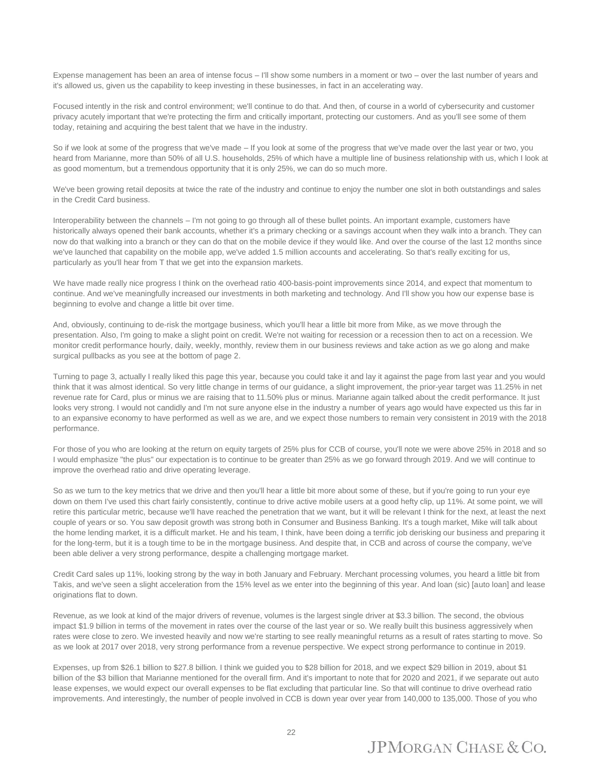Expense management has been an area of intense focus – I'll show some numbers in a moment or two – over the last number of years and it's allowed us, given us the capability to keep investing in these businesses, in fact in an accelerating way.

Focused intently in the risk and control environment; we'll continue to do that. And then, of course in a world of cybersecurity and customer privacy acutely important that we're protecting the firm and critically important, protecting our customers. And as you'll see some of them today, retaining and acquiring the best talent that we have in the industry.

So if we look at some of the progress that we've made – If you look at some of the progress that we've made over the last year or two, you heard from Marianne, more than 50% of all U.S. households, 25% of which have a multiple line of business relationship with us, which I look at as good momentum, but a tremendous opportunity that it is only 25%, we can do so much more.

We've been growing retail deposits at twice the rate of the industry and continue to enjoy the number one slot in both outstandings and sales in the Credit Card business.

Interoperability between the channels – I'm not going to go through all of these bullet points. An important example, customers have historically always opened their bank accounts, whether it's a primary checking or a savings account when they walk into a branch. They can now do that walking into a branch or they can do that on the mobile device if they would like. And over the course of the last 12 months since we've launched that capability on the mobile app, we've added 1.5 million accounts and accelerating. So that's really exciting for us, particularly as you'll hear from T that we get into the expansion markets.

We have made really nice progress I think on the overhead ratio 400-basis-point improvements since 2014, and expect that momentum to continue. And we've meaningfully increased our investments in both marketing and technology. And I'll show you how our expense base is beginning to evolve and change a little bit over time.

And, obviously, continuing to de-risk the mortgage business, which you'll hear a little bit more from Mike, as we move through the presentation. Also, I'm going to make a slight point on credit. We're not waiting for recession or a recession then to act on a recession. We monitor credit performance hourly, daily, weekly, monthly, review them in our business reviews and take action as we go along and make surgical pullbacks as you see at the bottom of page 2.

Turning to page 3, actually I really liked this page this year, because you could take it and lay it against the page from last year and you would think that it was almost identical. So very little change in terms of our guidance, a slight improvement, the prior-year target was 11.25% in net revenue rate for Card, plus or minus we are raising that to 11.50% plus or minus. Marianne again talked about the credit performance. It just looks very strong. I would not candidly and I'm not sure anyone else in the industry a number of years ago would have expected us this far in to an expansive economy to have performed as well as we are, and we expect those numbers to remain very consistent in 2019 with the 2018 performance.

For those of you who are looking at the return on equity targets of 25% plus for CCB of course, you'll note we were above 25% in 2018 and so I would emphasize "the plus" our expectation is to continue to be greater than 25% as we go forward through 2019. And we will continue to improve the overhead ratio and drive operating leverage.

So as we turn to the key metrics that we drive and then you'll hear a little bit more about some of these, but if you're going to run your eye down on them I've used this chart fairly consistently, continue to drive active mobile users at a good hefty clip, up 11%. At some point, we will retire this particular metric, because we'll have reached the penetration that we want, but it will be relevant I think for the next, at least the next couple of years or so. You saw deposit growth was strong both in Consumer and Business Banking. It's a tough market, Mike will talk about the home lending market, it is a difficult market. He and his team, I think, have been doing a terrific job derisking our business and preparing it for the long-term, but it is a tough time to be in the mortgage business. And despite that, in CCB and across of course the company, we've been able deliver a very strong performance, despite a challenging mortgage market.

Credit Card sales up 11%, looking strong by the way in both January and February. Merchant processing volumes, you heard a little bit from Takis, and we've seen a slight acceleration from the 15% level as we enter into the beginning of this year. And loan (sic) [auto loan] and lease originations flat to down.

Revenue, as we look at kind of the major drivers of revenue, volumes is the largest single driver at \$3.3 billion. The second, the obvious impact \$1.9 billion in terms of the movement in rates over the course of the last year or so. We really built this business aggressively when rates were close to zero. We invested heavily and now we're starting to see really meaningful returns as a result of rates starting to move. So as we look at 2017 over 2018, very strong performance from a revenue perspective. We expect strong performance to continue in 2019.

Expenses, up from \$26.1 billion to \$27.8 billion. I think we guided you to \$28 billion for 2018, and we expect \$29 billion in 2019, about \$1 billion of the \$3 billion that Marianne mentioned for the overall firm. And it's important to note that for 2020 and 2021, if we separate out auto lease expenses, we would expect our overall expenses to be flat excluding that particular line. So that will continue to drive overhead ratio improvements. And interestingly, the number of people involved in CCB is down year over year from 140,000 to 135,000. Those of you who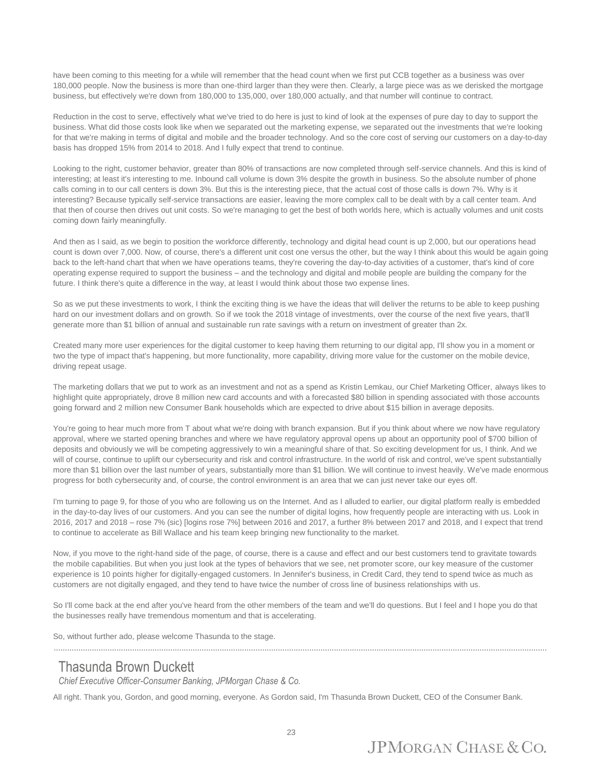have been coming to this meeting for a while will remember that the head count when we first put CCB together as a business was over 180,000 people. Now the business is more than one-third larger than they were then. Clearly, a large piece was as we derisked the mortgage business, but effectively we're down from 180,000 to 135,000, over 180,000 actually, and that number will continue to contract.

Reduction in the cost to serve, effectively what we've tried to do here is just to kind of look at the expenses of pure day to day to support the business. What did those costs look like when we separated out the marketing expense, we separated out the investments that we're looking for that we're making in terms of digital and mobile and the broader technology. And so the core cost of serving our customers on a day-to-day basis has dropped 15% from 2014 to 2018. And I fully expect that trend to continue.

Looking to the right, customer behavior, greater than 80% of transactions are now completed through self-service channels. And this is kind of interesting; at least it's interesting to me. Inbound call volume is down 3% despite the growth in business. So the absolute number of phone calls coming in to our call centers is down 3%. But this is the interesting piece, that the actual cost of those calls is down 7%. Why is it interesting? Because typically self-service transactions are easier, leaving the more complex call to be dealt with by a call center team. And that then of course then drives out unit costs. So we're managing to get the best of both worlds here, which is actually volumes and unit costs coming down fairly meaningfully.

And then as I said, as we begin to position the workforce differently, technology and digital head count is up 2,000, but our operations head count is down over 7,000. Now, of course, there's a different unit cost one versus the other, but the way I think about this would be again going back to the left-hand chart that when we have operations teams, they're covering the day-to-day activities of a customer, that's kind of core operating expense required to support the business – and the technology and digital and mobile people are building the company for the future. I think there's quite a difference in the way, at least I would think about those two expense lines.

So as we put these investments to work, I think the exciting thing is we have the ideas that will deliver the returns to be able to keep pushing hard on our investment dollars and on growth. So if we took the 2018 vintage of investments, over the course of the next five years, that'll generate more than \$1 billion of annual and sustainable run rate savings with a return on investment of greater than 2x.

Created many more user experiences for the digital customer to keep having them returning to our digital app, I'll show you in a moment or two the type of impact that's happening, but more functionality, more capability, driving more value for the customer on the mobile device, driving repeat usage.

The marketing dollars that we put to work as an investment and not as a spend as Kristin Lemkau, our Chief Marketing Officer, always likes to highlight quite appropriately, drove 8 million new card accounts and with a forecasted \$80 billion in spending associated with those accounts going forward and 2 million new Consumer Bank households which are expected to drive about \$15 billion in average deposits.

You're going to hear much more from T about what we're doing with branch expansion. But if you think about where we now have regulatory approval, where we started opening branches and where we have regulatory approval opens up about an opportunity pool of \$700 billion of deposits and obviously we will be competing aggressively to win a meaningful share of that. So exciting development for us, I think. And we will of course, continue to uplift our cybersecurity and risk and control infrastructure. In the world of risk and control, we've spent substantially more than \$1 billion over the last number of years, substantially more than \$1 billion. We will continue to invest heavily. We've made enormous progress for both cybersecurity and, of course, the control environment is an area that we can just never take our eyes off.

I'm turning to page 9, for those of you who are following us on the Internet. And as I alluded to earlier, our digital platform really is embedded in the day-to-day lives of our customers. And you can see the number of digital logins, how frequently people are interacting with us. Look in 2016, 2017 and 2018 – rose 7% (sic) [logins rose 7%] between 2016 and 2017, a further 8% between 2017 and 2018, and I expect that trend to continue to accelerate as Bill Wallace and his team keep bringing new functionality to the market.

Now, if you move to the right-hand side of the page, of course, there is a cause and effect and our best customers tend to gravitate towards the mobile capabilities. But when you just look at the types of behaviors that we see, net promoter score, our key measure of the customer experience is 10 points higher for digitally-engaged customers. In Jennifer's business, in Credit Card, they tend to spend twice as much as customers are not digitally engaged, and they tend to have twice the number of cross line of business relationships with us.

So I'll come back at the end after you've heard from the other members of the team and we'll do questions. But I feel and I hope you do that the businesses really have tremendous momentum and that is accelerating.

So, without further ado, please welcome Thasunda to the stage.

#### Thasunda Brown Duckett

*Chief Executive Officer-Consumer Banking, JPMorgan Chase & Co.*

All right. Thank you, Gordon, and good morning, everyone. As Gordon said, I'm Thasunda Brown Duckett, CEO of the Consumer Bank.

............................................................................................................................................................................................................................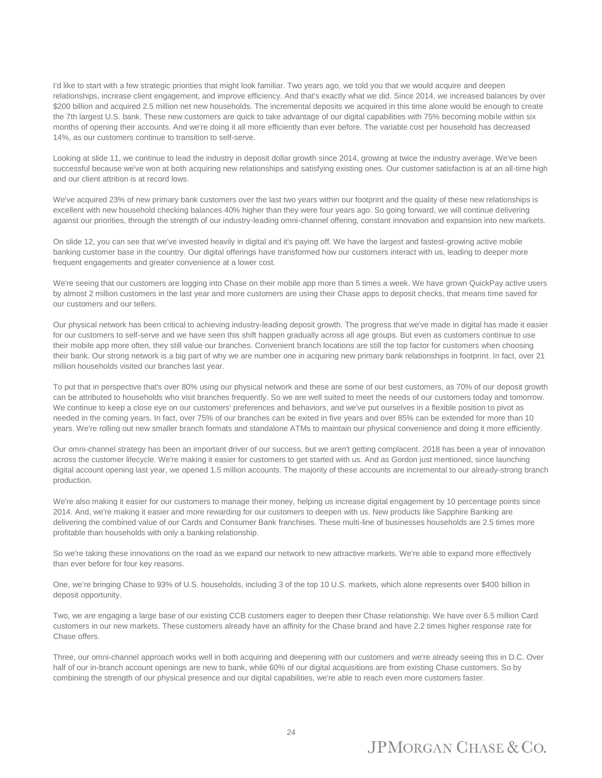I'd like to start with a few strategic priorities that might look familiar. Two years ago, we told you that we would acquire and deepen relationships, increase client engagement, and improve efficiency. And that's exactly what we did. Since 2014, we increased balances by over \$200 billion and acquired 2.5 million net new households. The incremental deposits we acquired in this time alone would be enough to create the 7th largest U.S. bank. These new customers are quick to take advantage of our digital capabilities with 75% becoming mobile within six months of opening their accounts. And we're doing it all more efficiently than ever before. The variable cost per household has decreased 14%, as our customers continue to transition to self-serve.

Looking at slide 11, we continue to lead the industry in deposit dollar growth since 2014, growing at twice the industry average. We've been successful because we've won at both acquiring new relationships and satisfying existing ones. Our customer satisfaction is at an all-time high and our client attrition is at record lows.

We've acquired 23% of new primary bank customers over the last two years within our footprint and the quality of these new relationships is excellent with new household checking balances 40% higher than they were four years ago. So going forward, we will continue delivering against our priorities, through the strength of our industry-leading omni-channel offering, constant innovation and expansion into new markets.

On slide 12, you can see that we've invested heavily in digital and it's paying off. We have the largest and fastest-growing active mobile banking customer base in the country. Our digital offerings have transformed how our customers interact with us, leading to deeper more frequent engagements and greater convenience at a lower cost.

We're seeing that our customers are logging into Chase on their mobile app more than 5 times a week. We have grown QuickPay active users by almost 2 million customers in the last year and more customers are using their Chase apps to deposit checks, that means time saved for our customers and our tellers.

Our physical network has been critical to achieving industry-leading deposit growth. The progress that we've made in digital has made it easier for our customers to self-serve and we have seen this shift happen gradually across all age groups. But even as customers continue to use their mobile app more often, they still value our branches. Convenient branch locations are still the top factor for customers when choosing their bank. Our strong network is a big part of why we are number one in acquiring new primary bank relationships in footprint. In fact, over 21 million households visited our branches last year.

To put that in perspective that's over 80% using our physical network and these are some of our best customers, as 70% of our deposit growth can be attributed to households who visit branches frequently. So we are well suited to meet the needs of our customers today and tomorrow. We continue to keep a close eye on our customers' preferences and behaviors, and we've put ourselves in a flexible position to pivot as needed in the coming years. In fact, over 75% of our branches can be exited in five years and over 85% can be extended for more than 10 years. We're rolling out new smaller branch formats and standalone ATMs to maintain our physical convenience and doing it more efficiently.

Our omni-channel strategy has been an important driver of our success, but we aren't getting complacent. 2018 has been a year of innovation across the customer lifecycle. We're making it easier for customers to get started with us. And as Gordon just mentioned, since launching digital account opening last year, we opened 1.5 million accounts. The majority of these accounts are incremental to our already-strong branch production.

We're also making it easier for our customers to manage their money, helping us increase digital engagement by 10 percentage points since 2014. And, we're making it easier and more rewarding for our customers to deepen with us. New products like Sapphire Banking are delivering the combined value of our Cards and Consumer Bank franchises. These multi-line of businesses households are 2.5 times more profitable than households with only a banking relationship.

So we're taking these innovations on the road as we expand our network to new attractive markets. We're able to expand more effectively than ever before for four key reasons.

One, we're bringing Chase to 93% of U.S. households, including 3 of the top 10 U.S. markets, which alone represents over \$400 billion in deposit opportunity.

Two, we are engaging a large base of our existing CCB customers eager to deepen their Chase relationship. We have over 6.5 million Card customers in our new markets. These customers already have an affinity for the Chase brand and have 2.2 times higher response rate for Chase offers.

Three, our omni-channel approach works well in both acquiring and deepening with our customers and we're already seeing this in D.C. Over half of our in-branch account openings are new to bank, while 60% of our digital acquisitions are from existing Chase customers. So by combining the strength of our physical presence and our digital capabilities, we're able to reach even more customers faster.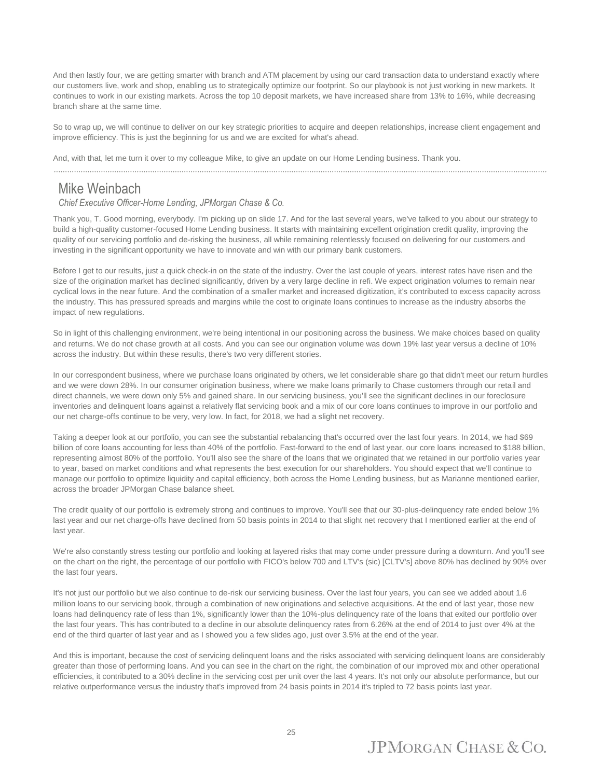And then lastly four, we are getting smarter with branch and ATM placement by using our card transaction data to understand exactly where our customers live, work and shop, enabling us to strategically optimize our footprint. So our playbook is not just working in new markets. It continues to work in our existing markets. Across the top 10 deposit markets, we have increased share from 13% to 16%, while decreasing branch share at the same time.

So to wrap up, we will continue to deliver on our key strategic priorities to acquire and deepen relationships, increase client engagement and improve efficiency. This is just the beginning for us and we are excited for what's ahead.

And, with that, let me turn it over to my colleague Mike, to give an update on our Home Lending business. Thank you.

............................................................................................................................................................................................................................

#### Mike Weinbach

*Chief Executive Officer-Home Lending, JPMorgan Chase & Co.*

Thank you, T. Good morning, everybody. I'm picking up on slide 17. And for the last several years, we've talked to you about our strategy to build a high-quality customer-focused Home Lending business. It starts with maintaining excellent origination credit quality, improving the quality of our servicing portfolio and de-risking the business, all while remaining relentlessly focused on delivering for our customers and investing in the significant opportunity we have to innovate and win with our primary bank customers.

Before I get to our results, just a quick check-in on the state of the industry. Over the last couple of years, interest rates have risen and the size of the origination market has declined significantly, driven by a very large decline in refi. We expect origination volumes to remain near cyclical lows in the near future. And the combination of a smaller market and increased digitization, it's contributed to excess capacity across the industry. This has pressured spreads and margins while the cost to originate loans continues to increase as the industry absorbs the impact of new regulations.

So in light of this challenging environment, we're being intentional in our positioning across the business. We make choices based on quality and returns. We do not chase growth at all costs. And you can see our origination volume was down 19% last year versus a decline of 10% across the industry. But within these results, there's two very different stories.

In our correspondent business, where we purchase loans originated by others, we let considerable share go that didn't meet our return hurdles and we were down 28%. In our consumer origination business, where we make loans primarily to Chase customers through our retail and direct channels, we were down only 5% and gained share. In our servicing business, you'll see the significant declines in our foreclosure inventories and delinquent loans against a relatively flat servicing book and a mix of our core loans continues to improve in our portfolio and our net charge-offs continue to be very, very low. In fact, for 2018, we had a slight net recovery.

Taking a deeper look at our portfolio, you can see the substantial rebalancing that's occurred over the last four years. In 2014, we had \$69 billion of core loans accounting for less than 40% of the portfolio. Fast-forward to the end of last year, our core loans increased to \$188 billion, representing almost 80% of the portfolio. You'll also see the share of the loans that we originated that we retained in our portfolio varies year to year, based on market conditions and what represents the best execution for our shareholders. You should expect that we'll continue to manage our portfolio to optimize liquidity and capital efficiency, both across the Home Lending business, but as Marianne mentioned earlier, across the broader JPMorgan Chase balance sheet.

The credit quality of our portfolio is extremely strong and continues to improve. You'll see that our 30-plus-delinquency rate ended below 1% last year and our net charge-offs have declined from 50 basis points in 2014 to that slight net recovery that I mentioned earlier at the end of last year.

We're also constantly stress testing our portfolio and looking at layered risks that may come under pressure during a downturn. And you'll see on the chart on the right, the percentage of our portfolio with FICO's below 700 and LTV's (sic) [CLTV's] above 80% has declined by 90% over the last four years.

It's not just our portfolio but we also continue to de-risk our servicing business. Over the last four years, you can see we added about 1.6 million loans to our servicing book, through a combination of new originations and selective acquisitions. At the end of last year, those new loans had delinquency rate of less than 1%, significantly lower than the 10%-plus delinquency rate of the loans that exited our portfolio over the last four years. This has contributed to a decline in our absolute delinquency rates from 6.26% at the end of 2014 to just over 4% at the end of the third quarter of last year and as I showed you a few slides ago, just over 3.5% at the end of the year.

And this is important, because the cost of servicing delinquent loans and the risks associated with servicing delinquent loans are considerably greater than those of performing loans. And you can see in the chart on the right, the combination of our improved mix and other operational efficiencies, it contributed to a 30% decline in the servicing cost per unit over the last 4 years. It's not only our absolute performance, but our relative outperformance versus the industry that's improved from 24 basis points in 2014 it's tripled to 72 basis points last year.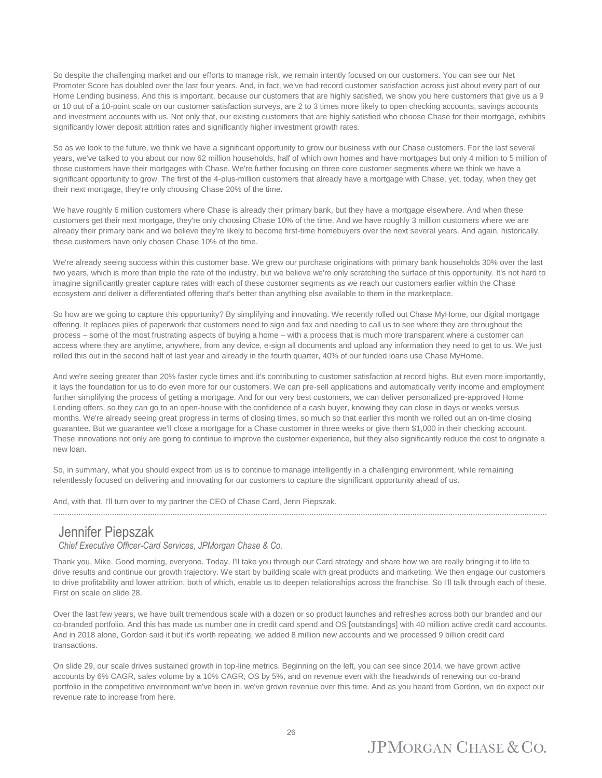So despite the challenging market and our efforts to manage risk, we remain intently focused on our customers. You can see our Net Promoter Score has doubled over the last four years. And, in fact, we've had record customer satisfaction across just about every part of our Home Lending business. And this is important, because our customers that are highly satisfied, we show you here customers that give us a 9 or 10 out of a 10-point scale on our customer satisfaction surveys, are 2 to 3 times more likely to open checking accounts, savings accounts and investment accounts with us. Not only that, our existing customers that are highly satisfied who choose Chase for their mortgage, exhibits significantly lower deposit attrition rates and significantly higher investment growth rates.

So as we look to the future, we think we have a significant opportunity to grow our business with our Chase customers. For the last several years, we've talked to you about our now 62 million households, half of which own homes and have mortgages but only 4 million to 5 million of those customers have their mortgages with Chase. We're further focusing on three core customer segments where we think we have a significant opportunity to grow. The first of the 4-plus-million customers that already have a mortgage with Chase, yet, today, when they get their next mortgage, they're only choosing Chase 20% of the time.

We have roughly 6 million customers where Chase is already their primary bank, but they have a mortgage elsewhere. And when these customers get their next mortgage, they're only choosing Chase 10% of the time. And we have roughly 3 million customers where we are already their primary bank and we believe they're likely to become first-time homebuyers over the next several years. And again, historically, these customers have only chosen Chase 10% of the time.

We're already seeing success within this customer base. We grew our purchase originations with primary bank households 30% over the last two years, which is more than triple the rate of the industry, but we believe we're only scratching the surface of this opportunity. It's not hard to imagine significantly greater capture rates with each of these customer segments as we reach our customers earlier within the Chase ecosystem and deliver a differentiated offering that's better than anything else available to them in the marketplace.

So how are we going to capture this opportunity? By simplifying and innovating. We recently rolled out Chase MyHome, our digital mortgage offering. It replaces piles of paperwork that customers need to sign and fax and needing to call us to see where they are throughout the process – some of the most frustrating aspects of buying a home – with a process that is much more transparent where a customer can access where they are anytime, anywhere, from any device, e-sign all documents and upload any information they need to get to us. We just rolled this out in the second half of last year and already in the fourth quarter, 40% of our funded loans use Chase MyHome.

And we're seeing greater than 20% faster cycle times and it's contributing to customer satisfaction at record highs. But even more importantly, it lays the foundation for us to do even more for our customers. We can pre-sell applications and automatically verify income and employment further simplifying the process of getting a mortgage. And for our very best customers, we can deliver personalized pre-approved Home Lending offers, so they can go to an open-house with the confidence of a cash buyer, knowing they can close in days or weeks versus months. We're already seeing great progress in terms of closing times, so much so that earlier this month we rolled out an on-time closing guarantee. But we guarantee we'll close a mortgage for a Chase customer in three weeks or give them \$1,000 in their checking account. These innovations not only are going to continue to improve the customer experience, but they also significantly reduce the cost to originate a new loan.

So, in summary, what you should expect from us is to continue to manage intelligently in a challenging environment, while remaining relentlessly focused on delivering and innovating for our customers to capture the significant opportunity ahead of us.

And, with that, I'll turn over to my partner the CEO of Chase Card, Jenn Piepszak.

............................................................................................................................................................................................................................

#### Jennifer Piepszak

*Chief Executive Officer-Card Services, JPMorgan Chase & Co.*

Thank you, Mike. Good morning, everyone. Today, I'll take you through our Card strategy and share how we are really bringing it to life to drive results and continue our growth trajectory. We start by building scale with great products and marketing. We then engage our customers to drive profitability and lower attrition, both of which, enable us to deepen relationships across the franchise. So I'll talk through each of these. First on scale on slide 28.

Over the last few years, we have built tremendous scale with a dozen or so product launches and refreshes across both our branded and our co-branded portfolio. And this has made us number one in credit card spend and OS [outstandings] with 40 million active credit card accounts. And in 2018 alone, Gordon said it but it's worth repeating, we added 8 million new accounts and we processed 9 billion credit card transactions.

On slide 29, our scale drives sustained growth in top-line metrics. Beginning on the left, you can see since 2014, we have grown active accounts by 6% CAGR, sales volume by a 10% CAGR, OS by 5%, and on revenue even with the headwinds of renewing our co-brand portfolio in the competitive environment we've been in, we've grown revenue over this time. And as you heard from Gordon, we do expect our revenue rate to increase from here.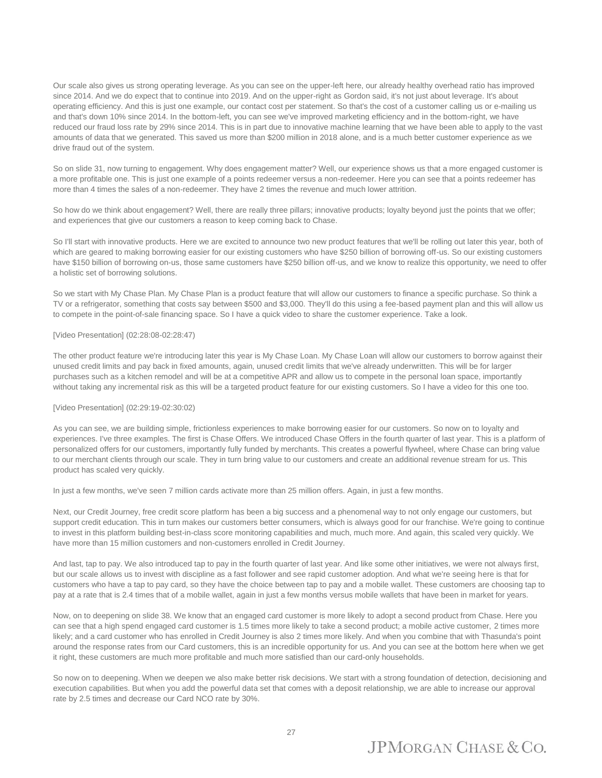Our scale also gives us strong operating leverage. As you can see on the upper-left here, our already healthy overhead ratio has improved since 2014. And we do expect that to continue into 2019. And on the upper-right as Gordon said, it's not just about leverage. It's about operating efficiency. And this is just one example, our contact cost per statement. So that's the cost of a customer calling us or e-mailing us and that's down 10% since 2014. In the bottom-left, you can see we've improved marketing efficiency and in the bottom-right, we have reduced our fraud loss rate by 29% since 2014. This is in part due to innovative machine learning that we have been able to apply to the vast amounts of data that we generated. This saved us more than \$200 million in 2018 alone, and is a much better customer experience as we drive fraud out of the system.

So on slide 31, now turning to engagement. Why does engagement matter? Well, our experience shows us that a more engaged customer is a more profitable one. This is just one example of a points redeemer versus a non-redeemer. Here you can see that a points redeemer has more than 4 times the sales of a non-redeemer. They have 2 times the revenue and much lower attrition.

So how do we think about engagement? Well, there are really three pillars; innovative products; loyalty beyond just the points that we offer; and experiences that give our customers a reason to keep coming back to Chase.

So I'll start with innovative products. Here we are excited to announce two new product features that we'll be rolling out later this year, both of which are geared to making borrowing easier for our existing customers who have \$250 billion of borrowing off-us. So our existing customers have \$150 billion of borrowing on-us, those same customers have \$250 billion off-us, and we know to realize this opportunity, we need to offer a holistic set of borrowing solutions.

So we start with My Chase Plan. My Chase Plan is a product feature that will allow our customers to finance a specific purchase. So think a TV or a refrigerator, something that costs say between \$500 and \$3,000. They'll do this using a fee-based payment plan and this will allow us to compete in the point-of-sale financing space. So I have a quick video to share the customer experience. Take a look.

#### [Video Presentation] (02:28:08-02:28:47)

The other product feature we're introducing later this year is My Chase Loan. My Chase Loan will allow our customers to borrow against their unused credit limits and pay back in fixed amounts, again, unused credit limits that we've already underwritten. This will be for larger purchases such as a kitchen remodel and will be at a competitive APR and allow us to compete in the personal loan space, importantly without taking any incremental risk as this will be a targeted product feature for our existing customers. So I have a video for this one too.

#### [Video Presentation] (02:29:19-02:30:02)

As you can see, we are building simple, frictionless experiences to make borrowing easier for our customers. So now on to loyalty and experiences. I've three examples. The first is Chase Offers. We introduced Chase Offers in the fourth quarter of last year. This is a platform of personalized offers for our customers, importantly fully funded by merchants. This creates a powerful flywheel, where Chase can bring value to our merchant clients through our scale. They in turn bring value to our customers and create an additional revenue stream for us. This product has scaled very quickly.

In just a few months, we've seen 7 million cards activate more than 25 million offers. Again, in just a few months.

Next, our Credit Journey, free credit score platform has been a big success and a phenomenal way to not only engage our customers, but support credit education. This in turn makes our customers better consumers, which is always good for our franchise. We're going to continue to invest in this platform building best-in-class score monitoring capabilities and much, much more. And again, this scaled very quickly. We have more than 15 million customers and non-customers enrolled in Credit Journey.

And last, tap to pay. We also introduced tap to pay in the fourth quarter of last year. And like some other initiatives, we were not always first, but our scale allows us to invest with discipline as a fast follower and see rapid customer adoption. And what we're seeing here is that for customers who have a tap to pay card, so they have the choice between tap to pay and a mobile wallet. These customers are choosing tap to pay at a rate that is 2.4 times that of a mobile wallet, again in just a few months versus mobile wallets that have been in market for years.

Now, on to deepening on slide 38. We know that an engaged card customer is more likely to adopt a second product from Chase. Here you can see that a high spend engaged card customer is 1.5 times more likely to take a second product; a mobile active customer, 2 times more likely; and a card customer who has enrolled in Credit Journey is also 2 times more likely. And when you combine that with Thasunda's point around the response rates from our Card customers, this is an incredible opportunity for us. And you can see at the bottom here when we get it right, these customers are much more profitable and much more satisfied than our card-only households.

So now on to deepening. When we deepen we also make better risk decisions. We start with a strong foundation of detection, decisioning and execution capabilities. But when you add the powerful data set that comes with a deposit relationship, we are able to increase our approval rate by 2.5 times and decrease our Card NCO rate by 30%.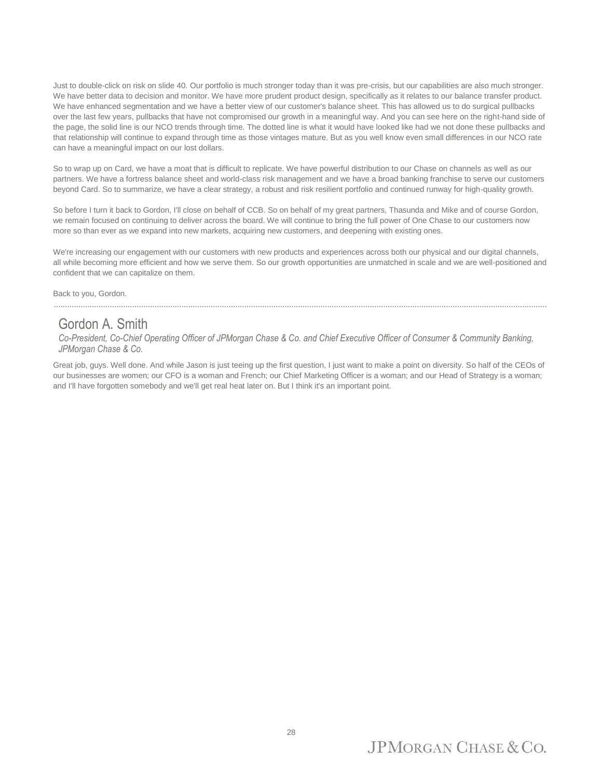Just to double-click on risk on slide 40. Our portfolio is much stronger today than it was pre-crisis, but our capabilities are also much stronger. We have better data to decision and monitor. We have more prudent product design, specifically as it relates to our balance transfer product. We have enhanced segmentation and we have a better view of our customer's balance sheet. This has allowed us to do surgical pullbacks over the last few years, pullbacks that have not compromised our growth in a meaningful way. And you can see here on the right-hand side of the page, the solid line is our NCO trends through time. The dotted line is what it would have looked like had we not done these pullbacks and that relationship will continue to expand through time as those vintages mature. But as you well know even small differences in our NCO rate can have a meaningful impact on our lost dollars.

So to wrap up on Card, we have a moat that is difficult to replicate. We have powerful distribution to our Chase on channels as well as our partners. We have a fortress balance sheet and world-class risk management and we have a broad banking franchise to serve our customers beyond Card. So to summarize, we have a clear strategy, a robust and risk resilient portfolio and continued runway for high-quality growth.

So before I turn it back to Gordon, I'll close on behalf of CCB. So on behalf of my great partners, Thasunda and Mike and of course Gordon, we remain focused on continuing to deliver across the board. We will continue to bring the full power of One Chase to our customers now more so than ever as we expand into new markets, acquiring new customers, and deepening with existing ones.

We're increasing our engagement with our customers with new products and experiences across both our physical and our digital channels, all while becoming more efficient and how we serve them. So our growth opportunities are unmatched in scale and we are well-positioned and confident that we can capitalize on them.

#### Back to you, Gordon.

#### Gordon A. Smith

*Co-President, Co-Chief Operating Officer of JPMorgan Chase & Co. and Chief Executive Officer of Consumer & Community Banking, JPMorgan Chase & Co.*

Great job, guys. Well done. And while Jason is just teeing up the first question, I just want to make a point on diversity. So half of the CEOs of our businesses are women; our CFO is a woman and French; our Chief Marketing Officer is a woman; and our Head of Strategy is a woman; and I'll have forgotten somebody and we'll get real heat later on. But I think it's an important point.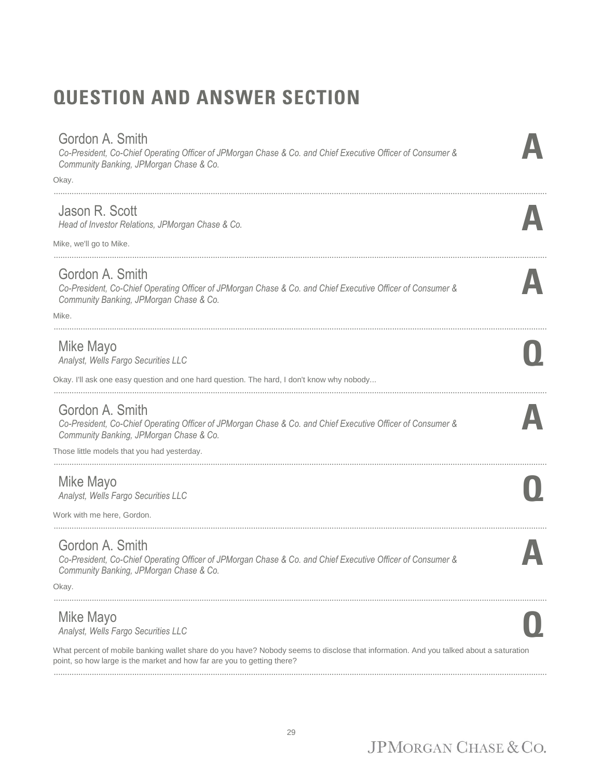# **QUESTION AND ANSWER SECTION**

#### Gordon A. Smith

*Co-President, Co-Chief Operating Officer of JPMorgan Chase & Co. and Chief Executive Officer of Consumer & Community Banking, JPMorgan Chase & Co.*

............................................................................................................................................................................................................................

............................................................................................................................................................................................................................

............................................................................................................................................................................................................................

............................................................................................................................................................................................................................

Okay.

#### Jason R. Scott

*Head of Investor Relations, JPMorgan Chase & Co.* **A**

Mike, we'll go to Mike.

#### Gordon A. Smith

*Co-President, Co-Chief Operating Officer of JPMorgan Chase & Co. and Chief Executive Officer of Consumer & Community Banking, JPMorgan Chase & Co.*

Mike.

#### Mike Mayo

*Analyst, Wells Fargo Securities LLC* **Q**

Okay. I'll ask one easy question and one hard question. The hard, I don't know why nobody...

............................................................................................................................................................................................................................

#### Gordon A. Smith

*Co-President, Co-Chief Operating Officer of JPMorgan Chase & Co. and Chief Executive Officer of Consumer & Community Banking, JPMorgan Chase & Co.*

Those little models that you had yesterday.

#### Mike Mayo

*Analyst, Wells Fargo Securities LLC* **Q**

Work with me here, Gordon.

............................................................................................................................................................................................................................

#### Gordon A. Smith

*Co-President, Co-Chief Operating Officer of JPMorgan Chase & Co. and Chief Executive Officer of Consumer & Community Banking, JPMorgan Chase & Co.*

Okay.

#### Mike Mayo

*Analyst, Wells Fargo Securities LLC* **Q**

What percent of mobile banking wallet share do you have? Nobody seems to disclose that information. And you talked about a saturation point, so how large is the market and how far are you to getting there? ............................................................................................................................................................................................................................

............................................................................................................................................................................................................................

**A**

**A**

**A**

**A**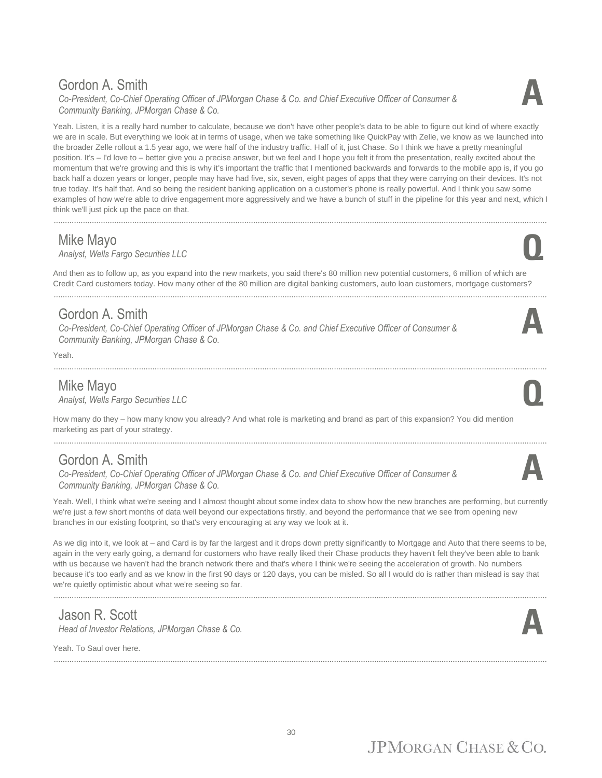#### Gordon A. Smith

*Co-President, Co-Chief Operating Officer of JPMorgan Chase & Co. and Chief Executive Officer of Consumer & Community Banking, JPMorgan Chase & Co.*



............................................................................................................................................................................................................................

#### Mike Mayo

*Analyst, Wells Fargo Securities LLC* **Q**

And then as to follow up, as you expand into the new markets, you said there's 80 million new potential customers, 6 million of which are Credit Card customers today. How many other of the 80 million are digital banking customers, auto loan customers, mortgage customers?

............................................................................................................................................................................................................................

#### Gordon A. Smith

*Co-President, Co-Chief Operating Officer of JPMorgan Chase & Co. and Chief Executive Officer of Consumer & Community Banking, JPMorgan Chase & Co.*

............................................................................................................................................................................................................................

Yeah.

Mike Mayo<br>Analyst, Wells Fargo Securities LLC *Analyst, Wells Fargo Securities LLC* **Q**

How many do they – how many know you already? And what role is marketing and brand as part of this expansion? You did mention marketing as part of your strategy.

#### Gordon A. Smith

*Co-President, Co-Chief Operating Officer of JPMorgan Chase & Co. and Chief Executive Officer of Consumer & Community Banking, JPMorgan Chase & Co.*

Yeah. Well, I think what we're seeing and I almost thought about some index data to show how the new branches are performing, but currently we're just a few short months of data well beyond our expectations firstly, and beyond the performance that we see from opening new branches in our existing footprint, so that's very encouraging at any way we look at it.

As we dig into it, we look at – and Card is by far the largest and it drops down pretty significantly to Mortgage and Auto that there seems to be, again in the very early going, a demand for customers who have really liked their Chase products they haven't felt they've been able to bank with us because we haven't had the branch network there and that's where I think we're seeing the acceleration of growth. No numbers because it's too early and as we know in the first 90 days or 120 days, you can be misled. So all I would do is rather than mislead is say that we're quietly optimistic about what we're seeing so far.

............................................................................................................................................................................................................................

## Jason R. Scott

*Head of Investor Relations, JPMorgan Chase & Co.* 

............................................................................................................................................................................................................................

Yeah. To Saul over here.











**A**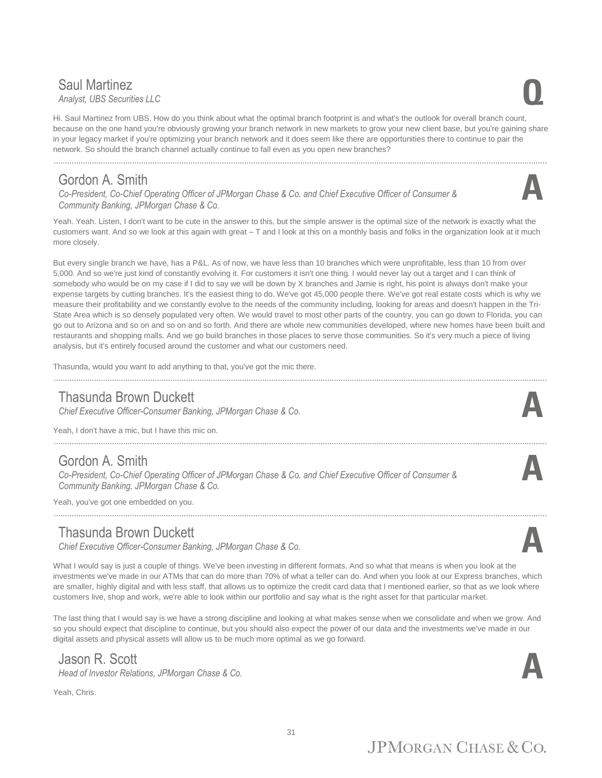#### **Saul Martinez**<br>Analyst, UBS Securities LLC *Analyst, UBS Securities LLC* **Q**

Hi. Saul Martinez from UBS. How do you think about what the optimal branch footprint is and what's the outlook for overall branch count, because on the one hand you're obviously growing your branch network in new markets to grow your new client base, but you're gaining share in your legacy market if you're optimizing your branch network and it does seem like there are opportunities there to continue to pair the network. So should the branch channel actually continue to fall even as you open new branches?

#### Gordon A. Smith

*Co-President, Co-Chief Operating Officer of JPMorgan Chase & Co. and Chief Executive Officer of Consumer & Community Banking, JPMorgan Chase & Co.*

Yeah. Yeah. Listen, I don't want to be cute in the answer to this, but the simple answer is the optimal size of the network is exactly what the customers want. And so we look at this again with great – T and I look at this on a monthly basis and folks in the organization look at it much more closely.

But every single branch we have, has a P&L. As of now, we have less than 10 branches which were unprofitable, less than 10 from over 5,000. And so we're just kind of constantly evolving it. For customers it isn't one thing. I would never lay out a target and I can think of somebody who would be on my case if I did to say we will be down by X branches and Jamie is right, his point is always don't make your expense targets by cutting branches. It's the easiest thing to do. We've got 45,000 people there. We've got real estate costs which is why we measure their profitability and we constantly evolve to the needs of the community including, looking for areas and doesn't happen in the Tri-State Area which is so densely populated very often. We would travel to most other parts of the country, you can go down to Florida, you can go out to Arizona and so on and so on and so forth. And there are whole new communities developed, where new homes have been built and restaurants and shopping malls. And we go build branches in those places to serve those communities. So it's very much a piece of living analysis, but it's entirely focused around the customer and what our customers need.

............................................................................................................................................................................................................................

Thasunda, would you want to add anything to that, you've got the mic there.

#### Thasunda Brown Duckett

*Chief Executive Officer-Consumer Banking, JPMorgan Chase & Co.* **A**

Yeah, I don't have a mic, but I have this mic on.

#### Gordon A. Smith

*Co-President, Co-Chief Operating Officer of JPMorgan Chase & Co. and Chief Executive Officer of Consumer & Community Banking, JPMorgan Chase & Co.*

............................................................................................................................................................................................................................

Yeah, you've got one embedded on you.

#### Thasunda Brown Duckett

*Chief Executive Officer-Consumer Banking, JPMorgan Chase & Co.* **A**

What I would say is just a couple of things. We've been investing in different formats. And so what that means is when you look at the investments we've made in our ATMs that can do more than 70% of what a teller can do. And when you look at our Express branches, which are smaller, highly digital and with less staff, that allows us to optimize the credit card data that I mentioned earlier, so that as we look where customers live, shop and work, we're able to look within our portfolio and say what is the right asset for that particular market.

............................................................................................................................................................................................................................

The last thing that I would say is we have a strong discipline and looking at what makes sense when we consolidate and when we grow. And so you should expect that discipline to continue, but you should also expect the power of our data and the investments we've made in our digital assets and physical assets will allow us to be much more optimal as we go forward.

#### Jason R. Scott

*Head of Investor Relations, JPMorgan Chase & Co.* 

Yeah, Chris.









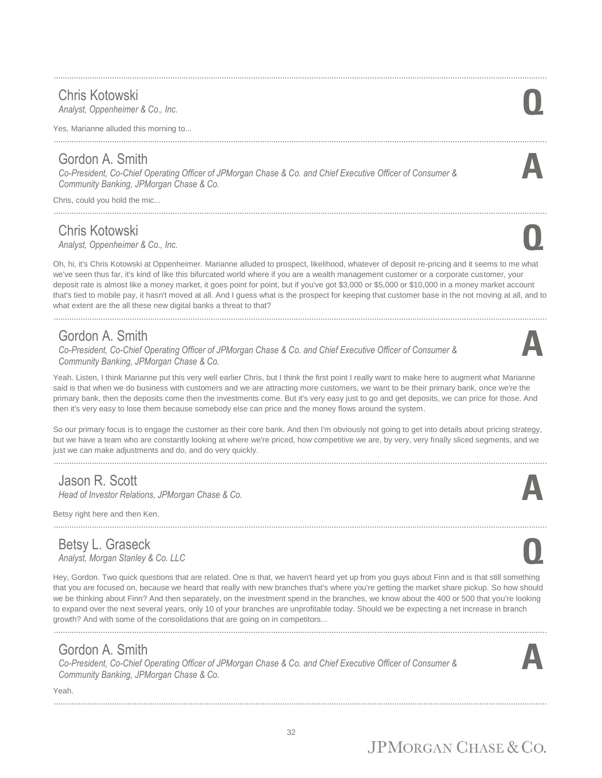#### ............................................................................................................................................................................................................................ Chris Kotowski *Analyst, Oppenheimer & Co., Inc.* **Q**

Yes, Marianne alluded this morning to...

*Community Banking, JPMorgan Chase & Co.*

Chris Kotowski

Gordon A. Smith

Chris, could you hold the mic...

Oh, hi, it's Chris Kotowski at Oppenheimer. Marianne alluded to prospect, likelihood, whatever of deposit re-pricing and it seems to me what we've seen thus far, it's kind of like this bifurcated world where if you are a wealth management customer or a corporate customer, your deposit rate is almost like a money market, it goes point for point, but if you've got \$3,000 or \$5,000 or \$10,000 in a money market account that's tied to mobile pay, it hasn't moved at all. And I guess what is the prospect for keeping that customer base in the not moving at all, and to what extent are the all these new digital banks a threat to that?

............................................................................................................................................................................................................................

............................................................................................................................................................................................................................

#### Gordon A. Smith

*Co-President, Co-Chief Operating Officer of JPMorgan Chase & Co. and Chief Executive Officer of Consumer & Community Banking, JPMorgan Chase & Co.*

*Co-President, Co-Chief Operating Officer of JPMorgan Chase & Co. and Chief Executive Officer of Consumer &* 

Yeah. Listen, I think Marianne put this very well earlier Chris, but I think the first point I really want to make here to augment what Marianne said is that when we do business with customers and we are attracting more customers, we want to be their primary bank, once we're the primary bank, then the deposits come then the investments come. But it's very easy just to go and get deposits, we can price for those. And then it's very easy to lose them because somebody else can price and the money flows around the system.

So our primary focus is to engage the customer as their core bank. And then I'm obviously not going to get into details about pricing strategy, but we have a team who are constantly looking at where we're priced, how competitive we are, by very, very finally sliced segments, and we just we can make adjustments and do, and do very quickly. ............................................................................................................................................................................................................................

## Jason R. Scott

*Head of Investor Relations, JPMorgan Chase & Co.* **A**

Betsy right here and then Ken.

#### Betsy L. Graseck *Analyst, Morgan Stanley & Co. LLC* **Q**

Hey, Gordon. Two quick questions that are related. One is that, we haven't heard yet up from you guys about Finn and is that still something that you are focused on, because we heard that really with new branches that's where you're getting the market share pickup. So how should we be thinking about Finn? And then separately, on the investment spend in the branches, we know about the 400 or 500 that you're looking to expand over the next several years, only 10 of your branches are unprofitable today. Should we be expecting a net increase in branch growth? And with some of the consolidations that are going on in competitors...

## Gordon A. Smith

*Co-President, Co-Chief Operating Officer of JPMorgan Chase & Co. and Chief Executive Officer of Consumer & Community Banking, JPMorgan Chase & Co.*

Yeah. ............................................................................................................................................................................................................................







**A**



**A**



32



# ............................................................................................................................................................................................................................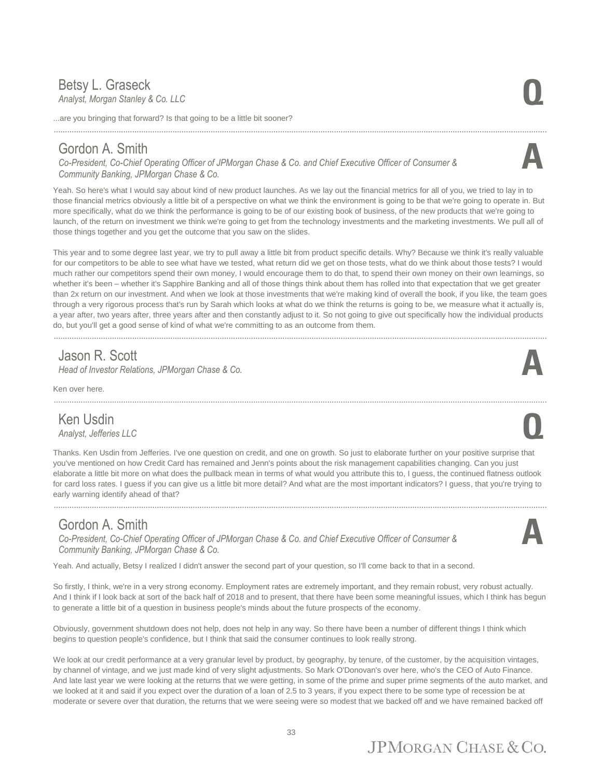#### Betsy L. Graseck<br>Analyst, Morgan Stanley & Co. LLC *Analyst, Morgan Stanley & Co. LLC* **Q**

...are you bringing that forward? Is that going to be a little bit sooner?

#### Gordon A. Smith

*Co-President, Co-Chief Operating Officer of JPMorgan Chase & Co. and Chief Executive Officer of Consumer & Community Banking, JPMorgan Chase & Co.*

Yeah. So here's what I would say about kind of new product launches. As we lay out the financial metrics for all of you, we tried to lay in to those financial metrics obviously a little bit of a perspective on what we think the environment is going to be that we're going to operate in. But more specifically, what do we think the performance is going to be of our existing book of business, of the new products that we're going to launch, of the return on investment we think we're going to get from the technology investments and the marketing investments. We pull all of those things together and you get the outcome that you saw on the slides.

............................................................................................................................................................................................................................

This year and to some degree last year, we try to pull away a little bit from product specific details. Why? Because we think it's really valuable for our competitors to be able to see what have we tested, what return did we get on those tests, what do we think about those tests? I would much rather our competitors spend their own money, I would encourage them to do that, to spend their own money on their own learnings, so whether it's been – whether it's Sapphire Banking and all of those things think about them has rolled into that expectation that we get greater than 2x return on our investment. And when we look at those investments that we're making kind of overall the book, if you like, the team goes through a very rigorous process that's run by Sarah which looks at what do we think the returns is going to be, we measure what it actually is, a year after, two years after, three years after and then constantly adjust to it. So not going to give out specifically how the individual products do, but you'll get a good sense of kind of what we're committing to as an outcome from them.

## Jason R. Scott

*Head of Investor Relations, JPMorgan Chase & Co.* 

Ken over here.

#### Ken Usdin *Analyst, Jefferies LLC* **Q**

Thanks. Ken Usdin from Jefferies. I've one question on credit, and one on growth. So just to elaborate further on your positive surprise that you've mentioned on how Credit Card has remained and Jenn's points about the risk management capabilities changing. Can you just elaborate a little bit more on what does the pullback mean in terms of what would you attribute this to, I guess, the continued flatness outlook for card loss rates. I guess if you can give us a little bit more detail? And what are the most important indicators? I guess, that you're trying to early warning identify ahead of that?

............................................................................................................................................................................................................................

............................................................................................................................................................................................................................

#### Gordon A. Smith

*Co-President, Co-Chief Operating Officer of JPMorgan Chase & Co. and Chief Executive Officer of Consumer & Community Banking, JPMorgan Chase & Co.*

Yeah. And actually, Betsy I realized I didn't answer the second part of your question, so I'll come back to that in a second.

So firstly, I think, we're in a very strong economy. Employment rates are extremely important, and they remain robust, very robust actually. And I think if I look back at sort of the back half of 2018 and to present, that there have been some meaningful issues, which I think has begun to generate a little bit of a question in business people's minds about the future prospects of the economy.

Obviously, government shutdown does not help, does not help in any way. So there have been a number of different things I think which begins to question people's confidence, but I think that said the consumer continues to look really strong.

We look at our credit performance at a very granular level by product, by geography, by tenure, of the customer, by the acquisition vintages, by channel of vintage, and we just made kind of very slight adjustments. So Mark O'Donovan's over here, who's the CEO of Auto Finance. And late last year we were looking at the returns that we were getting, in some of the prime and super prime segments of the auto market, and we looked at it and said if you expect over the duration of a loan of 2.5 to 3 years, if you expect there to be some type of recession be at moderate or severe over that duration, the returns that we were seeing were so modest that we backed off and we have remained backed off

## $IPMORGAN CHASE & CO.$



**A**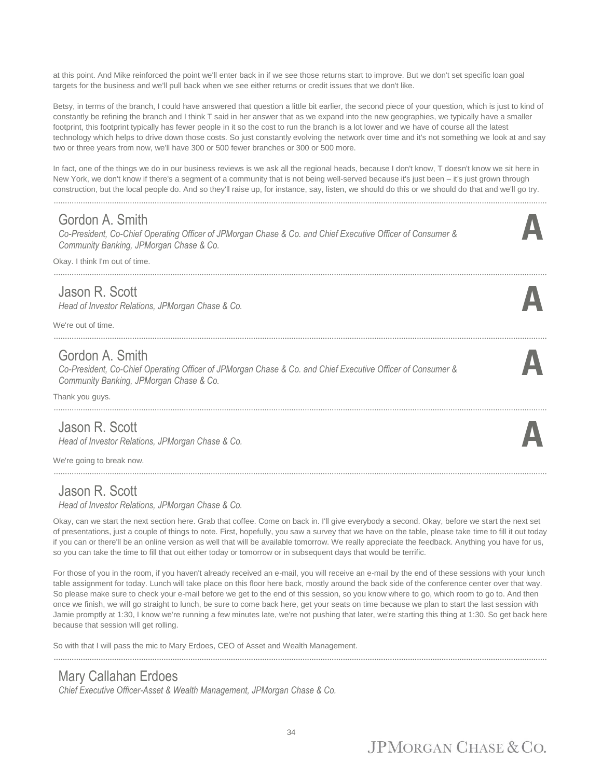at this point. And Mike reinforced the point we'll enter back in if we see those returns start to improve. But we don't set specific loan goal targets for the business and we'll pull back when we see either returns or credit issues that we don't like.

Betsy, in terms of the branch, I could have answered that question a little bit earlier, the second piece of your question, which is just to kind of constantly be refining the branch and I think T said in her answer that as we expand into the new geographies, we typically have a smaller footprint, this footprint typically has fewer people in it so the cost to run the branch is a lot lower and we have of course all the latest technology which helps to drive down those costs. So just constantly evolving the network over time and it's not something we look at and say two or three years from now, we'll have 300 or 500 fewer branches or 300 or 500 more.

In fact, one of the things we do in our business reviews is we ask all the regional heads, because I don't know, T doesn't know we sit here in New York, we don't know if there's a segment of a community that is not being well-served because it's just been – it's just grown through construction, but the local people do. And so they'll raise up, for instance, say, listen, we should do this or we should do that and we'll go try.

............................................................................................................................................................................................................................

............................................................................................................................................................................................................................

............................................................................................................................................................................................................................

**A**

**A**

#### Gordon A. Smith

*Co-President, Co-Chief Operating Officer of JPMorgan Chase & Co. and Chief Executive Officer of Consumer & Community Banking, JPMorgan Chase & Co.*

Okay. I think I'm out of time.

#### Jason R. Scott

*Head of Investor Relations, JPMorgan Chase & Co.* **A**

We're out of time.

#### Gordon A. Smith

*Co-President, Co-Chief Operating Officer of JPMorgan Chase & Co. and Chief Executive Officer of Consumer & Community Banking, JPMorgan Chase & Co.*

Thank you guys.

#### Jason R. Scott

*Head of Investor Relations, JPMorgan Chase & Co.* **A**

We're going to break now.

#### Jason R. Scott

*Head of Investor Relations, JPMorgan Chase & Co.*

Okay, can we start the next section here. Grab that coffee. Come on back in. I'll give everybody a second. Okay, before we start the next set of presentations, just a couple of things to note. First, hopefully, you saw a survey that we have on the table, please take time to fill it out today if you can or there'll be an online version as well that will be available tomorrow. We really appreciate the feedback. Anything you have for us, so you can take the time to fill that out either today or tomorrow or in subsequent days that would be terrific.

For those of you in the room, if you haven't already received an e-mail, you will receive an e-mail by the end of these sessions with your lunch table assignment for today. Lunch will take place on this floor here back, mostly around the back side of the conference center over that way. So please make sure to check your e-mail before we get to the end of this session, so you know where to go, which room to go to. And then once we finish, we will go straight to lunch, be sure to come back here, get your seats on time because we plan to start the last session with Jamie promptly at 1:30, I know we're running a few minutes late, we're not pushing that later, we're starting this thing at 1:30. So get back here because that session will get rolling.

So with that I will pass the mic to Mary Erdoes, CEO of Asset and Wealth Management.

............................................................................................................................................................................................................................

#### Mary Callahan Erdoes

*Chief Executive Officer-Asset & Wealth Management, JPMorgan Chase & Co.*

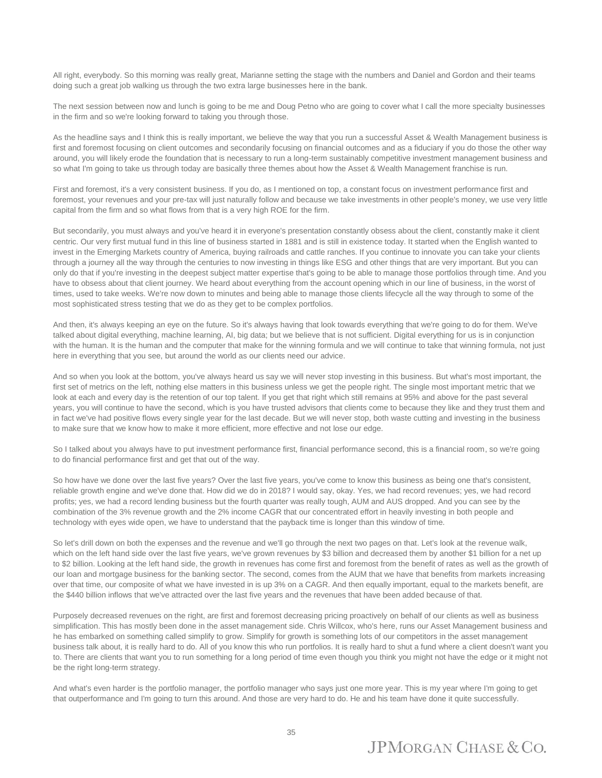All right, everybody. So this morning was really great, Marianne setting the stage with the numbers and Daniel and Gordon and their teams doing such a great job walking us through the two extra large businesses here in the bank.

The next session between now and lunch is going to be me and Doug Petno who are going to cover what I call the more specialty businesses in the firm and so we're looking forward to taking you through those.

As the headline says and I think this is really important, we believe the way that you run a successful Asset & Wealth Management business is first and foremost focusing on client outcomes and secondarily focusing on financial outcomes and as a fiduciary if you do those the other way around, you will likely erode the foundation that is necessary to run a long-term sustainably competitive investment management business and so what I'm going to take us through today are basically three themes about how the Asset & Wealth Management franchise is run.

First and foremost, it's a very consistent business. If you do, as I mentioned on top, a constant focus on investment performance first and foremost, your revenues and your pre-tax will just naturally follow and because we take investments in other people's money, we use very little capital from the firm and so what flows from that is a very high ROE for the firm.

But secondarily, you must always and you've heard it in everyone's presentation constantly obsess about the client, constantly make it client centric. Our very first mutual fund in this line of business started in 1881 and is still in existence today. It started when the English wanted to invest in the Emerging Markets country of America, buying railroads and cattle ranches. If you continue to innovate you can take your clients through a journey all the way through the centuries to now investing in things like ESG and other things that are very important. But you can only do that if you're investing in the deepest subject matter expertise that's going to be able to manage those portfolios through time. And you have to obsess about that client journey. We heard about everything from the account opening which in our line of business, in the worst of times, used to take weeks. We're now down to minutes and being able to manage those clients lifecycle all the way through to some of the most sophisticated stress testing that we do as they get to be complex portfolios.

And then, it's always keeping an eye on the future. So it's always having that look towards everything that we're going to do for them. We've talked about digital everything, machine learning, AI, big data; but we believe that is not sufficient. Digital everything for us is in conjunction with the human. It is the human and the computer that make for the winning formula and we will continue to take that winning formula, not just here in everything that you see, but around the world as our clients need our advice.

And so when you look at the bottom, you've always heard us say we will never stop investing in this business. But what's most important, the first set of metrics on the left, nothing else matters in this business unless we get the people right. The single most important metric that we look at each and every day is the retention of our top talent. If you get that right which still remains at 95% and above for the past several years, you will continue to have the second, which is you have trusted advisors that clients come to because they like and they trust them and in fact we've had positive flows every single year for the last decade. But we will never stop, both waste cutting and investing in the business to make sure that we know how to make it more efficient, more effective and not lose our edge.

So I talked about you always have to put investment performance first, financial performance second, this is a financial room, so we're going to do financial performance first and get that out of the way.

So how have we done over the last five years? Over the last five years, you've come to know this business as being one that's consistent, reliable growth engine and we've done that. How did we do in 2018? I would say, okay. Yes, we had record revenues; yes, we had record profits; yes, we had a record lending business but the fourth quarter was really tough, AUM and AUS dropped. And you can see by the combination of the 3% revenue growth and the 2% income CAGR that our concentrated effort in heavily investing in both people and technology with eyes wide open, we have to understand that the payback time is longer than this window of time.

So let's drill down on both the expenses and the revenue and we'll go through the next two pages on that. Let's look at the revenue walk, which on the left hand side over the last five years, we've grown revenues by \$3 billion and decreased them by another \$1 billion for a net up to \$2 billion. Looking at the left hand side, the growth in revenues has come first and foremost from the benefit of rates as well as the growth of our loan and mortgage business for the banking sector. The second, comes from the AUM that we have that benefits from markets increasing over that time, our composite of what we have invested in is up 3% on a CAGR. And then equally important, equal to the markets benefit, are the \$440 billion inflows that we've attracted over the last five years and the revenues that have been added because of that.

Purposely decreased revenues on the right, are first and foremost decreasing pricing proactively on behalf of our clients as well as business simplification. This has mostly been done in the asset management side. Chris Willcox, who's here, runs our Asset Management business and he has embarked on something called simplify to grow. Simplify for growth is something lots of our competitors in the asset management business talk about, it is really hard to do. All of you know this who run portfolios. It is really hard to shut a fund where a client doesn't want you to. There are clients that want you to run something for a long period of time even though you think you might not have the edge or it might not be the right long-term strategy.

And what's even harder is the portfolio manager, the portfolio manager who says just one more year. This is my year where I'm going to get that outperformance and I'm going to turn this around. And those are very hard to do. He and his team have done it quite successfully.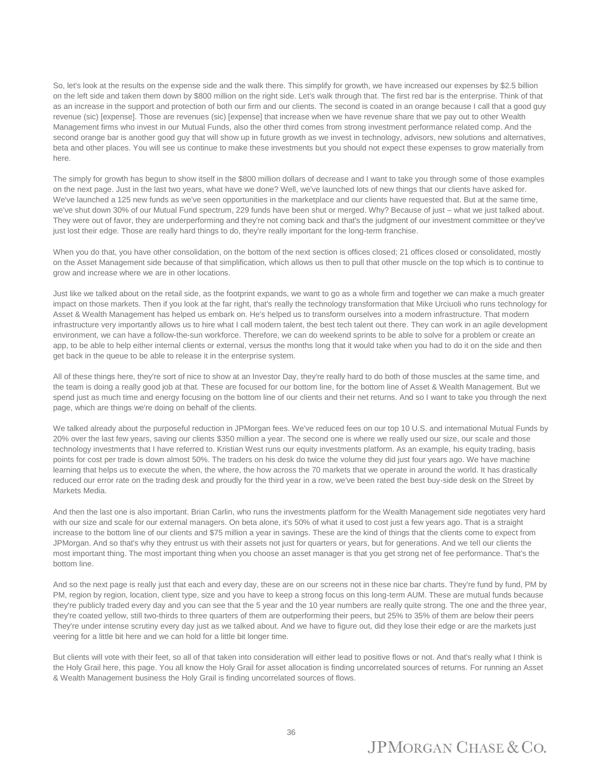So, let's look at the results on the expense side and the walk there. This simplify for growth, we have increased our expenses by \$2.5 billion on the left side and taken them down by \$800 million on the right side. Let's walk through that. The first red bar is the enterprise. Think of that as an increase in the support and protection of both our firm and our clients. The second is coated in an orange because I call that a good guy revenue (sic) [expense]. Those are revenues (sic) [expense] that increase when we have revenue share that we pay out to other Wealth Management firms who invest in our Mutual Funds, also the other third comes from strong investment performance related comp. And the second orange bar is another good guy that will show up in future growth as we invest in technology, advisors, new solutions and alternatives, beta and other places. You will see us continue to make these investments but you should not expect these expenses to grow materially from here.

The simply for growth has begun to show itself in the \$800 million dollars of decrease and I want to take you through some of those examples on the next page. Just in the last two years, what have we done? Well, we've launched lots of new things that our clients have asked for. We've launched a 125 new funds as we've seen opportunities in the marketplace and our clients have requested that. But at the same time, we've shut down 30% of our Mutual Fund spectrum, 229 funds have been shut or merged. Why? Because of just – what we just talked about. They were out of favor, they are underperforming and they're not coming back and that's the judgment of our investment committee or they've just lost their edge. Those are really hard things to do, they're really important for the long-term franchise.

When you do that, you have other consolidation, on the bottom of the next section is offices closed; 21 offices closed or consolidated, mostly on the Asset Management side because of that simplification, which allows us then to pull that other muscle on the top which is to continue to grow and increase where we are in other locations.

Just like we talked about on the retail side, as the footprint expands, we want to go as a whole firm and together we can make a much greater impact on those markets. Then if you look at the far right, that's really the technology transformation that Mike Urciuoli who runs technology for Asset & Wealth Management has helped us embark on. He's helped us to transform ourselves into a modern infrastructure. That modern infrastructure very importantly allows us to hire what I call modern talent, the best tech talent out there. They can work in an agile development environment, we can have a follow-the-sun workforce. Therefore, we can do weekend sprints to be able to solve for a problem or create an app, to be able to help either internal clients or external, versus the months long that it would take when you had to do it on the side and then get back in the queue to be able to release it in the enterprise system.

All of these things here, they're sort of nice to show at an Investor Day, they're really hard to do both of those muscles at the same time, and the team is doing a really good job at that. These are focused for our bottom line, for the bottom line of Asset & Wealth Management. But we spend just as much time and energy focusing on the bottom line of our clients and their net returns. And so I want to take you through the next page, which are things we're doing on behalf of the clients.

We talked already about the purposeful reduction in JPMorgan fees. We've reduced fees on our top 10 U.S. and international Mutual Funds by 20% over the last few years, saving our clients \$350 million a year. The second one is where we really used our size, our scale and those technology investments that I have referred to. Kristian West runs our equity investments platform. As an example, his equity trading, basis points for cost per trade is down almost 50%. The traders on his desk do twice the volume they did just four years ago. We have machine learning that helps us to execute the when, the where, the how across the 70 markets that we operate in around the world. It has drastically reduced our error rate on the trading desk and proudly for the third year in a row, we've been rated the best buy-side desk on the Street by Markets Media.

And then the last one is also important. Brian Carlin, who runs the investments platform for the Wealth Management side negotiates very hard with our size and scale for our external managers. On beta alone, it's 50% of what it used to cost just a few years ago. That is a straight increase to the bottom line of our clients and \$75 million a year in savings. These are the kind of things that the clients come to expect from JPMorgan. And so that's why they entrust us with their assets not just for quarters or years, but for generations. And we tell our clients the most important thing. The most important thing when you choose an asset manager is that you get strong net of fee performance. That's the bottom line.

And so the next page is really just that each and every day, these are on our screens not in these nice bar charts. They're fund by fund, PM by PM, region by region, location, client type, size and you have to keep a strong focus on this long-term AUM. These are mutual funds because they're publicly traded every day and you can see that the 5 year and the 10 year numbers are really quite strong. The one and the three year, they're coated yellow, still two-thirds to three quarters of them are outperforming their peers, but 25% to 35% of them are below their peers They're under intense scrutiny every day just as we talked about. And we have to figure out, did they lose their edge or are the markets just veering for a little bit here and we can hold for a little bit longer time.

But clients will vote with their feet, so all of that taken into consideration will either lead to positive flows or not. And that's really what I think is the Holy Grail here, this page. You all know the Holy Grail for asset allocation is finding uncorrelated sources of returns. For running an Asset & Wealth Management business the Holy Grail is finding uncorrelated sources of flows.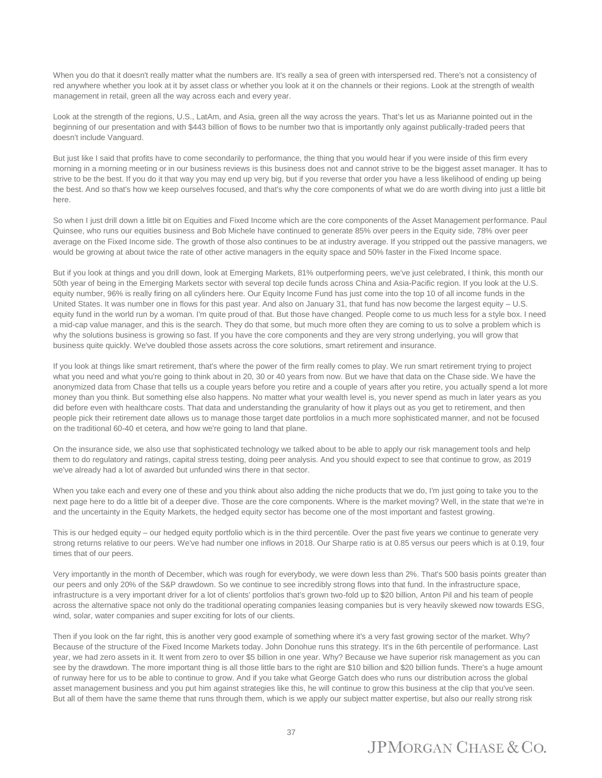When you do that it doesn't really matter what the numbers are. It's really a sea of green with interspersed red. There's not a consistency of red anywhere whether you look at it by asset class or whether you look at it on the channels or their regions. Look at the strength of wealth management in retail, green all the way across each and every year.

Look at the strength of the regions, U.S., LatAm, and Asia, green all the way across the years. That's let us as Marianne pointed out in the beginning of our presentation and with \$443 billion of flows to be number two that is importantly only against publically-traded peers that doesn't include Vanguard.

But just like I said that profits have to come secondarily to performance, the thing that you would hear if you were inside of this firm every morning in a morning meeting or in our business reviews is this business does not and cannot strive to be the biggest asset manager. It has to strive to be the best. If you do it that way you may end up very big, but if you reverse that order you have a less likelihood of ending up being the best. And so that's how we keep ourselves focused, and that's why the core components of what we do are worth diving into just a little bit here.

So when I just drill down a little bit on Equities and Fixed Income which are the core components of the Asset Management performance. Paul Quinsee, who runs our equities business and Bob Michele have continued to generate 85% over peers in the Equity side, 78% over peer average on the Fixed Income side. The growth of those also continues to be at industry average. If you stripped out the passive managers, we would be growing at about twice the rate of other active managers in the equity space and 50% faster in the Fixed Income space.

But if you look at things and you drill down, look at Emerging Markets, 81% outperforming peers, we've just celebrated, I think, this month our 50th year of being in the Emerging Markets sector with several top decile funds across China and Asia-Pacific region. If you look at the U.S. equity number, 96% is really firing on all cylinders here. Our Equity Income Fund has just come into the top 10 of all income funds in the United States. It was number one in flows for this past year. And also on January 31, that fund has now become the largest equity – U.S. equity fund in the world run by a woman. I'm quite proud of that. But those have changed. People come to us much less for a style box. I need a mid-cap value manager, and this is the search. They do that some, but much more often they are coming to us to solve a problem which is why the solutions business is growing so fast. If you have the core components and they are very strong underlying, you will grow that business quite quickly. We've doubled those assets across the core solutions, smart retirement and insurance.

If you look at things like smart retirement, that's where the power of the firm really comes to play. We run smart retirement trying to project what you need and what you're going to think about in 20, 30 or 40 years from now. But we have that data on the Chase side. We have the anonymized data from Chase that tells us a couple years before you retire and a couple of years after you retire, you actually spend a lot more money than you think. But something else also happens. No matter what your wealth level is, you never spend as much in later years as you did before even with healthcare costs. That data and understanding the granularity of how it plays out as you get to retirement, and then people pick their retirement date allows us to manage those target date portfolios in a much more sophisticated manner, and not be focused on the traditional 60-40 et cetera, and how we're going to land that plane.

On the insurance side, we also use that sophisticated technology we talked about to be able to apply our risk management tools and help them to do regulatory and ratings, capital stress testing, doing peer analysis. And you should expect to see that continue to grow, as 2019 we've already had a lot of awarded but unfunded wins there in that sector.

When you take each and every one of these and you think about also adding the niche products that we do, I'm just going to take you to the next page here to do a little bit of a deeper dive. Those are the core components. Where is the market moving? Well, in the state that we're in and the uncertainty in the Equity Markets, the hedged equity sector has become one of the most important and fastest growing.

This is our hedged equity – our hedged equity portfolio which is in the third percentile. Over the past five years we continue to generate very strong returns relative to our peers. We've had number one inflows in 2018. Our Sharpe ratio is at 0.85 versus our peers which is at 0.19, four times that of our peers.

Very importantly in the month of December, which was rough for everybody, we were down less than 2%. That's 500 basis points greater than our peers and only 20% of the S&P drawdown. So we continue to see incredibly strong flows into that fund. In the infrastructure space, infrastructure is a very important driver for a lot of clients' portfolios that's grown two-fold up to \$20 billion, Anton Pil and his team of people across the alternative space not only do the traditional operating companies leasing companies but is very heavily skewed now towards ESG, wind, solar, water companies and super exciting for lots of our clients.

Then if you look on the far right, this is another very good example of something where it's a very fast growing sector of the market. Why? Because of the structure of the Fixed Income Markets today. John Donohue runs this strategy. It's in the 6th percentile of performance. Last year, we had zero assets in it. It went from zero to over \$5 billion in one year. Why? Because we have superior risk management as you can see by the drawdown. The more important thing is all those little bars to the right are \$10 billion and \$20 billion funds. There's a huge amount of runway here for us to be able to continue to grow. And if you take what George Gatch does who runs our distribution across the global asset management business and you put him against strategies like this, he will continue to grow this business at the clip that you've seen. But all of them have the same theme that runs through them, which is we apply our subject matter expertise, but also our really strong risk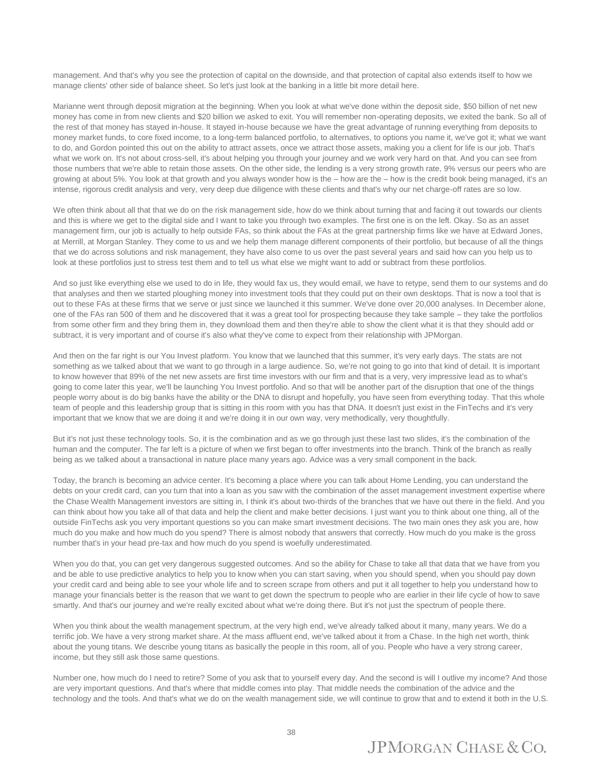management. And that's why you see the protection of capital on the downside, and that protection of capital also extends itself to how we manage clients' other side of balance sheet. So let's just look at the banking in a little bit more detail here.

Marianne went through deposit migration at the beginning. When you look at what we've done within the deposit side, \$50 billion of net new money has come in from new clients and \$20 billion we asked to exit. You will remember non-operating deposits, we exited the bank. So all of the rest of that money has stayed in-house. It stayed in-house because we have the great advantage of running everything from deposits to money market funds, to core fixed income, to a long-term balanced portfolio, to alternatives, to options you name it, we've got it; what we want to do, and Gordon pointed this out on the ability to attract assets, once we attract those assets, making you a client for life is our job. That's what we work on. It's not about cross-sell, it's about helping you through your journey and we work very hard on that. And you can see from those numbers that we're able to retain those assets. On the other side, the lending is a very strong growth rate, 9% versus our peers who are growing at about 5%. You look at that growth and you always wonder how is the – how are the – how is the credit book being managed, it's an intense, rigorous credit analysis and very, very deep due diligence with these clients and that's why our net charge-off rates are so low.

We often think about all that that we do on the risk management side, how do we think about turning that and facing it out towards our clients and this is where we get to the digital side and I want to take you through two examples. The first one is on the left. Okay. So as an asset management firm, our job is actually to help outside FAs, so think about the FAs at the great partnership firms like we have at Edward Jones, at Merrill, at Morgan Stanley. They come to us and we help them manage different components of their portfolio, but because of all the things that we do across solutions and risk management, they have also come to us over the past several years and said how can you help us to look at these portfolios just to stress test them and to tell us what else we might want to add or subtract from these portfolios.

And so just like everything else we used to do in life, they would fax us, they would email, we have to retype, send them to our systems and do that analyses and then we started ploughing money into investment tools that they could put on their own desktops. That is now a tool that is out to these FAs at these firms that we serve or just since we launched it this summer. We've done over 20,000 analyses. In December alone, one of the FAs ran 500 of them and he discovered that it was a great tool for prospecting because they take sample – they take the portfolios from some other firm and they bring them in, they download them and then they're able to show the client what it is that they should add or subtract, it is very important and of course it's also what they've come to expect from their relationship with JPMorgan.

And then on the far right is our You Invest platform. You know that we launched that this summer, it's very early days. The stats are not something as we talked about that we want to go through in a large audience. So, we're not going to go into that kind of detail. It is important to know however that 89% of the net new assets are first time investors with our firm and that is a very, very impressive lead as to what's going to come later this year, we'll be launching You Invest portfolio. And so that will be another part of the disruption that one of the things people worry about is do big banks have the ability or the DNA to disrupt and hopefully, you have seen from everything today. That this whole team of people and this leadership group that is sitting in this room with you has that DNA. It doesn't just exist in the FinTechs and it's very important that we know that we are doing it and we're doing it in our own way, very methodically, very thoughtfully.

But it's not just these technology tools. So, it is the combination and as we go through just these last two slides, it's the combination of the human and the computer. The far left is a picture of when we first began to offer investments into the branch. Think of the branch as really being as we talked about a transactional in nature place many years ago. Advice was a very small component in the back.

Today, the branch is becoming an advice center. It's becoming a place where you can talk about Home Lending, you can understand the debts on your credit card, can you turn that into a loan as you saw with the combination of the asset management investment expertise where the Chase Wealth Management investors are sitting in, I think it's about two-thirds of the branches that we have out there in the field. And you can think about how you take all of that data and help the client and make better decisions. I just want you to think about one thing, all of the outside FinTechs ask you very important questions so you can make smart investment decisions. The two main ones they ask you are, how much do you make and how much do you spend? There is almost nobody that answers that correctly. How much do you make is the gross number that's in your head pre-tax and how much do you spend is woefully underestimated.

When you do that, you can get very dangerous suggested outcomes. And so the ability for Chase to take all that data that we have from you and be able to use predictive analytics to help you to know when you can start saving, when you should spend, when you should pay down your credit card and being able to see your whole life and to screen scrape from others and put it all together to help you understand how to manage your financials better is the reason that we want to get down the spectrum to people who are earlier in their life cycle of how to save smartly. And that's our journey and we're really excited about what we're doing there. But it's not just the spectrum of people there.

When you think about the wealth management spectrum, at the very high end, we've already talked about it many, many years. We do a terrific job. We have a very strong market share. At the mass affluent end, we've talked about it from a Chase. In the high net worth, think about the young titans. We describe young titans as basically the people in this room, all of you. People who have a very strong career, income, but they still ask those same questions.

Number one, how much do I need to retire? Some of you ask that to yourself every day. And the second is will I outlive my income? And those are very important questions. And that's where that middle comes into play. That middle needs the combination of the advice and the technology and the tools. And that's what we do on the wealth management side, we will continue to grow that and to extend it both in the U.S.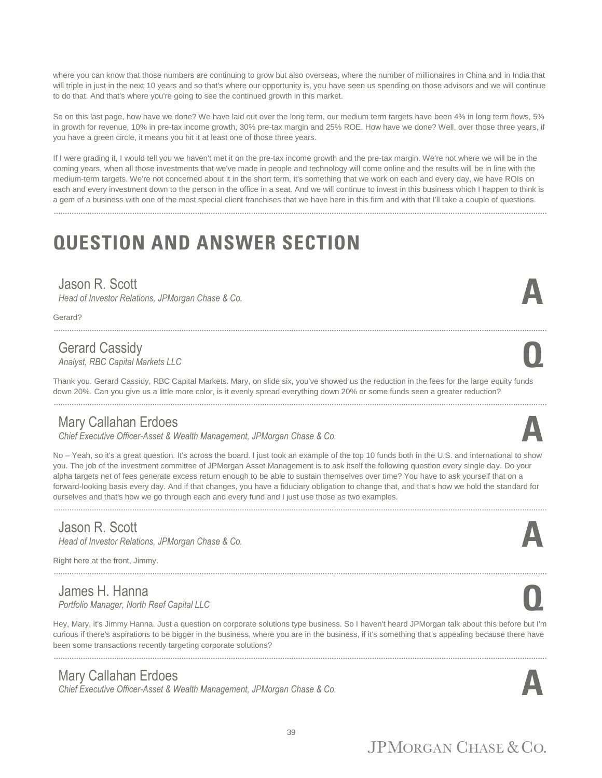where you can know that those numbers are continuing to grow but also overseas, where the number of millionaires in China and in India that will triple in just in the next 10 years and so that's where our opportunity is, you have seen us spending on those advisors and we will continue to do that. And that's where you're going to see the continued growth in this market.

So on this last page, how have we done? We have laid out over the long term, our medium term targets have been 4% in long term flows, 5% in growth for revenue, 10% in pre-tax income growth, 30% pre-tax margin and 25% ROE. How have we done? Well, over those three years, if you have a green circle, it means you hit it at least one of those three years.

If I were grading it, I would tell you we haven't met it on the pre-tax income growth and the pre-tax margin. We're not where we will be in the coming years, when all those investments that we've made in people and technology will come online and the results will be in line with the medium-term targets. We're not concerned about it in the short term, it's something that we work on each and every day, we have ROIs on each and every investment down to the person in the office in a seat. And we will continue to invest in this business which I happen to think is a gem of a business with one of the most special client franchises that we have here in this firm and with that I'll take a couple of questions.

............................................................................................................................................................................................................................

# **QUESTION AND ANSWER SECTION**

#### Jason R. Scott

*Head of Investor Relations, JPMorgan Chase & Co.* 

Gerard?

#### Gerard Cassidy

*Analyst, RBC Capital Markets LLC* **Q**

Thank you. Gerard Cassidy, RBC Capital Markets. Mary, on slide six, you've showed us the reduction in the fees for the large equity funds down 20%. Can you give us a little more color, is it evenly spread everything down 20% or some funds seen a greater reduction?

............................................................................................................................................................................................................................

............................................................................................................................................................................................................................

#### Mary Callahan Erdoes

*Chief Executive Officer-Asset & Wealth Management, JPMorgan Chase & Co.* **A**

No – Yeah, so it's a great question. It's across the board. I just took an example of the top 10 funds both in the U.S. and international to show you. The job of the investment committee of JPMorgan Asset Management is to ask itself the following question every single day. Do your alpha targets net of fees generate excess return enough to be able to sustain themselves over time? You have to ask yourself that on a forward-looking basis every day. And if that changes, you have a fiduciary obligation to change that, and that's how we hold the standard for ourselves and that's how we go through each and every fund and I just use those as two examples.

............................................................................................................................................................................................................................

#### Jason R. Scott

*Head of Investor Relations, JPMorgan Chase & Co.* 

............................................................................................................................................................................................................................

Right here at the front, Jimmy.

James H. Hanna *Portfolio Manager, North Reef Capital LLC* **Q**

Hey, Mary, it's Jimmy Hanna. Just a question on corporate solutions type business. So I haven't heard JPMorgan talk about this before but I'm curious if there's aspirations to be bigger in the business, where you are in the business, if it's something that's appealing because there have been some transactions recently targeting corporate solutions?

............................................................................................................................................................................................................................

#### Mary Callahan Erdoes

*Chief Executive Officer-Asset & Wealth Management, JPMorgan Chase & Co.* **A**











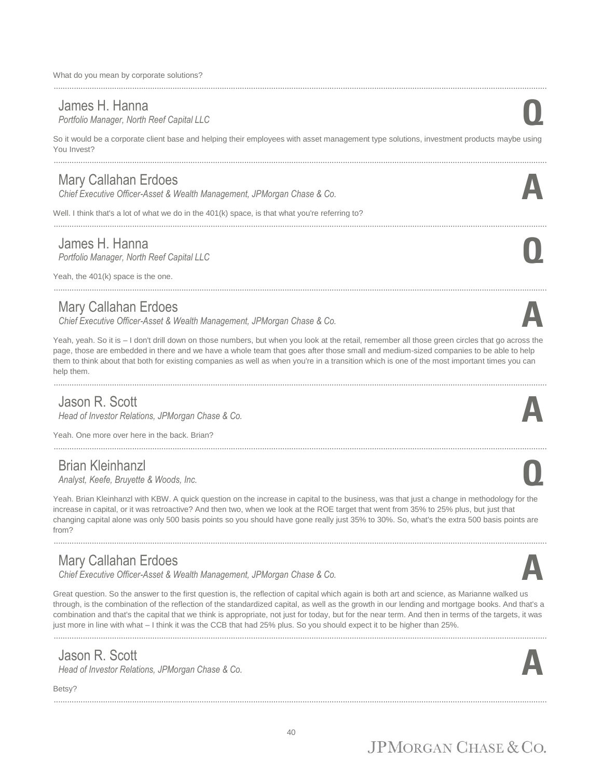What do you mean by corporate solutions?

#### James H. Hanna

*Portfolio Manager, North Reef Capital LLC* **Q**

So it would be a corporate client base and helping their employees with asset management type solutions, investment products maybe using You Invest?

............................................................................................................................................................................................................................

#### Mary Callahan Erdoes

*Chief Executive Officer-Asset & Wealth Management, JPMorgan Chase & Co.* **A**

Well. I think that's a lot of what we do in the 401(k) space, is that what you're referring to?

#### James H. Hanna

............................................................................................................................................................................................................................

*Portfolio Manager, North Reef Capital LLC* **Q**

Yeah, the 401(k) space is the one.

#### Mary Callahan Erdoes

*Chief Executive Officer-Asset & Wealth Management, JPMorgan Chase & Co.* **A**

Yeah, yeah. So it is - I don't drill down on those numbers, but when you look at the retail, remember all those green circles that go across the page, those are embedded in there and we have a whole team that goes after those small and medium-sized companies to be able to help them to think about that both for existing companies as well as when you're in a transition which is one of the most important times you can help them.

............................................................................................................................................................................................................................

#### Jason R. Scott

*Head of Investor Relations, JPMorgan Chase & Co.* 

Yeah. One more over here in the back. Brian?

#### Brian Kleinhanzl

*Analyst, Keefe, Bruyette & Woods, Inc.* **Q**

Yeah. Brian Kleinhanzl with KBW. A quick question on the increase in capital to the business, was that just a change in methodology for the increase in capital, or it was retroactive? And then two, when we look at the ROE target that went from 35% to 25% plus, but just that changing capital alone was only 500 basis points so you should have gone really just 35% to 30%. So, what's the extra 500 basis points are from?

............................................................................................................................................................................................................................

#### Mary Callahan Erdoes

*Chief Executive Officer-Asset & Wealth Management, JPMorgan Chase & Co.* **A**

Great question. So the answer to the first question is, the reflection of capital which again is both art and science, as Marianne walked us through, is the combination of the reflection of the standardized capital, as well as the growth in our lending and mortgage books. And that's a combination and that's the capital that we think is appropriate, not just for today, but for the near term. And then in terms of the targets, it was just more in line with what – I think it was the CCB that had 25% plus. So you should expect it to be higher than 25%.

#### Jason R. Scott

*Head of Investor Relations, JPMorgan Chase & Co.* 

Betsy?

............................................................................................................................................................................................................................











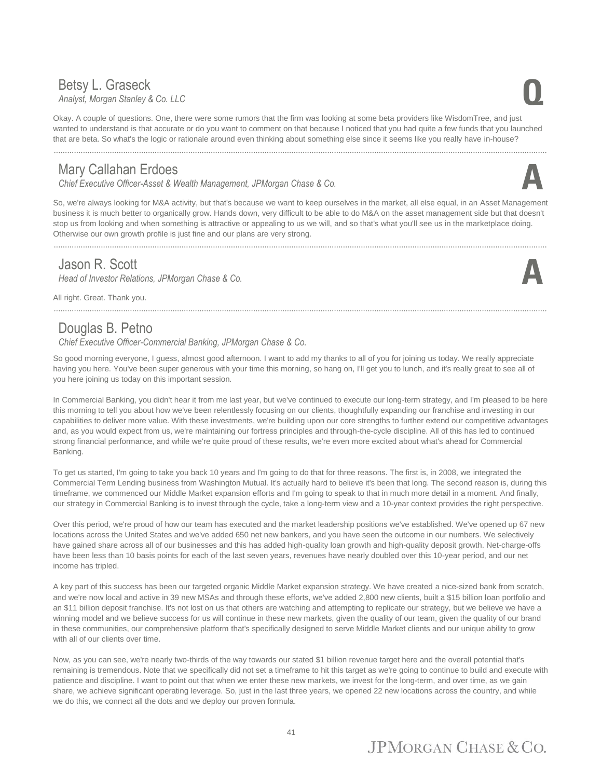#### Betsy L. Graseck *Analyst, Morgan Stanley & Co. LLC* **Q**

Okay. A couple of questions. One, there were some rumors that the firm was looking at some beta providers like WisdomTree, and just wanted to understand is that accurate or do you want to comment on that because I noticed that you had quite a few funds that you launched that are beta. So what's the logic or rationale around even thinking about something else since it seems like you really have in-house?

............................................................................................................................................................................................................................

#### Mary Callahan Erdoes

*Chief Executive Officer-Asset & Wealth Management, JPMorgan Chase & Co.* **A**

So, we're always looking for M&A activity, but that's because we want to keep ourselves in the market, all else equal, in an Asset Management business it is much better to organically grow. Hands down, very difficult to be able to do M&A on the asset management side but that doesn't stop us from looking and when something is attractive or appealing to us we will, and so that's what you'll see us in the marketplace doing. Otherwise our own growth profile is just fine and our plans are very strong.

#### Jason R. Scott

*Head of Investor Relations, JPMorgan Chase & Co.* 

All right. Great. Thank you.

#### Douglas B. Petno

*Chief Executive Officer-Commercial Banking, JPMorgan Chase & Co.*

So good morning everyone, I guess, almost good afternoon. I want to add my thanks to all of you for joining us today. We really appreciate having you here. You've been super generous with your time this morning, so hang on, I'll get you to lunch, and it's really great to see all of you here joining us today on this important session.

In Commercial Banking, you didn't hear it from me last year, but we've continued to execute our long-term strategy, and I'm pleased to be here this morning to tell you about how we've been relentlessly focusing on our clients, thoughtfully expanding our franchise and investing in our capabilities to deliver more value. With these investments, we're building upon our core strengths to further extend our competitive advantages and, as you would expect from us, we're maintaining our fortress principles and through-the-cycle discipline. All of this has led to continued strong financial performance, and while we're quite proud of these results, we're even more excited about what's ahead for Commercial Banking.

To get us started, I'm going to take you back 10 years and I'm going to do that for three reasons. The first is, in 2008, we integrated the Commercial Term Lending business from Washington Mutual. It's actually hard to believe it's been that long. The second reason is, during this timeframe, we commenced our Middle Market expansion efforts and I'm going to speak to that in much more detail in a moment. And finally, our strategy in Commercial Banking is to invest through the cycle, take a long-term view and a 10-year context provides the right perspective.

Over this period, we're proud of how our team has executed and the market leadership positions we've established. We've opened up 67 new locations across the United States and we've added 650 net new bankers, and you have seen the outcome in our numbers. We selectively have gained share across all of our businesses and this has added high-quality loan growth and high-quality deposit growth. Net-charge-offs have been less than 10 basis points for each of the last seven years, revenues have nearly doubled over this 10-year period, and our net income has tripled.

A key part of this success has been our targeted organic Middle Market expansion strategy. We have created a nice-sized bank from scratch, and we're now local and active in 39 new MSAs and through these efforts, we've added 2,800 new clients, built a \$15 billion loan portfolio and an \$11 billion deposit franchise. It's not lost on us that others are watching and attempting to replicate our strategy, but we believe we have a winning model and we believe success for us will continue in these new markets, given the quality of our team, given the quality of our brand in these communities, our comprehensive platform that's specifically designed to serve Middle Market clients and our unique ability to grow with all of our clients over time.

Now, as you can see, we're nearly two-thirds of the way towards our stated \$1 billion revenue target here and the overall potential that's remaining is tremendous. Note that we specifically did not set a timeframe to hit this target as we're going to continue to build and execute with patience and discipline. I want to point out that when we enter these new markets, we invest for the long-term, and over time, as we gain share, we achieve significant operating leverage. So, just in the last three years, we opened 22 new locations across the country, and while we do this, we connect all the dots and we deploy our proven formula.





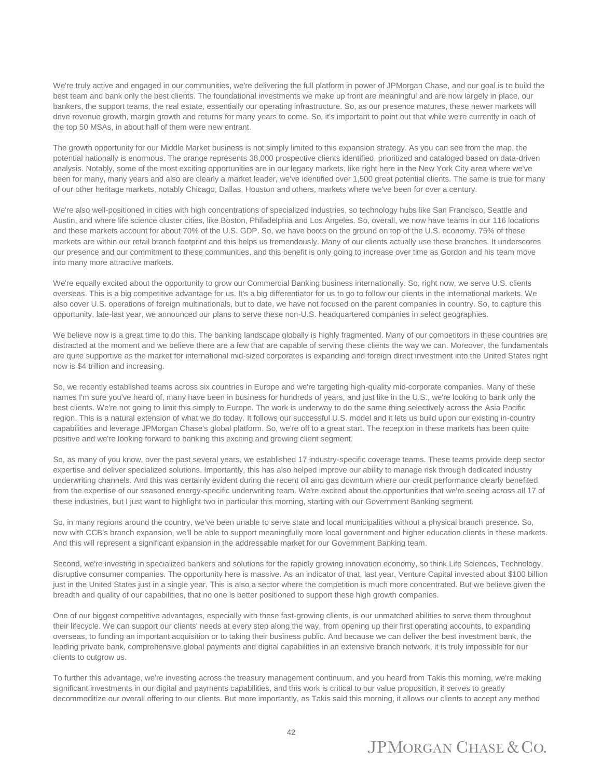We're truly active and engaged in our communities, we're delivering the full platform in power of JPMorgan Chase, and our goal is to build the best team and bank only the best clients. The foundational investments we make up front are meaningful and are now largely in place, our bankers, the support teams, the real estate, essentially our operating infrastructure. So, as our presence matures, these newer markets will drive revenue growth, margin growth and returns for many years to come. So, it's important to point out that while we're currently in each of the top 50 MSAs, in about half of them were new entrant.

The growth opportunity for our Middle Market business is not simply limited to this expansion strategy. As you can see from the map, the potential nationally is enormous. The orange represents 38,000 prospective clients identified, prioritized and cataloged based on data-driven analysis. Notably, some of the most exciting opportunities are in our legacy markets, like right here in the New York City area where we've been for many, many years and also are clearly a market leader, we've identified over 1,500 great potential clients. The same is true for many of our other heritage markets, notably Chicago, Dallas, Houston and others, markets where we've been for over a century.

We're also well-positioned in cities with high concentrations of specialized industries, so technology hubs like San Francisco, Seattle and Austin, and where life science cluster cities, like Boston, Philadelphia and Los Angeles. So, overall, we now have teams in our 116 locations and these markets account for about 70% of the U.S. GDP. So, we have boots on the ground on top of the U.S. economy. 75% of these markets are within our retail branch footprint and this helps us tremendously. Many of our clients actually use these branches. It underscores our presence and our commitment to these communities, and this benefit is only going to increase over time as Gordon and his team move into many more attractive markets.

We're equally excited about the opportunity to grow our Commercial Banking business internationally. So, right now, we serve U.S. clients overseas. This is a big competitive advantage for us. It's a big differentiator for us to go to follow our clients in the international markets. We also cover U.S. operations of foreign multinationals, but to date, we have not focused on the parent companies in country. So, to capture this opportunity, late-last year, we announced our plans to serve these non-U.S. headquartered companies in select geographies.

We believe now is a great time to do this. The banking landscape globally is highly fragmented. Many of our competitors in these countries are distracted at the moment and we believe there are a few that are capable of serving these clients the way we can. Moreover, the fundamentals are quite supportive as the market for international mid-sized corporates is expanding and foreign direct investment into the United States right now is \$4 trillion and increasing.

So, we recently established teams across six countries in Europe and we're targeting high-quality mid-corporate companies. Many of these names I'm sure you've heard of, many have been in business for hundreds of years, and just like in the U.S., we're looking to bank only the best clients. We're not going to limit this simply to Europe. The work is underway to do the same thing selectively across the Asia Pacific region. This is a natural extension of what we do today. It follows our successful U.S. model and it lets us build upon our existing in-country capabilities and leverage JPMorgan Chase's global platform. So, we're off to a great start. The reception in these markets has been quite positive and we're looking forward to banking this exciting and growing client segment.

So, as many of you know, over the past several years, we established 17 industry-specific coverage teams. These teams provide deep sector expertise and deliver specialized solutions. Importantly, this has also helped improve our ability to manage risk through dedicated industry underwriting channels. And this was certainly evident during the recent oil and gas downturn where our credit performance clearly benefited from the expertise of our seasoned energy-specific underwriting team. We're excited about the opportunities that we're seeing across all 17 of these industries, but I just want to highlight two in particular this morning, starting with our Government Banking segment.

So, in many regions around the country, we've been unable to serve state and local municipalities without a physical branch presence. So, now with CCB's branch expansion, we'll be able to support meaningfully more local government and higher education clients in these markets. And this will represent a significant expansion in the addressable market for our Government Banking team.

Second, we're investing in specialized bankers and solutions for the rapidly growing innovation economy, so think Life Sciences, Technology, disruptive consumer companies. The opportunity here is massive. As an indicator of that, last year, Venture Capital invested about \$100 billion just in the United States just in a single year. This is also a sector where the competition is much more concentrated. But we believe given the breadth and quality of our capabilities, that no one is better positioned to support these high growth companies.

One of our biggest competitive advantages, especially with these fast-growing clients, is our unmatched abilities to serve them throughout their lifecycle. We can support our clients' needs at every step along the way, from opening up their first operating accounts, to expanding overseas, to funding an important acquisition or to taking their business public. And because we can deliver the best investment bank, the leading private bank, comprehensive global payments and digital capabilities in an extensive branch network, it is truly impossible for our clients to outgrow us.

To further this advantage, we're investing across the treasury management continuum, and you heard from Takis this morning, we're making significant investments in our digital and payments capabilities, and this work is critical to our value proposition, it serves to greatly decommoditize our overall offering to our clients. But more importantly, as Takis said this morning, it allows our clients to accept any method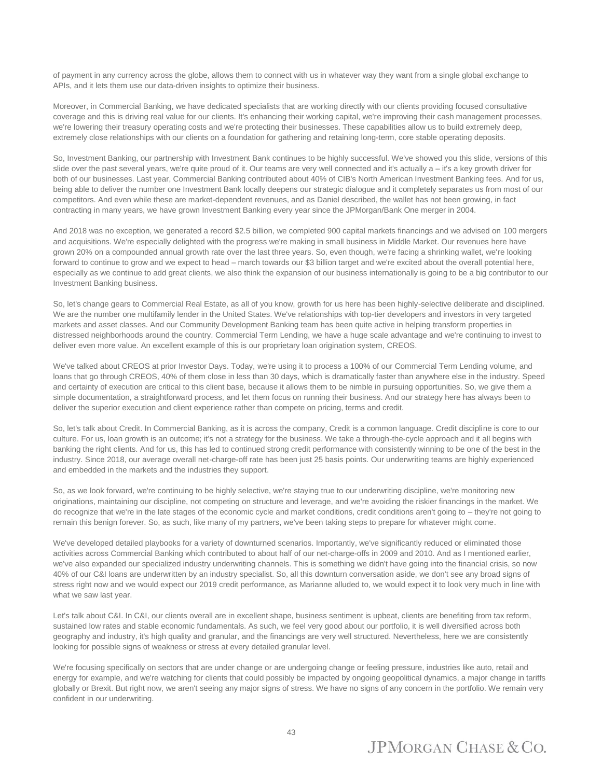of payment in any currency across the globe, allows them to connect with us in whatever way they want from a single global exchange to APIs, and it lets them use our data-driven insights to optimize their business.

Moreover, in Commercial Banking, we have dedicated specialists that are working directly with our clients providing focused consultative coverage and this is driving real value for our clients. It's enhancing their working capital, we're improving their cash management processes, we're lowering their treasury operating costs and we're protecting their businesses. These capabilities allow us to build extremely deep, extremely close relationships with our clients on a foundation for gathering and retaining long-term, core stable operating deposits.

So, Investment Banking, our partnership with Investment Bank continues to be highly successful. We've showed you this slide, versions of this slide over the past several years, we're quite proud of it. Our teams are very well connected and it's actually a – it's a key growth driver for both of our businesses. Last year, Commercial Banking contributed about 40% of CIB's North American Investment Banking fees. And for us, being able to deliver the number one Investment Bank locally deepens our strategic dialogue and it completely separates us from most of our competitors. And even while these are market-dependent revenues, and as Daniel described, the wallet has not been growing, in fact contracting in many years, we have grown Investment Banking every year since the JPMorgan/Bank One merger in 2004.

And 2018 was no exception, we generated a record \$2.5 billion, we completed 900 capital markets financings and we advised on 100 mergers and acquisitions. We're especially delighted with the progress we're making in small business in Middle Market. Our revenues here have grown 20% on a compounded annual growth rate over the last three years. So, even though, we're facing a shrinking wallet, we're looking forward to continue to grow and we expect to head – march towards our \$3 billion target and we're excited about the overall potential here. especially as we continue to add great clients, we also think the expansion of our business internationally is going to be a big contributor to our Investment Banking business.

So, let's change gears to Commercial Real Estate, as all of you know, growth for us here has been highly-selective deliberate and disciplined. We are the number one multifamily lender in the United States. We've relationships with top-tier developers and investors in very targeted markets and asset classes. And our Community Development Banking team has been quite active in helping transform properties in distressed neighborhoods around the country. Commercial Term Lending, we have a huge scale advantage and we're continuing to invest to deliver even more value. An excellent example of this is our proprietary loan origination system, CREOS.

We've talked about CREOS at prior Investor Days. Today, we're using it to process a 100% of our Commercial Term Lending volume, and loans that go through CREOS, 40% of them close in less than 30 days, which is dramatically faster than anywhere else in the industry. Speed and certainty of execution are critical to this client base, because it allows them to be nimble in pursuing opportunities. So, we give them a simple documentation, a straightforward process, and let them focus on running their business. And our strategy here has always been to deliver the superior execution and client experience rather than compete on pricing, terms and credit.

So, let's talk about Credit. In Commercial Banking, as it is across the company, Credit is a common language. Credit discipline is core to our culture. For us, loan growth is an outcome; it's not a strategy for the business. We take a through-the-cycle approach and it all begins with banking the right clients. And for us, this has led to continued strong credit performance with consistently winning to be one of the best in the industry. Since 2018, our average overall net-charge-off rate has been just 25 basis points. Our underwriting teams are highly experienced and embedded in the markets and the industries they support.

So, as we look forward, we're continuing to be highly selective, we're staying true to our underwriting discipline, we're monitoring new originations, maintaining our discipline, not competing on structure and leverage, and we're avoiding the riskier financings in the market. We do recognize that we're in the late stages of the economic cycle and market conditions, credit conditions aren't going to – they're not going to remain this benign forever. So, as such, like many of my partners, we've been taking steps to prepare for whatever might come.

We've developed detailed playbooks for a variety of downturned scenarios. Importantly, we've significantly reduced or eliminated those activities across Commercial Banking which contributed to about half of our net-charge-offs in 2009 and 2010. And as I mentioned earlier, we've also expanded our specialized industry underwriting channels. This is something we didn't have going into the financial crisis, so now 40% of our C&I loans are underwritten by an industry specialist. So, all this downturn conversation aside, we don't see any broad signs of stress right now and we would expect our 2019 credit performance, as Marianne alluded to, we would expect it to look very much in line with what we saw last year.

Let's talk about C&I. In C&I, our clients overall are in excellent shape, business sentiment is upbeat, clients are benefiting from tax reform, sustained low rates and stable economic fundamentals. As such, we feel very good about our portfolio, it is well diversified across both geography and industry, it's high quality and granular, and the financings are very well structured. Nevertheless, here we are consistently looking for possible signs of weakness or stress at every detailed granular level.

We're focusing specifically on sectors that are under change or are undergoing change or feeling pressure, industries like auto, retail and energy for example, and we're watching for clients that could possibly be impacted by ongoing geopolitical dynamics, a major change in tariffs globally or Brexit. But right now, we aren't seeing any major signs of stress. We have no signs of any concern in the portfolio. We remain very confident in our underwriting.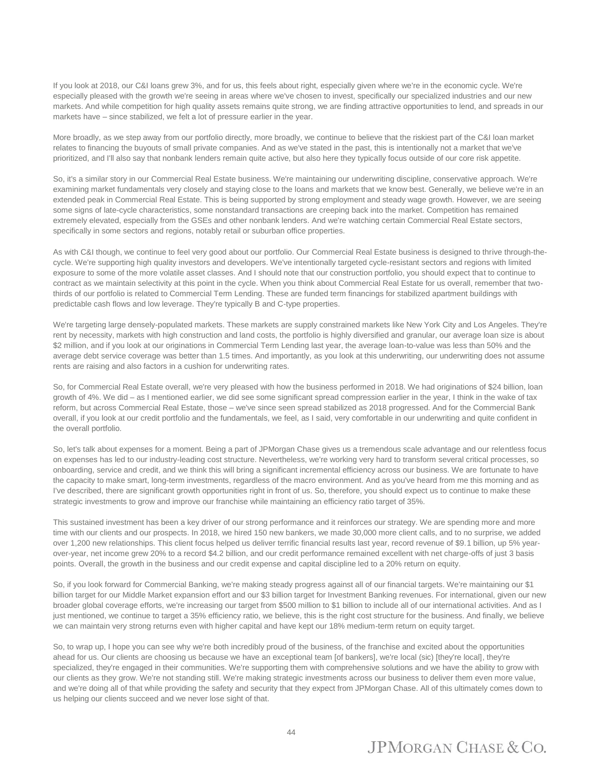If you look at 2018, our C&I loans grew 3%, and for us, this feels about right, especially given where we're in the economic cycle. We're especially pleased with the growth we're seeing in areas where we've chosen to invest, specifically our specialized industries and our new markets. And while competition for high quality assets remains quite strong, we are finding attractive opportunities to lend, and spreads in our markets have – since stabilized, we felt a lot of pressure earlier in the year.

More broadly, as we step away from our portfolio directly, more broadly, we continue to believe that the riskiest part of the C&I loan market relates to financing the buyouts of small private companies. And as we've stated in the past, this is intentionally not a market that we've prioritized, and I'll also say that nonbank lenders remain quite active, but also here they typically focus outside of our core risk appetite.

So, it's a similar story in our Commercial Real Estate business. We're maintaining our underwriting discipline, conservative approach. We're examining market fundamentals very closely and staying close to the loans and markets that we know best. Generally, we believe we're in an extended peak in Commercial Real Estate. This is being supported by strong employment and steady wage growth. However, we are seeing some signs of late-cycle characteristics, some nonstandard transactions are creeping back into the market. Competition has remained extremely elevated, especially from the GSEs and other nonbank lenders. And we're watching certain Commercial Real Estate sectors, specifically in some sectors and regions, notably retail or suburban office properties.

As with C&I though, we continue to feel very good about our portfolio. Our Commercial Real Estate business is designed to thrive through-thecycle. We're supporting high quality investors and developers. We've intentionally targeted cycle-resistant sectors and regions with limited exposure to some of the more volatile asset classes. And I should note that our construction portfolio, you should expect that to continue to contract as we maintain selectivity at this point in the cycle. When you think about Commercial Real Estate for us overall, remember that twothirds of our portfolio is related to Commercial Term Lending. These are funded term financings for stabilized apartment buildings with predictable cash flows and low leverage. They're typically B and C-type properties.

We're targeting large densely-populated markets. These markets are supply constrained markets like New York City and Los Angeles. They're rent by necessity, markets with high construction and land costs, the portfolio is highly diversified and granular, our average loan size is about \$2 million, and if you look at our originations in Commercial Term Lending last year, the average loan-to-value was less than 50% and the average debt service coverage was better than 1.5 times. And importantly, as you look at this underwriting, our underwriting does not assume rents are raising and also factors in a cushion for underwriting rates.

So, for Commercial Real Estate overall, we're very pleased with how the business performed in 2018. We had originations of \$24 billion, loan growth of 4%. We did – as I mentioned earlier, we did see some significant spread compression earlier in the year, I think in the wake of tax reform, but across Commercial Real Estate, those – we've since seen spread stabilized as 2018 progressed. And for the Commercial Bank overall, if you look at our credit portfolio and the fundamentals, we feel, as I said, very comfortable in our underwriting and quite confident in the overall portfolio.

So, let's talk about expenses for a moment. Being a part of JPMorgan Chase gives us a tremendous scale advantage and our relentless focus on expenses has led to our industry-leading cost structure. Nevertheless, we're working very hard to transform several critical processes, so onboarding, service and credit, and we think this will bring a significant incremental efficiency across our business. We are fortunate to have the capacity to make smart, long-term investments, regardless of the macro environment. And as you've heard from me this morning and as I've described, there are significant growth opportunities right in front of us. So, therefore, you should expect us to continue to make these strategic investments to grow and improve our franchise while maintaining an efficiency ratio target of 35%.

This sustained investment has been a key driver of our strong performance and it reinforces our strategy. We are spending more and more time with our clients and our prospects. In 2018, we hired 150 new bankers, we made 30,000 more client calls, and to no surprise, we added over 1,200 new relationships. This client focus helped us deliver terrific financial results last year, record revenue of \$9.1 billion, up 5% yearover-year, net income grew 20% to a record \$4.2 billion, and our credit performance remained excellent with net charge-offs of just 3 basis points. Overall, the growth in the business and our credit expense and capital discipline led to a 20% return on equity.

So, if you look forward for Commercial Banking, we're making steady progress against all of our financial targets. We're maintaining our \$1 billion target for our Middle Market expansion effort and our \$3 billion target for Investment Banking revenues. For international, given our new broader global coverage efforts, we're increasing our target from \$500 million to \$1 billion to include all of our international activities. And as I just mentioned, we continue to target a 35% efficiency ratio, we believe, this is the right cost structure for the business. And finally, we believe we can maintain very strong returns even with higher capital and have kept our 18% medium-term return on equity target.

So, to wrap up, I hope you can see why we're both incredibly proud of the business, of the franchise and excited about the opportunities ahead for us. Our clients are choosing us because we have an exceptional team [of bankers], we're local (sic) [they're local], they're specialized, they're engaged in their communities. We're supporting them with comprehensive solutions and we have the ability to grow with our clients as they grow. We're not standing still. We're making strategic investments across our business to deliver them even more value, and we're doing all of that while providing the safety and security that they expect from JPMorgan Chase. All of this ultimately comes down to us helping our clients succeed and we never lose sight of that.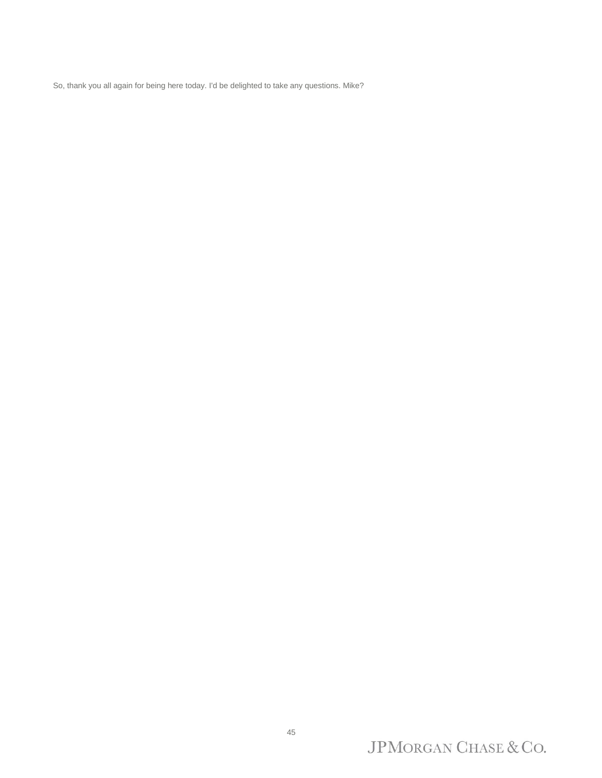So, thank you all again for being here today. I'd be delighted to take any questions. Mike?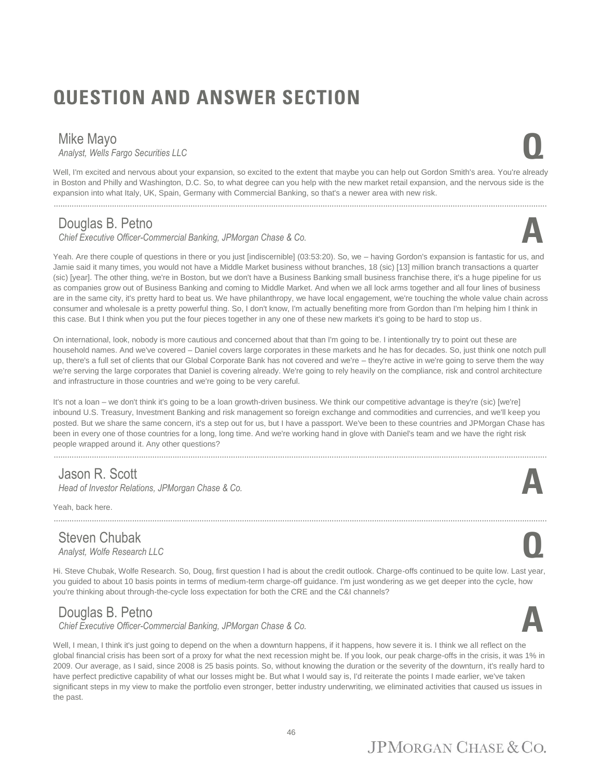# **QUESTION AND ANSWER SECTION**

Mike Mayo<br>Analyst, Wells Fargo Securities LLC *Analyst, Wells Fargo Securities LLC* **Q**

Well, I'm excited and nervous about your expansion, so excited to the extent that maybe you can help out Gordon Smith's area. You're already in Boston and Philly and Washington, D.C. So, to what degree can you help with the new market retail expansion, and the nervous side is the expansion into what Italy, UK, Spain, Germany with Commercial Banking, so that's a newer area with new risk.

............................................................................................................................................................................................................................

#### Douglas B. Petno

*Chief Executive Officer-Commercial Banking, JPMorgan Chase & Co.* **A**

Yeah. Are there couple of questions in there or you just [indiscernible] (03:53:20). So, we – having Gordon's expansion is fantastic for us, and Jamie said it many times, you would not have a Middle Market business without branches, 18 (sic) [13] million branch transactions a quarter (sic) [year]. The other thing, we're in Boston, but we don't have a Business Banking small business franchise there, it's a huge pipeline for us as companies grow out of Business Banking and coming to Middle Market. And when we all lock arms together and all four lines of business are in the same city, it's pretty hard to beat us. We have philanthropy, we have local engagement, we're touching the whole value chain across consumer and wholesale is a pretty powerful thing. So, I don't know, I'm actually benefiting more from Gordon than I'm helping him I think in this case. But I think when you put the four pieces together in any one of these new markets it's going to be hard to stop us.

On international, look, nobody is more cautious and concerned about that than I'm going to be. I intentionally try to point out these are household names. And we've covered – Daniel covers large corporates in these markets and he has for decades. So, just think one notch pull up, there's a full set of clients that our Global Corporate Bank has not covered and we're – they're active in we're going to serve them the way we're serving the large corporates that Daniel is covering already. We're going to rely heavily on the compliance, risk and control architecture and infrastructure in those countries and we're going to be very careful.

It's not a loan – we don't think it's going to be a loan growth-driven business. We think our competitive advantage is they're (sic) [we're] inbound U.S. Treasury, Investment Banking and risk management so foreign exchange and commodities and currencies, and we'll keep you posted. But we share the same concern, it's a step out for us, but I have a passport. We've been to these countries and JPMorgan Chase has been in every one of those countries for a long, long time. And we're working hand in glove with Daniel's team and we have the right risk people wrapped around it. Any other questions?

#### Jason R. Scott

*Head of Investor Relations, JPMorgan Chase & Co.* **A**

Yeah, back here.

#### Steven Chubak *Analyst, Wolfe Research LLC* **Q**

Hi. Steve Chubak, Wolfe Research. So, Doug, first question I had is about the credit outlook. Charge-offs continued to be quite low. Last year, you guided to about 10 basis points in terms of medium-term charge-off guidance. I'm just wondering as we get deeper into the cycle, how you're thinking about through-the-cycle loss expectation for both the CRE and the C&I channels?

............................................................................................................................................................................................................................

#### Douglas B. Petno

*Chief Executive Officer-Commercial Banking, JPMorgan Chase & Co.* **A**

Well, I mean, I think it's just going to depend on the when a downturn happens, if it happens, how severe it is. I think we all reflect on the global financial crisis has been sort of a proxy for what the next recession might be. If you look, our peak charge-offs in the crisis, it was 1% in 2009. Our average, as I said, since 2008 is 25 basis points. So, without knowing the duration or the severity of the downturn, it's really hard to have perfect predictive capability of what our losses might be. But what I would say is, I'd reiterate the points I made earlier, we've taken significant steps in my view to make the portfolio even stronger, better industry underwriting, we eliminated activities that caused us issues in the past.

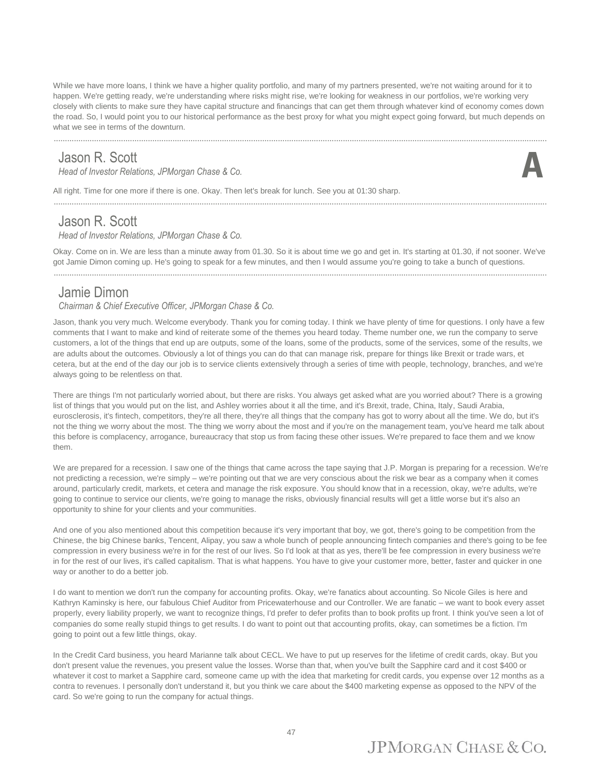While we have more loans, I think we have a higher quality portfolio, and many of my partners presented, we're not waiting around for it to happen. We're getting ready, we're understanding where risks might rise, we're looking for weakness in our portfolios, we're working very closely with clients to make sure they have capital structure and financings that can get them through whatever kind of economy comes down the road. So, I would point you to our historical performance as the best proxy for what you might expect going forward, but much depends on what we see in terms of the downturn.

#### Jason R. Scott

*Head of Investor Relations, JPMorgan Chase & Co.* **A**

............................................................................................................................................................................................................................



All right. Time for one more if there is one. Okay. Then let's break for lunch. See you at 01:30 sharp.

#### Jason R. Scott

*Head of Investor Relations, JPMorgan Chase & Co.*

Okay. Come on in. We are less than a minute away from 01.30. So it is about time we go and get in. It's starting at 01.30, if not sooner. We've got Jamie Dimon coming up. He's going to speak for a few minutes, and then I would assume you're going to take a bunch of questions.

............................................................................................................................................................................................................................

............................................................................................................................................................................................................................

#### Jamie Dimon

*Chairman & Chief Executive Officer, JPMorgan Chase & Co.*

Jason, thank you very much. Welcome everybody. Thank you for coming today. I think we have plenty of time for questions. I only have a few comments that I want to make and kind of reiterate some of the themes you heard today. Theme number one, we run the company to serve customers, a lot of the things that end up are outputs, some of the loans, some of the products, some of the services, some of the results, we are adults about the outcomes. Obviously a lot of things you can do that can manage risk, prepare for things like Brexit or trade wars, et cetera, but at the end of the day our job is to service clients extensively through a series of time with people, technology, branches, and we're always going to be relentless on that.

There are things I'm not particularly worried about, but there are risks. You always get asked what are you worried about? There is a growing list of things that you would put on the list, and Ashley worries about it all the time, and it's Brexit, trade, China, Italy, Saudi Arabia, eurosclerosis, it's fintech, competitors, they're all there, they're all things that the company has got to worry about all the time. We do, but it's not the thing we worry about the most. The thing we worry about the most and if you're on the management team, you've heard me talk about this before is complacency, arrogance, bureaucracy that stop us from facing these other issues. We're prepared to face them and we know them.

We are prepared for a recession. I saw one of the things that came across the tape saying that J.P. Morgan is preparing for a recession. We're not predicting a recession, we're simply – we're pointing out that we are very conscious about the risk we bear as a company when it comes around, particularly credit, markets, et cetera and manage the risk exposure. You should know that in a recession, okay, we're adults, we're going to continue to service our clients, we're going to manage the risks, obviously financial results will get a little worse but it's also an opportunity to shine for your clients and your communities.

And one of you also mentioned about this competition because it's very important that boy, we got, there's going to be competition from the Chinese, the big Chinese banks, Tencent, Alipay, you saw a whole bunch of people announcing fintech companies and there's going to be fee compression in every business we're in for the rest of our lives. So I'd look at that as yes, there'll be fee compression in every business we're in for the rest of our lives, it's called capitalism. That is what happens. You have to give your customer more, better, faster and quicker in one way or another to do a better job.

I do want to mention we don't run the company for accounting profits. Okay, we're fanatics about accounting. So Nicole Giles is here and Kathryn Kaminsky is here, our fabulous Chief Auditor from Pricewaterhouse and our Controller. We are fanatic – we want to book every asset properly, every liability properly, we want to recognize things, I'd prefer to defer profits than to book profits up front. I think you've seen a lot of companies do some really stupid things to get results. I do want to point out that accounting profits, okay, can sometimes be a fiction. I'm going to point out a few little things, okay.

In the Credit Card business, you heard Marianne talk about CECL. We have to put up reserves for the lifetime of credit cards, okay. But you don't present value the revenues, you present value the losses. Worse than that, when you've built the Sapphire card and it cost \$400 or whatever it cost to market a Sapphire card, someone came up with the idea that marketing for credit cards, you expense over 12 months as a contra to revenues. I personally don't understand it, but you think we care about the \$400 marketing expense as opposed to the NPV of the card. So we're going to run the company for actual things.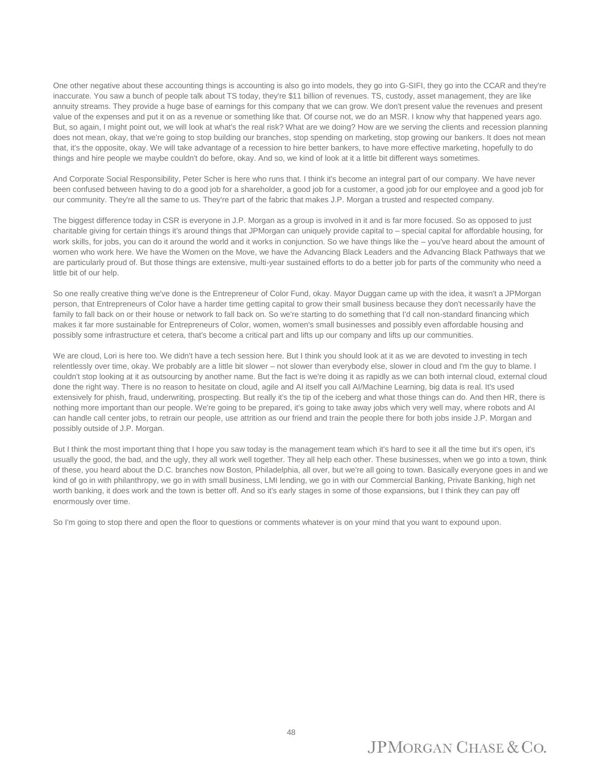One other negative about these accounting things is accounting is also go into models, they go into G-SIFI, they go into the CCAR and they're inaccurate. You saw a bunch of people talk about TS today, they're \$11 billion of revenues. TS, custody, asset management, they are like annuity streams. They provide a huge base of earnings for this company that we can grow. We don't present value the revenues and present value of the expenses and put it on as a revenue or something like that. Of course not, we do an MSR. I know why that happened years ago. But, so again, I might point out, we will look at what's the real risk? What are we doing? How are we serving the clients and recession planning does not mean, okay, that we're going to stop building our branches, stop spending on marketing, stop growing our bankers. It does not mean that, it's the opposite, okay. We will take advantage of a recession to hire better bankers, to have more effective marketing, hopefully to do things and hire people we maybe couldn't do before, okay. And so, we kind of look at it a little bit different ways sometimes.

And Corporate Social Responsibility, Peter Scher is here who runs that. I think it's become an integral part of our company. We have never been confused between having to do a good job for a shareholder, a good job for a customer, a good job for our employee and a good job for our community. They're all the same to us. They're part of the fabric that makes J.P. Morgan a trusted and respected company.

The biggest difference today in CSR is everyone in J.P. Morgan as a group is involved in it and is far more focused. So as opposed to just charitable giving for certain things it's around things that JPMorgan can uniquely provide capital to – special capital for affordable housing, for work skills, for jobs, you can do it around the world and it works in conjunction. So we have things like the – you've heard about the amount of women who work here. We have the Women on the Move, we have the Advancing Black Leaders and the Advancing Black Pathways that we are particularly proud of. But those things are extensive, multi-year sustained efforts to do a better job for parts of the community who need a little bit of our help.

So one really creative thing we've done is the Entrepreneur of Color Fund, okay. Mayor Duggan came up with the idea, it wasn't a JPMorgan person, that Entrepreneurs of Color have a harder time getting capital to grow their small business because they don't necessarily have the family to fall back on or their house or network to fall back on. So we're starting to do something that I'd call non-standard financing which makes it far more sustainable for Entrepreneurs of Color, women, women's small businesses and possibly even affordable housing and possibly some infrastructure et cetera, that's become a critical part and lifts up our company and lifts up our communities.

We are cloud, Lori is here too. We didn't have a tech session here. But I think you should look at it as we are devoted to investing in tech relentlessly over time, okay. We probably are a little bit slower – not slower than everybody else, slower in cloud and I'm the guy to blame. I couldn't stop looking at it as outsourcing by another name. But the fact is we're doing it as rapidly as we can both internal cloud, external cloud done the right way. There is no reason to hesitate on cloud, agile and AI itself you call AI/Machine Learning, big data is real. It's used extensively for phish, fraud, underwriting, prospecting. But really it's the tip of the iceberg and what those things can do. And then HR, there is nothing more important than our people. We're going to be prepared, it's going to take away jobs which very well may, where robots and AI can handle call center jobs, to retrain our people, use attrition as our friend and train the people there for both jobs inside J.P. Morgan and possibly outside of J.P. Morgan.

But I think the most important thing that I hope you saw today is the management team which it's hard to see it all the time but it's open, it's usually the good, the bad, and the ugly, they all work well together. They all help each other. These businesses, when we go into a town, think of these, you heard about the D.C. branches now Boston, Philadelphia, all over, but we're all going to town. Basically everyone goes in and we kind of go in with philanthropy, we go in with small business, LMI lending, we go in with our Commercial Banking, Private Banking, high net worth banking, it does work and the town is better off. And so it's early stages in some of those expansions, but I think they can pay off enormously over time.

So I'm going to stop there and open the floor to questions or comments whatever is on your mind that you want to expound upon.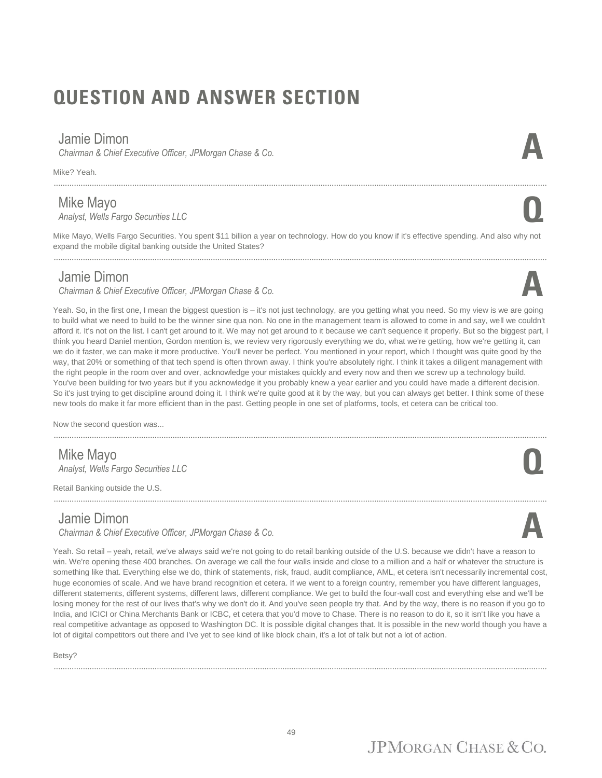# **QUESTION AND ANSWER SECTION**

............................................................................................................................................................................................................................

#### Jamie Dimon

*Chairman & Chief Executive Officer, JPMorgan Chase & Co.* **A**

Mike? Yeah.

#### Mike Mayo

*Analyst, Wells Fargo Securities LLC* **Q**

Mike Mayo, Wells Fargo Securities. You spent \$11 billion a year on technology. How do you know if it's effective spending. And also why not expand the mobile digital banking outside the United States?

#### Jamie Dimon

*Chairman & Chief Executive Officer, JPMorgan Chase & Co.* **A**

Yeah. So, in the first one, I mean the biggest question is – it's not just technology, are you getting what you need. So my view is we are going to build what we need to build to be the winner sine qua non. No one in the management team is allowed to come in and say, well we couldn't afford it. It's not on the list. I can't get around to it. We may not get around to it because we can't sequence it properly. But so the biggest part, I think you heard Daniel mention, Gordon mention is, we review very rigorously everything we do, what we're getting, how we're getting it, can we do it faster, we can make it more productive. You'll never be perfect. You mentioned in your report, which I thought was quite good by the way, that 20% or something of that tech spend is often thrown away. I think you're absolutely right. I think it takes a diligent management with the right people in the room over and over, acknowledge your mistakes quickly and every now and then we screw up a technology build. You've been building for two years but if you acknowledge it you probably knew a year earlier and you could have made a different decision. So it's just trying to get discipline around doing it. I think we're quite good at it by the way, but you can always get better. I think some of these new tools do make it far more efficient than in the past. Getting people in one set of platforms, tools, et cetera can be critical too.

Now the second question was...

#### Mike Mayo *Analyst, Wells Fargo Securities LLC* **Q**

Retail Banking outside the U.S.

#### Jamie Dimon

*Chairman & Chief Executive Officer, JPMorgan Chase & Co.* **A**

............................................................................................................................................................................................................................

Yeah. So retail – yeah, retail, we've always said we're not going to do retail banking outside of the U.S. because we didn't have a reason to win. We're opening these 400 branches. On average we call the four walls inside and close to a million and a half or whatever the structure is something like that. Everything else we do, think of statements, risk, fraud, audit compliance, AML, et cetera isn't necessarily incremental cost, huge economies of scale. And we have brand recognition et cetera. If we went to a foreign country, remember you have different languages, different statements, different systems, different laws, different compliance. We get to build the four-wall cost and everything else and we'll be losing money for the rest of our lives that's why we don't do it. And you've seen people try that. And by the way, there is no reason if you go to India, and ICICI or China Merchants Bank or ICBC, et cetera that you'd move to Chase. There is no reason to do it, so it isn't like you have a real competitive advantage as opposed to Washington DC. It is possible digital changes that. It is possible in the new world though you have a lot of digital competitors out there and I've yet to see kind of like block chain, it's a lot of talk but not a lot of action.

............................................................................................................................................................................................................................

Betsy?



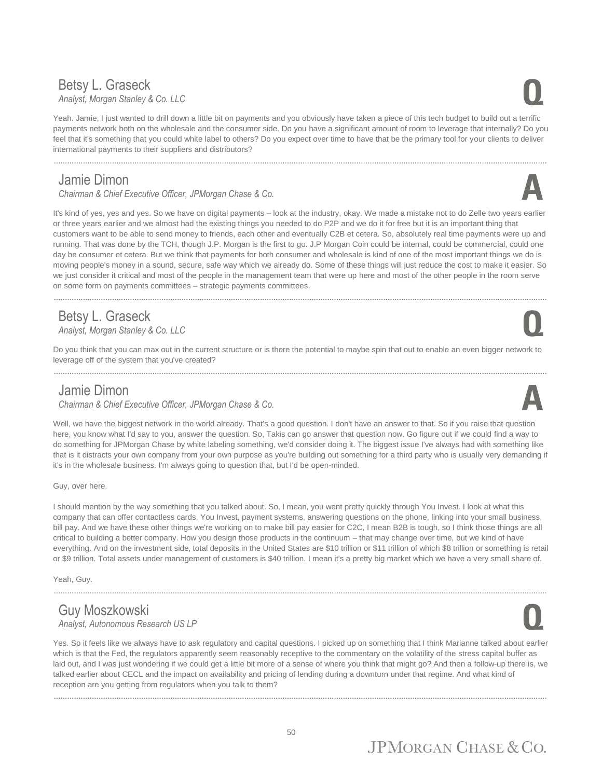## Betsy L. Graseck *Analyst, Morgan Stanley & Co. LLC* **Q**

Yeah. Jamie, I just wanted to drill down a little bit on payments and you obviously have taken a piece of this tech budget to build out a terrific payments network both on the wholesale and the consumer side. Do you have a significant amount of room to leverage that internally? Do you feel that it's something that you could white label to others? Do you expect over time to have that be the primary tool for your clients to deliver international payments to their suppliers and distributors?

#### Jamie Dimon

*Chairman & Chief Executive Officer, JPMorgan Chase & Co.* **A**

............................................................................................................................................................................................................................

It's kind of yes, yes and yes. So we have on digital payments – look at the industry, okay. We made a mistake not to do Zelle two years earlier or three years earlier and we almost had the existing things you needed to do P2P and we do it for free but it is an important thing that customers want to be able to send money to friends, each other and eventually C2B et cetera. So, absolutely real time payments were up and running. That was done by the TCH, though J.P. Morgan is the first to go. J.P Morgan Coin could be internal, could be commercial, could one day be consumer et cetera. But we think that payments for both consumer and wholesale is kind of one of the most important things we do is moving people's money in a sound, secure, safe way which we already do. Some of these things will just reduce the cost to make it easier. So we just consider it critical and most of the people in the management team that were up here and most of the other people in the room serve on some form on payments committees – strategic payments committees.

............................................................................................................................................................................................................................

#### Betsy L. Graseck *Analyst, Morgan Stanley & Co. LLC* **Q**

Do you think that you can max out in the current structure or is there the potential to maybe spin that out to enable an even bigger network to leverage off of the system that you've created?

#### Jamie Dimon

*Chairman & Chief Executive Officer, JPMorgan Chase & Co.* **A**

Well, we have the biggest network in the world already. That's a good question. I don't have an answer to that. So if you raise that question here, you know what I'd say to you, answer the question. So, Takis can go answer that question now. Go figure out if we could find a way to do something for JPMorgan Chase by white labeling something, we'd consider doing it. The biggest issue I've always had with something like that is it distracts your own company from your own purpose as you're building out something for a third party who is usually very demanding if it's in the wholesale business. I'm always going to question that, but I'd be open-minded.

Guy, over here.

I should mention by the way something that you talked about. So, I mean, you went pretty quickly through You Invest. I look at what this company that can offer contactless cards, You Invest, payment systems, answering questions on the phone, linking into your small business, bill pay. And we have these other things we're working on to make bill pay easier for C2C, I mean B2B is tough, so I think those things are all critical to building a better company. How you design those products in the continuum – that may change over time, but we kind of have everything. And on the investment side, total deposits in the United States are \$10 trillion or \$11 trillion of which \$8 trillion or something is retail or \$9 trillion. Total assets under management of customers is \$40 trillion. I mean it's a pretty big market which we have a very small share of.

............................................................................................................................................................................................................................

Yeah, Guy.

#### Guy Moszkowski *Analyst, Autonomous Research US LP* **Q**

Yes. So it feels like we always have to ask regulatory and capital questions. I picked up on something that I think Marianne talked about earlier which is that the Fed, the regulators apparently seem reasonably receptive to the commentary on the volatility of the stress capital buffer as laid out, and I was just wondering if we could get a little bit more of a sense of where you think that might go? And then a follow-up there is, we talked earlier about CECL and the impact on availability and pricing of lending during a downturn under that regime. And what kind of reception are you getting from regulators when you talk to them?









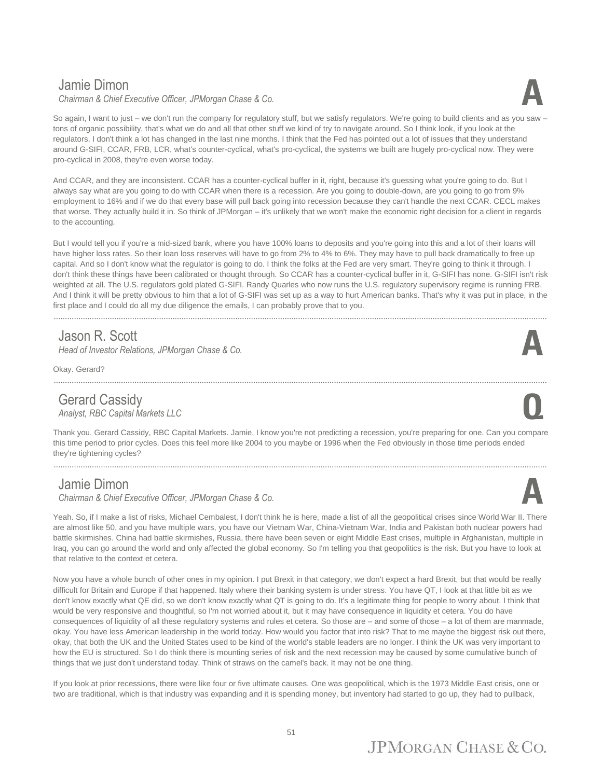#### Jamie Dimon



So again, I want to just – we don't run the company for regulatory stuff, but we satisfy regulators. We're going to build clients and as you saw – tons of organic possibility, that's what we do and all that other stuff we kind of try to navigate around. So I think look, if you look at the regulators, I don't think a lot has changed in the last nine months. I think that the Fed has pointed out a lot of issues that they understand around G-SIFI, CCAR, FRB, LCR, what's counter-cyclical, what's pro-cyclical, the systems we built are hugely pro-cyclical now. They were pro-cyclical in 2008, they're even worse today.

And CCAR, and they are inconsistent. CCAR has a counter-cyclical buffer in it, right, because it's guessing what you're going to do. But I always say what are you going to do with CCAR when there is a recession. Are you going to double-down, are you going to go from 9% employment to 16% and if we do that every base will pull back going into recession because they can't handle the next CCAR. CECL makes that worse. They actually build it in. So think of JPMorgan – it's unlikely that we won't make the economic right decision for a client in regards to the accounting.

But I would tell you if you're a mid-sized bank, where you have 100% loans to deposits and you're going into this and a lot of their loans will have higher loss rates. So their loan loss reserves will have to go from 2% to 4% to 6%. They may have to pull back dramatically to free up capital. And so I don't know what the regulator is going to do. I think the folks at the Fed are very smart. They're going to think it through. I don't think these things have been calibrated or thought through. So CCAR has a counter-cyclical buffer in it, G-SIFI has none. G-SIFI isn't risk weighted at all. The U.S. regulators gold plated G-SIFI. Randy Quarles who now runs the U.S. regulatory supervisory regime is running FRB. And I think it will be pretty obvious to him that a lot of G-SIFI was set up as a way to hurt American banks. That's why it was put in place, in the first place and I could do all my due diligence the emails, I can probably prove that to you.

#### Jason R. Scott

*Head of Investor Relations, JPMorgan Chase & Co.* 

Okay. Gerard?

#### Gerard Cassidy *Analyst, RBC Capital Markets LLC* **Q**

Thank you. Gerard Cassidy, RBC Capital Markets. Jamie, I know you're not predicting a recession, you're preparing for one. Can you compare this time period to prior cycles. Does this feel more like 2004 to you maybe or 1996 when the Fed obviously in those time periods ended they're tightening cycles?

............................................................................................................................................................................................................................

............................................................................................................................................................................................................................

#### Jamie Dimon

*Chairman & Chief Executive Officer, JPMorgan Chase & Co.* **A**

Yeah. So, if I make a list of risks, Michael Cembalest, I don't think he is here, made a list of all the geopolitical crises since World War II. There are almost like 50, and you have multiple wars, you have our Vietnam War, China-Vietnam War, India and Pakistan both nuclear powers had battle skirmishes. China had battle skirmishes, Russia, there have been seven or eight Middle East crises, multiple in Afghanistan, multiple in Iraq, you can go around the world and only affected the global economy. So I'm telling you that geopolitics is the risk. But you have to look at that relative to the context et cetera.

Now you have a whole bunch of other ones in my opinion. I put Brexit in that category, we don't expect a hard Brexit, but that would be really difficult for Britain and Europe if that happened. Italy where their banking system is under stress. You have QT, I look at that little bit as we don't know exactly what QE did, so we don't know exactly what QT is going to do. It's a legitimate thing for people to worry about. I think that would be very responsive and thoughtful, so I'm not worried about it, but it may have consequence in liquidity et cetera. You do have consequences of liquidity of all these regulatory systems and rules et cetera. So those are – and some of those – a lot of them are manmade, okay. You have less American leadership in the world today. How would you factor that into risk? That to me maybe the biggest risk out there, okay, that both the UK and the United States used to be kind of the world's stable leaders are no longer. I think the UK was very important to how the EU is structured. So I do think there is mounting series of risk and the next recession may be caused by some cumulative bunch of things that we just don't understand today. Think of straws on the camel's back. It may not be one thing.

If you look at prior recessions, there were like four or five ultimate causes. One was geopolitical, which is the 1973 Middle East crisis, one or two are traditional, which is that industry was expanding and it is spending money, but inventory had started to go up, they had to pullback,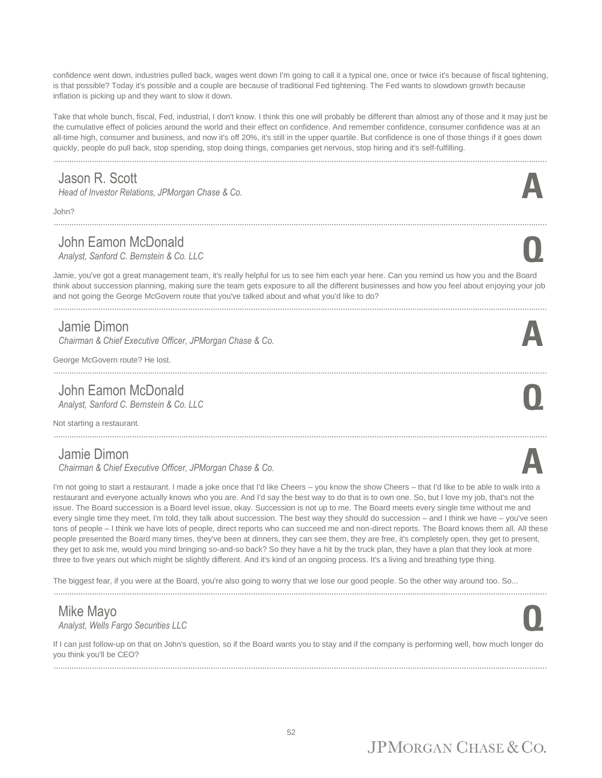confidence went down, industries pulled back, wages went down I'm going to call it a typical one, once or twice it's because of fiscal tightening, is that possible? Today it's possible and a couple are because of traditional Fed tightening. The Fed wants to slowdown growth because inflation is picking up and they want to slow it down.

Take that whole bunch, fiscal, Fed, industrial, I don't know. I think this one will probably be different than almost any of those and it may just be the cumulative effect of policies around the world and their effect on confidence. And remember confidence, consumer confidence was at an all-time high, consumer and business, and now it's off 20%, it's still in the upper quartile. But confidence is one of those things if it goes down quickly, people do pull back, stop spending, stop doing things, companies get nervous, stop hiring and it's self-fulfilling.

............................................................................................................................................................................................................................

#### Jason R. Scott

*Head of Investor Relations, JPMorgan Chase & Co.* 

John?

#### John Eamon McDonald<br>Analyst, Sanford C. Bernstein & Co. LLC *Analyst, Sanford C. Bernstein & Co. LLC* **Q**

............................................................................................................................................................................................................................

Jamie, you've got a great management team, it's really helpful for us to see him each year here. Can you remind us how you and the Board think about succession planning, making sure the team gets exposure to all the different businesses and how you feel about enjoying your job and not going the George McGovern route that you've talked about and what you'd like to do?

............................................................................................................................................................................................................................

#### Jamie Dimon

*Chairman & Chief Executive Officer, JPMorgan Chase & Co.* **A**

............................................................................................................................................................................................................................

George McGovern route? He lost.

#### John Eamon McDonald<br>Analyst, Sanford C. Bernstein & Co. LLC *Analyst, Sanford C. Bernstein & Co. LLC* **Q**

Not starting a restaurant.

#### Jamie Dimon

*Chairman & Chief Executive Officer, JPMorgan Chase & Co.* **A**

I'm not going to start a restaurant. I made a joke once that I'd like Cheers – you know the show Cheers – that I'd like to be able to walk into a restaurant and everyone actually knows who you are. And I'd say the best way to do that is to own one. So, but I love my job, that's not the issue. The Board succession is a Board level issue, okay. Succession is not up to me. The Board meets every single time without me and every single time they meet, I'm told, they talk about succession. The best way they should do succession – and I think we have – you've seen tons of people – I think we have lots of people, direct reports who can succeed me and non-direct reports. The Board knows them all. All these people presented the Board many times, they've been at dinners, they can see them, they are free, it's completely open, they get to present, they get to ask me, would you mind bringing so-and-so back? So they have a hit by the truck plan, they have a plan that they look at more three to five years out which might be slightly different. And it's kind of an ongoing process. It's a living and breathing type thing.

The biggest fear, if you were at the Board, you're also going to worry that we lose our good people. So the other way around too. So...

#### Mike Mayo *Analyst, Wells Fargo Securities LLC* **Q**

If I can just follow-up on that on John's question, so if the Board wants you to stay and if the company is performing well, how much longer do you think you'll be CEO? ............................................................................................................................................................................................................................





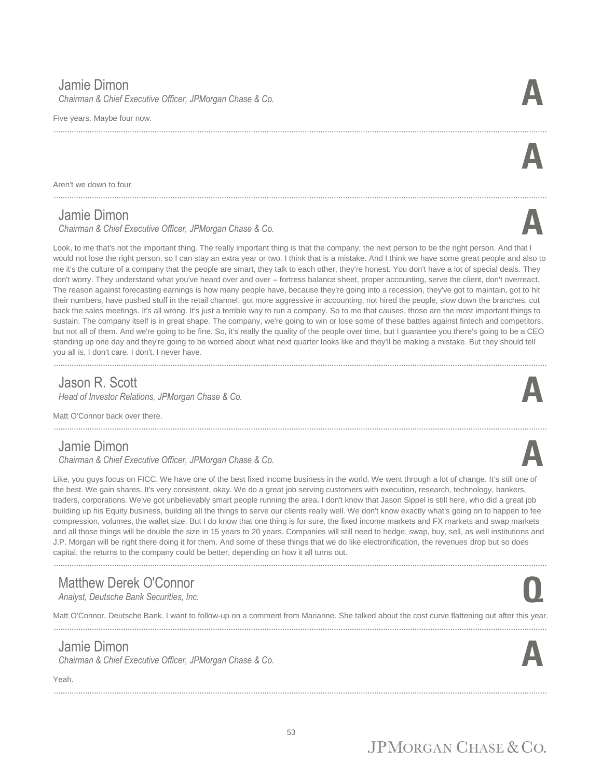#### Jamie Dimon

*Chairman & Chief Executive Officer, JPMorgan Chase & Co.* **A**

Five years. Maybe four now.

Aren't we down to four.

#### Jamie Dimon

*Chairman & Chief Executive Officer, JPMorgan Chase & Co.* **A**

Look, to me that's not the important thing. The really important thing is that the company, the next person to be the right person. And that I would not lose the right person, so I can stay an extra year or two. I think that is a mistake. And I think we have some great people and also to me it's the culture of a company that the people are smart, they talk to each other, they're honest. You don't have a lot of special deals. They don't worry. They understand what you've heard over and over – fortress balance sheet, proper accounting, serve the client, don't overreact. The reason against forecasting earnings is how many people have, because they're going into a recession, they've got to maintain, got to hit their numbers, have pushed stuff in the retail channel, got more aggressive in accounting, not hired the people, slow down the branches, cut back the sales meetings. It's all wrong. It's just a terrible way to run a company. So to me that causes, those are the most important things to sustain. The company itself is in great shape. The company, we're going to win or lose some of these battles against fintech and competitors, but not all of them. And we're going to be fine. So, it's really the quality of the people over time, but I guarantee you there's going to be a CEO standing up one day and they're going to be worried about what next quarter looks like and they'll be making a mistake. But they should tell you all is, I don't care. I don't. I never have.

............................................................................................................................................................................................................................

#### Jason R. Scott

*Head of Investor Relations, JPMorgan Chase & Co.* **A**

Matt O'Connor back over there.

#### Jamie Dimon

*Chairman & Chief Executive Officer, JPMorgan Chase & Co.* **A**

Like, you guys focus on FICC. We have one of the best fixed income business in the world. We went through a lot of change. It's still one of the best. We gain shares. It's very consistent, okay. We do a great job serving customers with execution, research, technology, bankers, traders, corporations. We've got unbelievably smart people running the area. I don't know that Jason Sippel is still here, who did a great job building up his Equity business, building all the things to serve our clients really well. We don't know exactly what's going on to happen to fee compression, volumes, the wallet size. But I do know that one thing is for sure, the fixed income markets and FX markets and swap markets and all those things will be double the size in 15 years to 20 years. Companies will still need to hedge, swap, buy, sell, as well institutions and J.P. Morgan will be right there doing it for them. And some of these things that we do like electronification, the revenues drop but so does capital, the returns to the company could be better, depending on how it all turns out.

............................................................................................................................................................................................................................

#### Matthew Derek O'Connor *Analyst, Deutsche Bank Securities, Inc.* **Q**

Matt O'Connor, Deutsche Bank. I want to follow-up on a comment from Marianne. She talked about the cost curve flattening out after this year.

............................................................................................................................................................................................................................

............................................................................................................................................................................................................................

#### Jamie Dimon

*Chairman & Chief Executive Officer, JPMorgan Chase & Co.* **A**

#### Yeah.



**A**









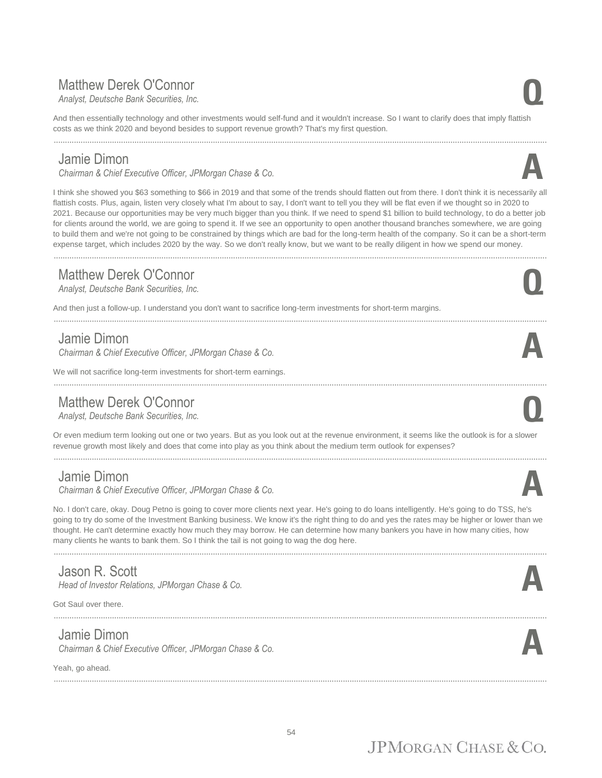#### Matthew Derek O'Connor *Analyst, Deutsche Bank Securities, Inc.* **Q**

And then essentially technology and other investments would self-fund and it wouldn't increase. So I want to clarify does that imply flattish costs as we think 2020 and beyond besides to support revenue growth? That's my first question.

............................................................................................................................................................................................................................

#### Jamie Dimon

*Chairman & Chief Executive Officer, JPMorgan Chase & Co.* **A**

I think she showed you \$63 something to \$66 in 2019 and that some of the trends should flatten out from there. I don't think it is necessarily all flattish costs. Plus, again, listen very closely what I'm about to say, I don't want to tell you they will be flat even if we thought so in 2020 to 2021. Because our opportunities may be very much bigger than you think. If we need to spend \$1 billion to build technology, to do a better job for clients around the world, we are going to spend it. If we see an opportunity to open another thousand branches somewhere, we are going to build them and we're not going to be constrained by things which are bad for the long-term health of the company. So it can be a short-term expense target, which includes 2020 by the way. So we don't really know, but we want to be really diligent in how we spend our money. ............................................................................................................................................................................................................................

#### Matthew Derek O'Connor *Analyst, Deutsche Bank Securities, Inc.* **Q**

And then just a follow-up. I understand you don't want to sacrifice long-term investments for short-term margins.

#### Jamie Dimon

*Chairman & Chief Executive Officer, JPMorgan Chase & Co.* **A**

We will not sacrifice long-term investments for short-term earnings.

#### Matthew Derek O'Connor *Analyst, Deutsche Bank Securities, Inc.* **Q**

Or even medium term looking out one or two years. But as you look out at the revenue environment, it seems like the outlook is for a slower revenue growth most likely and does that come into play as you think about the medium term outlook for expenses?

............................................................................................................................................................................................................................

............................................................................................................................................................................................................................

#### Jamie Dimon

*Chairman & Chief Executive Officer, JPMorgan Chase & Co.* **A**

No. I don't care, okay. Doug Petno is going to cover more clients next year. He's going to do loans intelligently. He's going to do TSS, he's going to try do some of the Investment Banking business. We know it's the right thing to do and yes the rates may be higher or lower than we thought. He can't determine exactly how much they may borrow. He can determine how many bankers you have in how many cities, how many clients he wants to bank them. So I think the tail is not going to wag the dog here.

............................................................................................................................................................................................................................

#### Jason R. Scott

*Head of Investor Relations, JPMorgan Chase & Co.* 

Got Saul over there.

#### Jamie Dimon

*Chairman & Chief Executive Officer, JPMorgan Chase & Co.* **A**

Yeah, go ahead.

............................................................................................................................................................................................................................



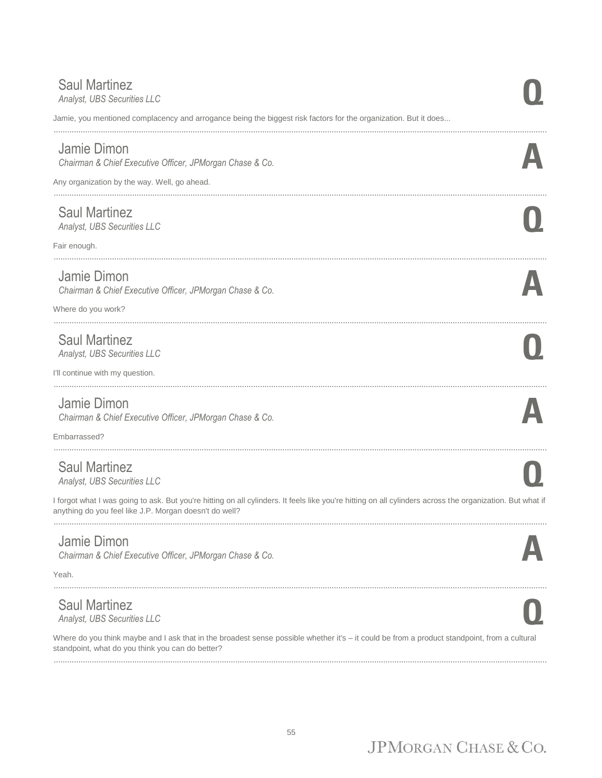#### **Saul Martinez**<br>Analyst, UBS Securities LLC *Analyst, UBS Securities LLC* **Q**

Jamie, you mentioned complacency and arrogance being the biggest risk factors for the organization. But it does...

............................................................................................................................................................................................................................

#### Jamie Dimon

*Chairman & Chief Executive Officer, JPMorgan Chase & Co.* **A**

Any organization by the way. Well, go ahead. ............................................................................................................................................................................................................................

#### Saul Martinez

*Analyst, UBS Securities LLC* **Q**

Fair enough.

#### Jamie Dimon

*Chairman & Chief Executive Officer, JPMorgan Chase & Co.* **A**

............................................................................................................................................................................................................................

Where do you work? ............................................................................................................................................................................................................................

## Saul Martinez *Analyst, UBS Securities LLC* **Q**

I'll continue with my question.

#### Jamie Dimon

*Chairman & Chief Executive Officer, JPMorgan Chase & Co.* **A**

............................................................................................................................................................................................................................

............................................................................................................................................................................................................................

Embarrassed?

#### Saul Martinez *Analyst, UBS Securities LLC* **Q**

I forgot what I was going to ask. But you're hitting on all cylinders. It feels like you're hitting on all cylinders across the organization. But what if anything do you feel like J.P. Morgan doesn't do well? ............................................................................................................................................................................................................................

#### Jamie Dimon

*Chairman & Chief Executive Officer, JPMorgan Chase & Co.* **A**

Yeah.

#### Saul Martinez

*Analyst, UBS Securities LLC* **Q**

Where do you think maybe and I ask that in the broadest sense possible whether it's – it could be from a product standpoint, from a cultural standpoint, what do you think you can do better? ............................................................................................................................................................................................................................

............................................................................................................................................................................................................................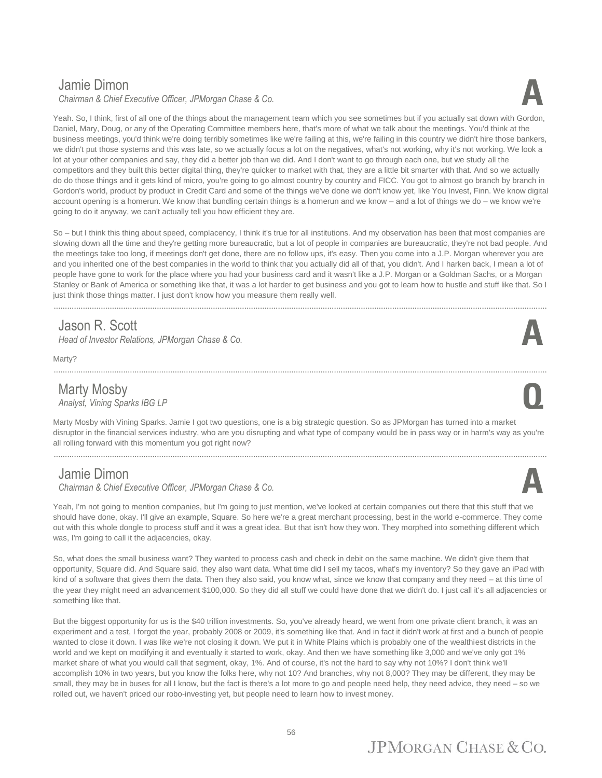#### Jamie Dimon

*Chairman & Chief Executive Officer, JPMorgan Chase & Co.* **A**



So – but I think this thing about speed, complacency, I think it's true for all institutions. And my observation has been that most companies are slowing down all the time and they're getting more bureaucratic, but a lot of people in companies are bureaucratic, they're not bad people. And the meetings take too long, if meetings don't get done, there are no follow ups, it's easy. Then you come into a J.P. Morgan wherever you are and you inherited one of the best companies in the world to think that you actually did all of that, you didn't. And I harken back, I mean a lot of people have gone to work for the place where you had your business card and it wasn't like a J.P. Morgan or a Goldman Sachs, or a Morgan Stanley or Bank of America or something like that, it was a lot harder to get business and you got to learn how to hustle and stuff like that. So I just think those things matter. I just don't know how you measure them really well.

#### Jason R. Scott

*Head of Investor Relations, JPMorgan Chase & Co.* **A**

Marty?

#### Marty Mosby<br>Analyst, Vining Sparks IBG LP *Analyst, Vining Sparks IBG LP* **Q**



Marty Mosby with Vining Sparks. Jamie I got two questions, one is a big strategic question. So as JPMorgan has turned into a market disruptor in the financial services industry, who are you disrupting and what type of company would be in pass way or in harm's way as you're all rolling forward with this momentum you got right now?

#### Jamie Dimon

*Chairman & Chief Executive Officer, JPMorgan Chase & Co.* **A**

Yeah, I'm not going to mention companies, but I'm going to just mention, we've looked at certain companies out there that this stuff that we should have done, okay. I'll give an example, Square. So here we're a great merchant processing, best in the world e-commerce. They come out with this whole dongle to process stuff and it was a great idea. But that isn't how they won. They morphed into something different which was, I'm going to call it the adjacencies, okay.

So, what does the small business want? They wanted to process cash and check in debit on the same machine. We didn't give them that opportunity, Square did. And Square said, they also want data. What time did I sell my tacos, what's my inventory? So they gave an iPad with kind of a software that gives them the data. Then they also said, you know what, since we know that company and they need – at this time of the year they might need an advancement \$100,000. So they did all stuff we could have done that we didn't do. I just call it's all adjacencies or something like that.

But the biggest opportunity for us is the \$40 trillion investments. So, you've already heard, we went from one private client branch, it was an experiment and a test, I forgot the year, probably 2008 or 2009, it's something like that. And in fact it didn't work at first and a bunch of people wanted to close it down. I was like we're not closing it down. We put it in White Plains which is probably one of the wealthiest districts in the world and we kept on modifying it and eventually it started to work, okay. And then we have something like 3,000 and we've only got 1% market share of what you would call that segment, okay, 1%. And of course, it's not the hard to say why not 10%? I don't think we'll accomplish 10% in two years, but you know the folks here, why not 10? And branches, why not 8,000? They may be different, they may be small, they may be in buses for all I know, but the fact is there's a lot more to go and people need help, they need advice, they need – so we rolled out, we haven't priced our robo-investing yet, but people need to learn how to invest money.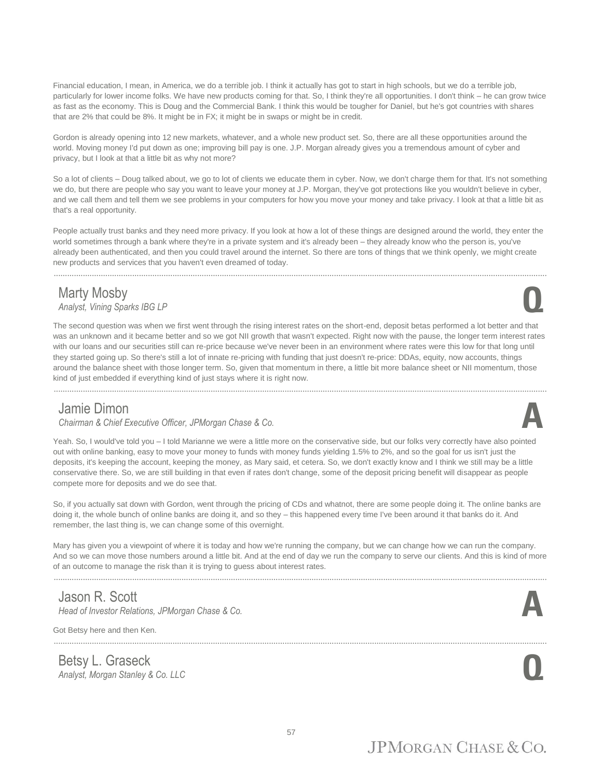Financial education, I mean, in America, we do a terrible job. I think it actually has got to start in high schools, but we do a terrible job, particularly for lower income folks. We have new products coming for that. So, I think they're all opportunities. I don't think – he can grow twice as fast as the economy. This is Doug and the Commercial Bank. I think this would be tougher for Daniel, but he's got countries with shares that are 2% that could be 8%. It might be in FX; it might be in swaps or might be in credit.

Gordon is already opening into 12 new markets, whatever, and a whole new product set. So, there are all these opportunities around the world. Moving money I'd put down as one; improving bill pay is one. J.P. Morgan already gives you a tremendous amount of cyber and privacy, but I look at that a little bit as why not more?

So a lot of clients – Doug talked about, we go to lot of clients we educate them in cyber. Now, we don't charge them for that. It's not something we do, but there are people who say you want to leave your money at J.P. Morgan, they've got protections like you wouldn't believe in cyber, and we call them and tell them we see problems in your computers for how you move your money and take privacy. I look at that a little bit as that's a real opportunity.

People actually trust banks and they need more privacy. If you look at how a lot of these things are designed around the world, they enter the world sometimes through a bank where they're in a private system and it's already been – they already know who the person is, you've already been authenticated, and then you could travel around the internet. So there are tons of things that we think openly, we might create new products and services that you haven't even dreamed of today.

............................................................................................................................................................................................................................

#### Marty Mosby *Analyst, Vining Sparks IBG LP* **Q**

The second question was when we first went through the rising interest rates on the short-end, deposit betas performed a lot better and that was an unknown and it became better and so we got NII growth that wasn't expected. Right now with the pause, the longer term interest rates with our loans and our securities still can re-price because we've never been in an environment where rates were this low for that long until they started going up. So there's still a lot of innate re-pricing with funding that just doesn't re-price: DDAs, equity, now accounts, things around the balance sheet with those longer term. So, given that momentum in there, a little bit more balance sheet or NII momentum, those kind of just embedded if everything kind of just stays where it is right now.

............................................................................................................................................................................................................................

#### Jamie Dimon

*Chairman & Chief Executive Officer, JPMorgan Chase & Co.* **A**

Yeah. So, I would've told you – I told Marianne we were a little more on the conservative side, but our folks very correctly have also pointed out with online banking, easy to move your money to funds with money funds yielding 1.5% to 2%, and so the goal for us isn't just the deposits, it's keeping the account, keeping the money, as Mary said, et cetera. So, we don't exactly know and I think we still may be a little conservative there. So, we are still building in that even if rates don't change, some of the deposit pricing benefit will disappear as people compete more for deposits and we do see that.

So, if you actually sat down with Gordon, went through the pricing of CDs and whatnot, there are some people doing it. The online banks are doing it, the whole bunch of online banks are doing it, and so they – this happened every time I've been around it that banks do it. And remember, the last thing is, we can change some of this overnight.

Mary has given you a viewpoint of where it is today and how we're running the company, but we can change how we can run the company. And so we can move those numbers around a little bit. And at the end of day we run the company to serve our clients. And this is kind of more of an outcome to manage the risk than it is trying to guess about interest rates.

............................................................................................................................................................................................................................

............................................................................................................................................................................................................................

#### Jason R. Scott

*Head of Investor Relations, JPMorgan Chase & Co.* **A**

Got Betsy here and then Ken.

Betsy L. Graseck *Analyst, Morgan Stanley & Co. LLC* **Q**





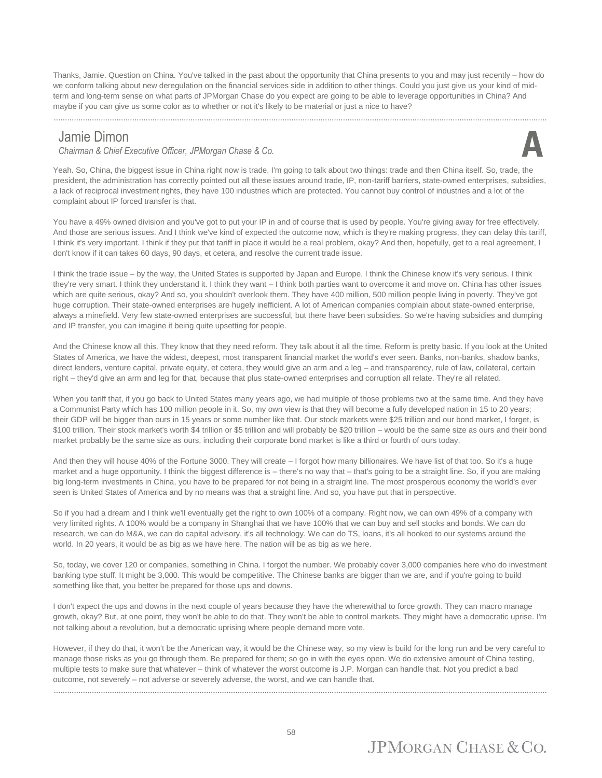Thanks, Jamie. Question on China. You've talked in the past about the opportunity that China presents to you and may just recently – how do we conform talking about new deregulation on the financial services side in addition to other things. Could you just give us your kind of midterm and long-term sense on what parts of JPMorgan Chase do you expect are going to be able to leverage opportunities in China? And maybe if you can give us some color as to whether or not it's likely to be material or just a nice to have?

#### Jamie Dimon

*Chairman & Chief Executive Officer, JPMorgan Chase & Co.* **A**



Yeah. So, China, the biggest issue in China right now is trade. I'm going to talk about two things: trade and then China itself. So, trade, the president, the administration has correctly pointed out all these issues around trade, IP, non-tariff barriers, state-owned enterprises, subsidies, a lack of reciprocal investment rights, they have 100 industries which are protected. You cannot buy control of industries and a lot of the complaint about IP forced transfer is that.

You have a 49% owned division and you've got to put your IP in and of course that is used by people. You're giving away for free effectively. And those are serious issues. And I think we've kind of expected the outcome now, which is they're making progress, they can delay this tariff, I think it's very important. I think if they put that tariff in place it would be a real problem, okay? And then, hopefully, get to a real agreement, I don't know if it can takes 60 days, 90 days, et cetera, and resolve the current trade issue.

I think the trade issue – by the way, the United States is supported by Japan and Europe. I think the Chinese know it's very serious. I think they're very smart. I think they understand it. I think they want – I think both parties want to overcome it and move on. China has other issues which are quite serious, okay? And so, you shouldn't overlook them. They have 400 million, 500 million people living in poverty. They've got huge corruption. Their state-owned enterprises are hugely inefficient. A lot of American companies complain about state-owned enterprise, always a minefield. Very few state-owned enterprises are successful, but there have been subsidies. So we're having subsidies and dumping and IP transfer, you can imagine it being quite upsetting for people.

And the Chinese know all this. They know that they need reform. They talk about it all the time. Reform is pretty basic. If you look at the United States of America, we have the widest, deepest, most transparent financial market the world's ever seen. Banks, non-banks, shadow banks, direct lenders, venture capital, private equity, et cetera, they would give an arm and a leg – and transparency, rule of law, collateral, certain right – they'd give an arm and leg for that, because that plus state-owned enterprises and corruption all relate. They're all related.

When you tariff that, if you go back to United States many years ago, we had multiple of those problems two at the same time. And they have a Communist Party which has 100 million people in it. So, my own view is that they will become a fully developed nation in 15 to 20 years; their GDP will be bigger than ours in 15 years or some number like that. Our stock markets were \$25 trillion and our bond market, I forget, is \$100 trillion. Their stock market's worth \$4 trillion or \$5 trillion and will probably be \$20 trillion – would be the same size as ours and their bond market probably be the same size as ours, including their corporate bond market is like a third or fourth of ours today.

And then they will house 40% of the Fortune 3000. They will create – I forgot how many billionaires. We have list of that too. So it's a huge market and a huge opportunity. I think the biggest difference is – there's no way that – that's going to be a straight line. So, if you are making big long-term investments in China, you have to be prepared for not being in a straight line. The most prosperous economy the world's ever seen is United States of America and by no means was that a straight line. And so, you have put that in perspective.

So if you had a dream and I think we'll eventually get the right to own 100% of a company. Right now, we can own 49% of a company with very limited rights. A 100% would be a company in Shanghai that we have 100% that we can buy and sell stocks and bonds. We can do research, we can do M&A, we can do capital advisory, it's all technology. We can do TS, loans, it's all hooked to our systems around the world. In 20 years, it would be as big as we have here. The nation will be as big as we here.

So, today, we cover 120 or companies, something in China. I forgot the number. We probably cover 3,000 companies here who do investment banking type stuff. It might be 3,000. This would be competitive. The Chinese banks are bigger than we are, and if you're going to build something like that, you better be prepared for those ups and downs.

I don't expect the ups and downs in the next couple of years because they have the wherewithal to force growth. They can macro manage growth, okay? But, at one point, they won't be able to do that. They won't be able to control markets. They might have a democratic uprise. I'm not talking about a revolution, but a democratic uprising where people demand more vote.

However, if they do that, it won't be the American way, it would be the Chinese way, so my view is build for the long run and be very careful to manage those risks as you go through them. Be prepared for them; so go in with the eyes open. We do extensive amount of China testing, multiple tests to make sure that whatever – think of whatever the worst outcome is J.P. Morgan can handle that. Not you predict a bad outcome, not severely – not adverse or severely adverse, the worst, and we can handle that.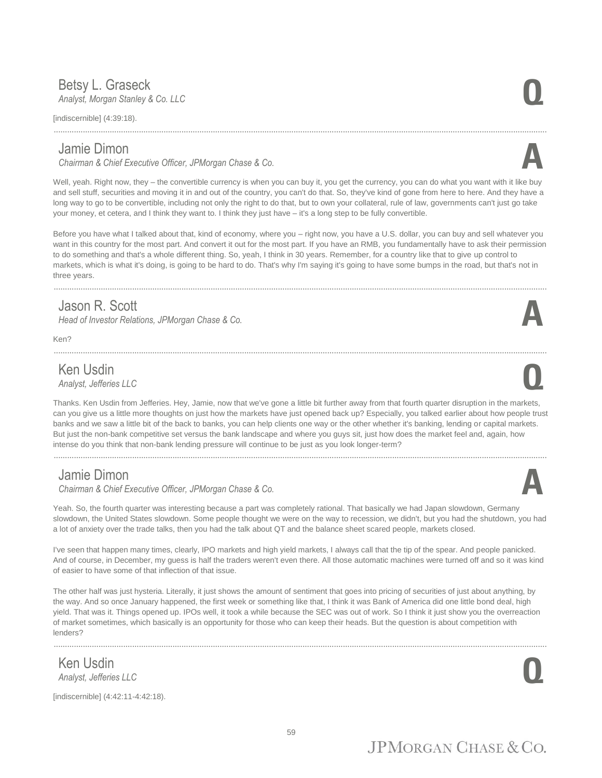#### Betsy L. Graseck<br>Analyst, Morgan Stanley & Co. LLC *Analyst, Morgan Stanley & Co. LLC* **Q**

[indiscernible] (4:39:18).

#### Jamie Dimon

*Chairman & Chief Executive Officer, JPMorgan Chase & Co.* **A**

Well, yeah. Right now, they – the convertible currency is when you can buy it, you get the currency, you can do what you want with it like buy and sell stuff, securities and moving it in and out of the country, you can't do that. So, they've kind of gone from here to here. And they have a long way to go to be convertible, including not only the right to do that, but to own your collateral, rule of law, governments can't just go take your money, et cetera, and I think they want to. I think they just have – it's a long step to be fully convertible.

............................................................................................................................................................................................................................

Before you have what I talked about that, kind of economy, where you – right now, you have a U.S. dollar, you can buy and sell whatever you want in this country for the most part. And convert it out for the most part. If you have an RMB, you fundamentally have to ask their permission to do something and that's a whole different thing. So, yeah, I think in 30 years. Remember, for a country like that to give up control to markets, which is what it's doing, is going to be hard to do. That's why I'm saying it's going to have some bumps in the road, but that's not in three years.

............................................................................................................................................................................................................................

............................................................................................................................................................................................................................

#### Jason R. Scott

*Head of Investor Relations, JPMorgan Chase & Co.* 

Ken?

### **Ken Usdin**<br>Analyst, Jefferies LLC *Analyst, Jefferies LLC* **Q**

Thanks. Ken Usdin from Jefferies. Hey, Jamie, now that we've gone a little bit further away from that fourth quarter disruption in the markets, can you give us a little more thoughts on just how the markets have just opened back up? Especially, you talked earlier about how people trust banks and we saw a little bit of the back to banks, you can help clients one way or the other whether it's banking, lending or capital markets. But just the non-bank competitive set versus the bank landscape and where you guys sit, just how does the market feel and, again, how intense do you think that non-bank lending pressure will continue to be just as you look longer-term?

#### Jamie Dimon

*Chairman & Chief Executive Officer, JPMorgan Chase & Co.* **A**

............................................................................................................................................................................................................................

Yeah. So, the fourth quarter was interesting because a part was completely rational. That basically we had Japan slowdown, Germany slowdown, the United States slowdown. Some people thought we were on the way to recession, we didn't, but you had the shutdown, you had a lot of anxiety over the trade talks, then you had the talk about QT and the balance sheet scared people, markets closed.

I've seen that happen many times, clearly, IPO markets and high yield markets, I always call that the tip of the spear. And people panicked. And of course, in December, my guess is half the traders weren't even there. All those automatic machines were turned off and so it was kind of easier to have some of that inflection of that issue.

The other half was just hysteria. Literally, it just shows the amount of sentiment that goes into pricing of securities of just about anything, by the way. And so once January happened, the first week or something like that, I think it was Bank of America did one little bond deal, high yield. That was it. Things opened up. IPOs well, it took a while because the SEC was out of work. So I think it just show you the overreaction of market sometimes, which basically is an opportunity for those who can keep their heads. But the question is about competition with lenders?

............................................................................................................................................................................................................................

Ken Usdin *Analyst, Jefferies LLC* **Q**

[indiscernible] (4:42:11-4:42:18).



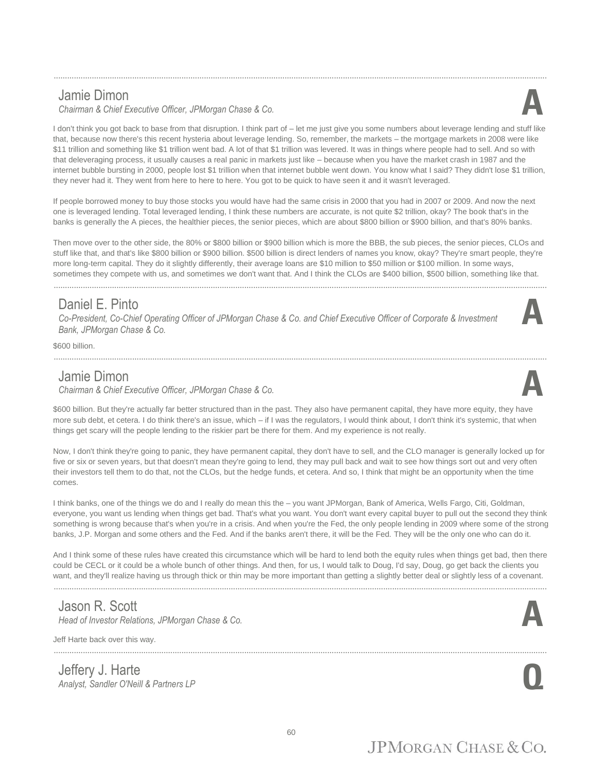#### Jamie Dimon

*Chairman & Chief Executive Officer, JPMorgan Chase & Co.* **A**

I don't think you got back to base from that disruption. I think part of – let me just give you some numbers about leverage lending and stuff like that, because now there's this recent hysteria about leverage lending. So, remember, the markets – the mortgage markets in 2008 were like \$11 trillion and something like \$1 trillion went bad. A lot of that \$1 trillion was levered. It was in things where people had to sell. And so with that deleveraging process, it usually causes a real panic in markets just like – because when you have the market crash in 1987 and the internet bubble bursting in 2000, people lost \$1 trillion when that internet bubble went down. You know what I said? They didn't lose \$1 trillion, they never had it. They went from here to here to here. You got to be quick to have seen it and it wasn't leveraged.

............................................................................................................................................................................................................................

If people borrowed money to buy those stocks you would have had the same crisis in 2000 that you had in 2007 or 2009. And now the next one is leveraged lending. Total leveraged lending, I think these numbers are accurate, is not quite \$2 trillion, okay? The book that's in the banks is generally the A pieces, the healthier pieces, the senior pieces, which are about \$800 billion or \$900 billion, and that's 80% banks.

Then move over to the other side, the 80% or \$800 billion or \$900 billion which is more the BBB, the sub pieces, the senior pieces, CLOs and stuff like that, and that's like \$800 billion or \$900 billion. \$500 billion is direct lenders of names you know, okay? They're smart people, they're more long-term capital. They do it slightly differently, their average loans are \$10 million to \$50 million or \$100 million. In some ways, sometimes they compete with us, and sometimes we don't want that. And I think the CLOs are \$400 billion, \$500 billion, something like that.

#### Daniel E. Pinto

*Co-President, Co-Chief Operating Officer of JPMorgan Chase & Co. and Chief Executive Officer of Corporate & Investment Bank, JPMorgan Chase & Co.*

............................................................................................................................................................................................................................

\$600 billion.

#### Jamie Dimon

*Chairman & Chief Executive Officer, JPMorgan Chase & Co.* **A**

\$600 billion. But they're actually far better structured than in the past. They also have permanent capital, they have more equity, they have more sub debt, et cetera. I do think there's an issue, which – if I was the regulators, I would think about, I don't think it's systemic, that when things get scary will the people lending to the riskier part be there for them. And my experience is not really.

Now, I don't think they're going to panic, they have permanent capital, they don't have to sell, and the CLO manager is generally locked up for five or six or seven years, but that doesn't mean they're going to lend, they may pull back and wait to see how things sort out and very often their investors tell them to do that, not the CLOs, but the hedge funds, et cetera. And so, I think that might be an opportunity when the time comes.

I think banks, one of the things we do and I really do mean this the – you want JPMorgan, Bank of America, Wells Fargo, Citi, Goldman, everyone, you want us lending when things get bad. That's what you want. You don't want every capital buyer to pull out the second they think something is wrong because that's when you're in a crisis. And when you're the Fed, the only people lending in 2009 where some of the strong banks, J.P. Morgan and some others and the Fed. And if the banks aren't there, it will be the Fed. They will be the only one who can do it.

And I think some of these rules have created this circumstance which will be hard to lend both the equity rules when things get bad, then there could be CECL or it could be a whole bunch of other things. And then, for us, I would talk to Doug, I'd say, Doug, go get back the clients you want, and they'll realize having us through thick or thin may be more important than getting a slightly better deal or slightly less of a covenant.

#### Jason R. Scott

*Head of Investor Relations, JPMorgan Chase & Co.* **A**

Jeff Harte back over this way.

Jeffery J. Harte *Analyst, Sandler O'Neill & Partners LP* **Q**

............................................................................................................................................................................................................................









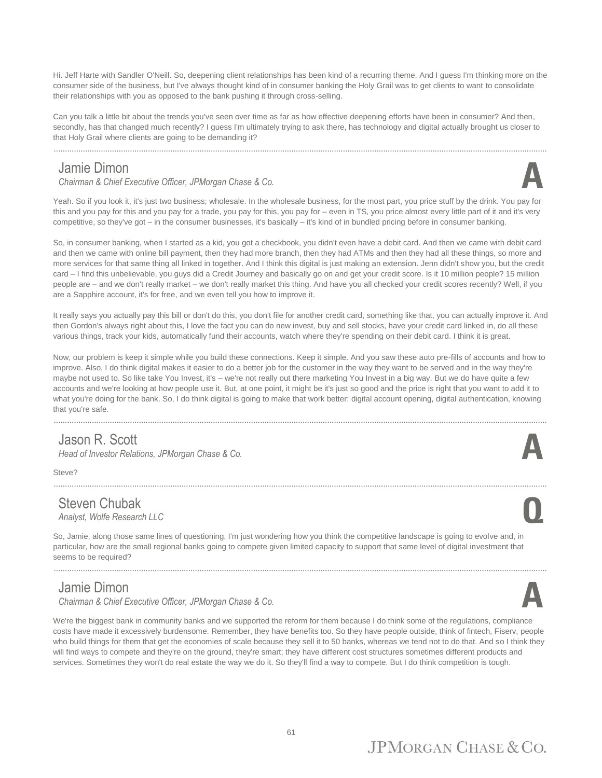Hi. Jeff Harte with Sandler O'Neill. So, deepening client relationships has been kind of a recurring theme. And I guess I'm thinking more on the consumer side of the business, but I've always thought kind of in consumer banking the Holy Grail was to get clients to want to consolidate their relationships with you as opposed to the bank pushing it through cross-selling.

Can you talk a little bit about the trends you've seen over time as far as how effective deepening efforts have been in consumer? And then, secondly, has that changed much recently? I guess I'm ultimately trying to ask there, has technology and digital actually brought us closer to that Holy Grail where clients are going to be demanding it?

............................................................................................................................................................................................................................

#### Jamie Dimon

*Chairman & Chief Executive Officer, JPMorgan Chase & Co.* **A**



Yeah. So if you look it, it's just two business; wholesale. In the wholesale business, for the most part, you price stuff by the drink. You pay for this and you pay for this and you pay for a trade, you pay for this, you pay for – even in TS, you price almost every little part of it and it's very competitive, so they've got – in the consumer businesses, it's basically – it's kind of in bundled pricing before in consumer banking.

So, in consumer banking, when I started as a kid, you got a checkbook, you didn't even have a debit card. And then we came with debit card and then we came with online bill payment, then they had more branch, then they had ATMs and then they had all these things, so more and more services for that same thing all linked in together. And I think this digital is just making an extension. Jenn didn't show you, but the credit card – I find this unbelievable, you guys did a Credit Journey and basically go on and get your credit score. Is it 10 million people? 15 million people are – and we don't really market – we don't really market this thing. And have you all checked your credit scores recently? Well, if you are a Sapphire account, it's for free, and we even tell you how to improve it.

It really says you actually pay this bill or don't do this, you don't file for another credit card, something like that, you can actually improve it. And then Gordon's always right about this, I love the fact you can do new invest, buy and sell stocks, have your credit card linked in, do all these various things, track your kids, automatically fund their accounts, watch where they're spending on their debit card. I think it is great.

Now, our problem is keep it simple while you build these connections. Keep it simple. And you saw these auto pre-fills of accounts and how to improve. Also, I do think digital makes it easier to do a better job for the customer in the way they want to be served and in the way they're maybe not used to. So like take You Invest, it's – we're not really out there marketing You Invest in a big way. But we do have quite a few accounts and we're looking at how people use it. But, at one point, it might be it's just so good and the price is right that you want to add it to what you're doing for the bank. So, I do think digital is going to make that work better: digital account opening, digital authentication, knowing that you're safe.

............................................................................................................................................................................................................................

............................................................................................................................................................................................................................

#### Jason R. Scott

*Head of Investor Relations, JPMorgan Chase & Co.* 

Steve?

#### Steven Chubak *Analyst, Wolfe Research LLC* **Q**

So, Jamie, along those same lines of questioning, I'm just wondering how you think the competitive landscape is going to evolve and, in particular, how are the small regional banks going to compete given limited capacity to support that same level of digital investment that seems to be required?

............................................................................................................................................................................................................................

#### Jamie Dimon

*Chairman & Chief Executive Officer, JPMorgan Chase & Co.* **A**

We're the biggest bank in community banks and we supported the reform for them because I do think some of the regulations, compliance costs have made it excessively burdensome. Remember, they have benefits too. So they have people outside, think of fintech, Fiserv, people who build things for them that get the economies of scale because they sell it to 50 banks, whereas we tend not to do that. And so I think they will find ways to compete and they're on the ground, they're smart; they have different cost structures sometimes different products and services. Sometimes they won't do real estate the way we do it. So they'll find a way to compete. But I do think competition is tough.

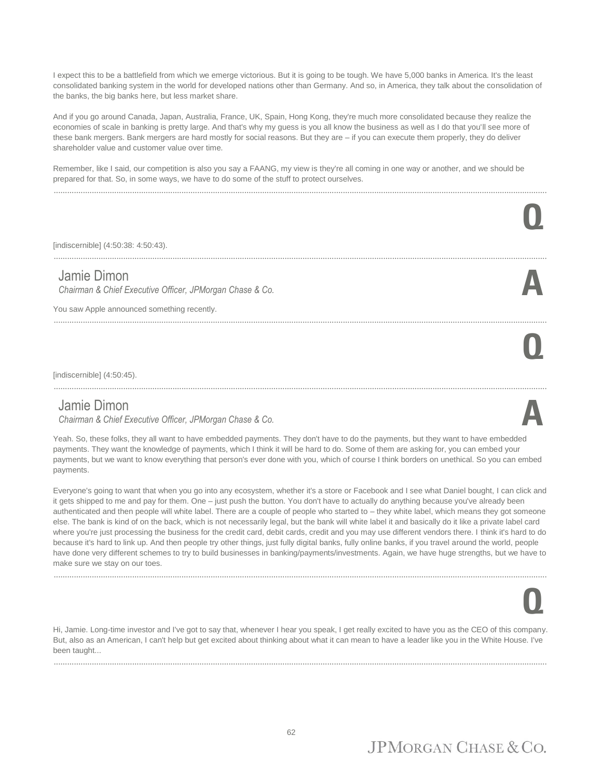I expect this to be a battlefield from which we emerge victorious. But it is going to be tough. We have 5,000 banks in America. It's the least consolidated banking system in the world for developed nations other than Germany. And so, in America, they talk about the consolidation of the banks, the big banks here, but less market share.

And if you go around Canada, Japan, Australia, France, UK, Spain, Hong Kong, they're much more consolidated because they realize the economies of scale in banking is pretty large. And that's why my guess is you all know the business as well as I do that you'll see more of these bank mergers. Bank mergers are hard mostly for social reasons. But they are – if you can execute them properly, they do deliver shareholder value and customer value over time.

Remember, like I said, our competition is also you say a FAANG, my view is they're all coming in one way or another, and we should be prepared for that. So, in some ways, we have to do some of the stuff to protect ourselves.

............................................................................................................................................................................................................................

| [indiscernible] (4:50:38: 4:50:43).                                                                                    |  |
|------------------------------------------------------------------------------------------------------------------------|--|
| Jamie Dimon<br>Chairman & Chief Executive Officer, JPMorgan Chase & Co.<br>You saw Apple announced something recently. |  |
| [indiscernible] $(4:50:45)$ .                                                                                          |  |
| Jamie Dimon                                                                                                            |  |

*Chairman & Chief Executive Officer, JPMorgan Chase & Co.* **A**

Yeah. So, these folks, they all want to have embedded payments. They don't have to do the payments, but they want to have embedded payments. They want the knowledge of payments, which I think it will be hard to do. Some of them are asking for, you can embed your payments, but we want to know everything that person's ever done with you, which of course I think borders on unethical. So you can embed payments.

Everyone's going to want that when you go into any ecosystem, whether it's a store or Facebook and I see what Daniel bought, I can click and it gets shipped to me and pay for them. One – just push the button. You don't have to actually do anything because you've already been authenticated and then people will white label. There are a couple of people who started to – they white label, which means they got someone else. The bank is kind of on the back, which is not necessarily legal, but the bank will white label it and basically do it like a private label card where you're just processing the business for the credit card, debit cards, credit and you may use different vendors there. I think it's hard to do because it's hard to link up. And then people try other things, just fully digital banks, fully online banks, if you travel around the world, people have done very different schemes to try to build businesses in banking/payments/investments. Again, we have huge strengths, but we have to make sure we stay on our toes.

............................................................................................................................................................................................................................

# **Q**

Hi, Jamie. Long-time investor and I've got to say that, whenever I hear you speak, I get really excited to have you as the CEO of this company. But, also as an American, I can't help but get excited about thinking about what it can mean to have a leader like you in the White House. I've been taught...

............................................................................................................................................................................................................................